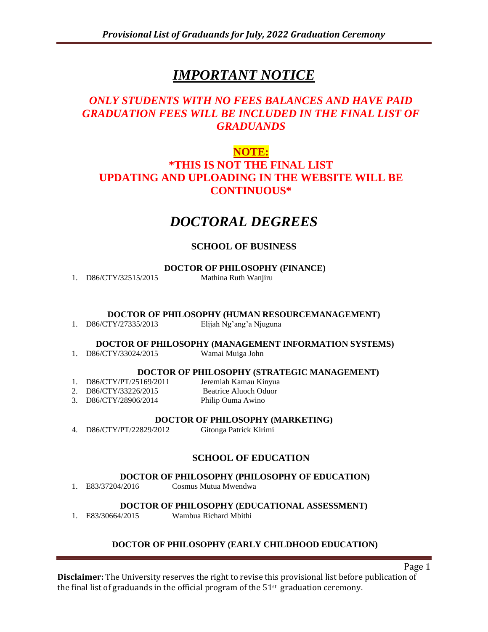# *IMPORTANT NOTICE*

# *ONLY STUDENTS WITH NO FEES BALANCES AND HAVE PAID GRADUATION FEES WILL BE INCLUDED IN THE FINAL LIST OF GRADUANDS*

# **NOTE:**

# **\*THIS IS NOT THE FINAL LIST UPDATING AND UPLOADING IN THE WEBSITE WILL BE CONTINUOUS\***

# *DOCTORAL DEGREES*

# **SCHOOL OF BUSINESS**

**DOCTOR OF PHILOSOPHY (FINANCE)**

1. D86/CTY/32515/2015 Mathina Ruth Wanjiru

**DOCTOR OF PHILOSOPHY (HUMAN RESOURCEMANAGEMENT)**

1. D86/CTY/27335/2013 Elijah Ng'ang'a Njuguna

## **DOCTOR OF PHILOSOPHY (MANAGEMENT INFORMATION SYSTEMS)**

1. D86/CTY/33024/2015 Wamai Muiga John

## **DOCTOR OF PHILOSOPHY (STRATEGIC MANAGEMENT)**

- 1. D86/CTY/PT/25169/2011 Jeremiah Kamau Kinyua 2. D86/CTY/33226/2015 Beatrice Aluoch Oduor
- 3. D86/CTY/28906/2014 Philip Ouma Awino

#### **DOCTOR OF PHILOSOPHY (MARKETING)**

4. D86/CTY/PT/22829/2012 Gitonga Patrick Kirimi

# **SCHOOL OF EDUCATION**

# **DOCTOR OF PHILOSOPHY (PHILOSOPHY OF EDUCATION)**

1. E83/37204/2016 Cosmus Mutua Mwendwa

## **DOCTOR OF PHILOSOPHY (EDUCATIONAL ASSESSMENT)**

1. E83/30664/2015 Wambua Richard Mbithi

# **DOCTOR OF PHILOSOPHY (EARLY CHILDHOOD EDUCATION)**

Page 1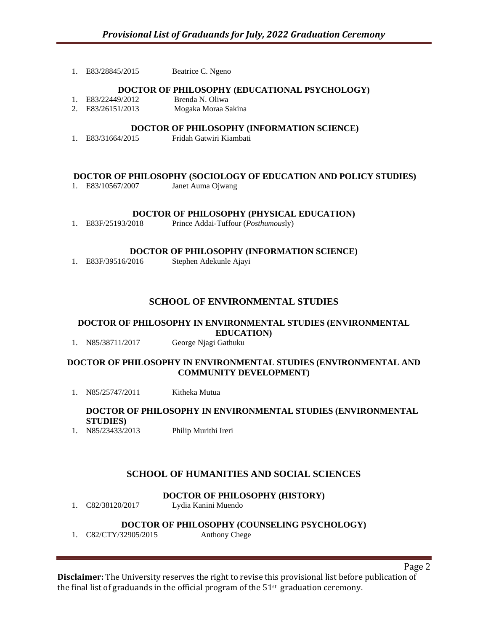1. E83/28845/2015 Beatrice C. Ngeno

#### **DOCTOR OF PHILOSOPHY (EDUCATIONAL PSYCHOLOGY)**

- 1. E83/22449/2012 Brenda N. Oliwa
- 2. E83/26151/2013 Mogaka Moraa Sakina

#### **DOCTOR OF PHILOSOPHY (INFORMATION SCIENCE)**

1. E83/31664/2015 Fridah Gatwiri Kiambati

#### **DOCTOR OF PHILOSOPHY (SOCIOLOGY OF EDUCATION AND POLICY STUDIES)**

1. E83/10567/2007 Janet Auma Ojwang

#### **DOCTOR OF PHILOSOPHY (PHYSICAL EDUCATION)**

1. E83F/25193/2018 Prince Addai-Tuffour (*Posthumous*ly)

#### **DOCTOR OF PHILOSOPHY (INFORMATION SCIENCE)**

1. E83F/39516/2016 Stephen Adekunle Ajayi

## **SCHOOL OF ENVIRONMENTAL STUDIES**

# **DOCTOR OF PHILOSOPHY IN ENVIRONMENTAL STUDIES (ENVIRONMENTAL EDUCATION)**

1. N85/38711/2017 George Njagi Gathuku

#### **DOCTOR OF PHILOSOPHY IN ENVIRONMENTAL STUDIES (ENVIRONMENTAL AND COMMUNITY DEVELOPMENT)**

1. N85/25747/2011 Kitheka Mutua

# **DOCTOR OF PHILOSOPHY IN ENVIRONMENTAL STUDIES (ENVIRONMENTAL**

**STUDIES**)<br>1. N85/23433/2013 Philip Murithi Ireri

## **SCHOOL OF HUMANITIES AND SOCIAL SCIENCES**

#### **DOCTOR OF PHILOSOPHY (HISTORY)**

1. C82/38120/2017 Lydia Kanini Muendo

#### **DOCTOR OF PHILOSOPHY (COUNSELING PSYCHOLOGY)**

1. C82/CTY/32905/2015 Anthony Chege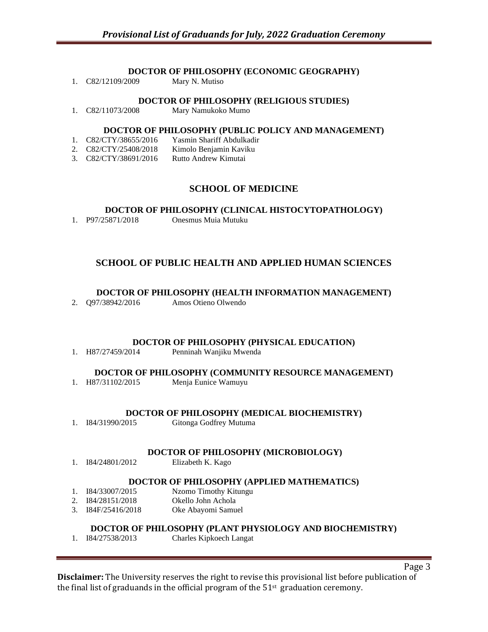#### **DOCTOR OF PHILOSOPHY (ECONOMIC GEOGRAPHY)**

| C82/12109/2009 | Mary N. Mutiso |
|----------------|----------------|
|                |                |

#### **DOCTOR OF PHILOSOPHY (RELIGIOUS STUDIES)**

1. C82/11073/2008 Mary Namukoko Mumo

#### **DOCTOR OF PHILOSOPHY (PUBLIC POLICY AND MANAGEMENT)**

- 1. C82/CTY/38655/2016 Yasmin Shariff Abdulkadir 2. C82/CTY/25408/2018 Kimolo Benjamin Kaviku
- 3. C82/CTY/38691/2016 Rutto Andrew Kimutai

# **SCHOOL OF MEDICINE**

#### **DOCTOR OF PHILOSOPHY (CLINICAL HISTOCYTOPATHOLOGY)**

1. P97/25871/2018 Onesmus Muia Mutuku

# **SCHOOL OF PUBLIC HEALTH AND APPLIED HUMAN SCIENCES**

#### **DOCTOR OF PHILOSOPHY (HEALTH INFORMATION MANAGEMENT)**

2. Q97/38942/2016 Amos Otieno Olwendo

#### **DOCTOR OF PHILOSOPHY (PHYSICAL EDUCATION)**

1. H87/27459/2014 Penninah Wanjiku Mwenda

#### **DOCTOR OF PHILOSOPHY (COMMUNITY RESOURCE MANAGEMENT)**

1. H87/31102/2015 Menja Eunice Wamuyu

#### **DOCTOR OF PHILOSOPHY (MEDICAL BIOCHEMISTRY)**

1. I84/31990/2015 Gitonga Godfrey Mutuma

#### **DOCTOR OF PHILOSOPHY (MICROBIOLOGY)**

1. I84/24801/2012 Elizabeth K. Kago

#### **DOCTOR OF PHILOSOPHY (APPLIED MATHEMATICS)**

- 1. I84/33007/2015 Nzomo Timothy Kitungu
- 2. I84/28151/2018 Okello John Achola
- 3. I84F/25416/2018 Oke Abayomi Samuel

## **DOCTOR OF PHILOSOPHY (PLANT PHYSIOLOGY AND BIOCHEMISTRY)**

1. I84/27538/2013 Charles Kipkoech Langat

Page 3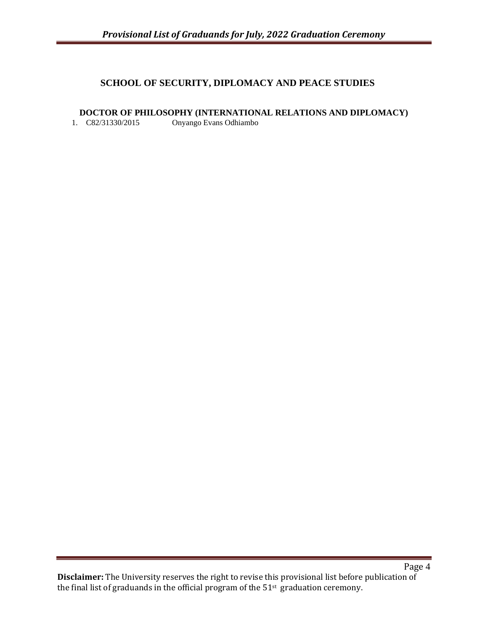# **SCHOOL OF SECURITY, DIPLOMACY AND PEACE STUDIES**

## **DOCTOR OF PHILOSOPHY (INTERNATIONAL RELATIONS AND DIPLOMACY)**

1. C82/31330/2015 Onyango Evans Odhiambo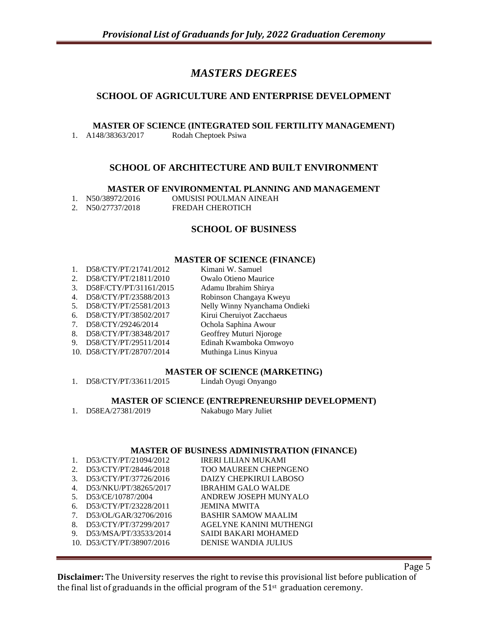# *MASTERS DEGREES*

# **SCHOOL OF AGRICULTURE AND ENTERPRISE DEVELOPMENT**

**MASTER OF SCIENCE (INTEGRATED SOIL FERTILITY MANAGEMENT)** 1. A148/38363/2017 Rodah Cheptoek Psiwa

#### **SCHOOL OF ARCHITECTURE AND BUILT ENVIRONMENT**

**MASTER OF ENVIRONMENTAL PLANNING AND MANAGEMENT**

- 1. N50/38972/2016 OMUSISI POULMAN AINEAH
	-
- 2. N50/27737/2018 FREDAH CHEROTICH

# **SCHOOL OF BUSINESS**

#### **MASTER OF SCIENCE (FINANCE)**

|                                              | D58/CTY/PT/21741/2012     | Kimani W. Samuel              |
|----------------------------------------------|---------------------------|-------------------------------|
| 2.                                           | D58/CTY/PT/21811/2010     | <b>Owalo Otieno Maurice</b>   |
| 3.                                           | D58F/CTY/PT/31161/2015    | Adamu Ibrahim Shirya          |
| 4.                                           | D58/CTY/PT/23588/2013     | Robinson Changaya Kweyu       |
| .5.                                          | D58/CTY/PT/25581/2013     | Nelly Winny Nyanchama Ondieki |
| 6.                                           | D58/CTY/PT/38502/2017     | Kirui Cheruiyot Zacchaeus     |
| $7_{\scriptscriptstyle{\ddot{\phantom{1}}}}$ | D58/CTY/29246/2014        | Ochola Saphina Awour          |
| 8.                                           | D58/CTY/PT/38348/2017     | Geoffrey Muturi Njoroge       |
| 9.                                           | D58/CTY/PT/29511/2014     | Edinah Kwamboka Omwoyo        |
|                                              | 10. D58/CTY/PT/28707/2014 | Muthinga Linus Kinyua         |
|                                              |                           |                               |

#### **MASTER OF SCIENCE (MARKETING)**

|  | D58/CTY/PT/33611/2015 | Lindah Oyugi Onyango |
|--|-----------------------|----------------------|
|--|-----------------------|----------------------|

#### **MASTER OF SCIENCE (ENTREPRENEURSHIP DEVELOPMENT)**

|  | D58EA/27381/2019 | Nakabugo Mary Juliet |
|--|------------------|----------------------|
|--|------------------|----------------------|

#### **MASTER OF BUSINESS ADMINISTRATION (FINANCE)**

|    | D53/CTY/PT/21094/2012     | <b>IRERI LILIAN MUKAMI</b>   |
|----|---------------------------|------------------------------|
| 2. | D53/CTY/PT/28446/2018     | <b>TOO MAUREEN CHEPNGENO</b> |
| 3. | D53/CTY/PT/37726/2016     | DAIZY CHEPKIRUI LABOSO       |
| 4. | D53/NKU/PT/38265/2017     | <b>IBRAHIM GALO WALDE</b>    |
| 5. | D53/CE/10787/2004         | ANDREW JOSEPH MUNYALO        |
| 6. | D53/CTY/PT/23228/2011     | <b>JEMINA MWITA</b>          |
| 7. | D53/OL/GAR/32706/2016     | <b>BASHIR SAMOW MAALIM</b>   |
| 8. | D53/CTY/PT/37299/2017     | AGELYNE KANINI MUTHENGI      |
| 9. | D53/MSA/PT/33533/2014     | <b>SAIDI BAKARI MOHAMED</b>  |
|    | 10. D53/CTY/PT/38907/2016 | DENISE WANDIA JULIUS         |

Page 5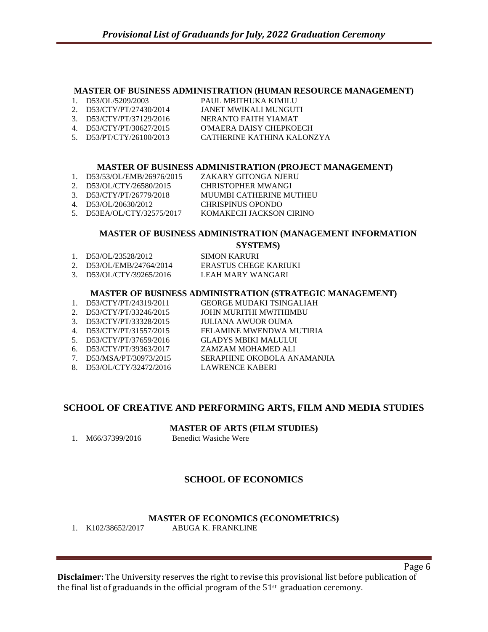#### **MASTER OF BUSINESS ADMINISTRATION (HUMAN RESOURCE MANAGEMENT)**

- 1. D53/OL/5209/2003 PAUL MBITHUKA KIMILU
- 2. D53/CTY/PT/27430/2014 JANET MWIKALI MUNGUTI
- 3. D53/CTY/PT/37129/2016 NERANTO FAITH YIAMAT 4. D53/CTY/PT/30627/2015 O'MAERA DAISY CHEPKOECH
- 
- 5. D53/PT/CTY/26100/2013 CATHERINE KATHINA KALONZYA

#### **MASTER OF BUSINESS ADMINISTRATION (PROJECT MANAGEMENT)**

- 1. D53/53/OL/EMB/26976/2015 ZAKARY GITONGA NJERU
- 2. D53/OL/CTY/26580/2015 CHRISTOPHER MWANGI
- 3. D53/CTY/PT/26779/2018 MUUMBI CATHERINE MUTHEU
- 4. D53/OL/20630/2012 CHRISPINUS OPONDO
- 5. D53EA/OL/CTY/32575/2017 KOMAKECH JACKSON CIRINO

#### **MASTER OF BUSINESS ADMINISTRATION (MANAGEMENT INFORMATION**

**SYSTEMS)**

| 1. D53/OL/23528/2012     | SIMON KARURI          |
|--------------------------|-----------------------|
| 2. D53/OL/EMB/24764/2014 | ERASTUS CHEGE KARIUKI |
| 3. D53/OL/CTY/39265/2016 | LEAH MARY WANGARI     |

#### **MASTER OF BUSINESS ADMINISTRATION (STRATEGIC MANAGEMENT)**

- 1. D53/CTY/PT/24319/2011 GEORGE MUDAKI TSINGALIAH 2. D53/CTY/PT/33246/2015 JOHN MURITHI MWITHIMBU
- 3. D53/CTY/PT/33328/2015 JULIANA AWUOR OUMA
- 4. D53/CTY/PT/31557/2015 FELAMINE MWENDWA MUTIRIA
- 5. D53/CTY/PT/37659/2016 GLADYS MBIKI MALULUI
- 6. D53/CTY/PT/39363/2017 ZAMZAM MOHAMED ALI
- 7. D53/MSA/PT/30973/2015 SERAPHINE OKOBOLA ANAMANJIA
- 8. D53/OL/CTY/32472/2016 LAWRENCE KABERI

# **SCHOOL OF CREATIVE AND PERFORMING ARTS, FILM AND MEDIA STUDIES**

**MASTER OF ARTS (FILM STUDIES)**

1. M66/37399/2016 Benedict Wasiche Were

# **SCHOOL OF ECONOMICS**

# **MASTER OF ECONOMICS (ECONOMETRICS)**

1. K102/38652/2017 ABUGA K. FRANKLINE

**Disclaimer:** The University reserves the right to revise this provisional list before publication of the final list of graduands in the official program of the  $51<sup>st</sup>$  graduation ceremony.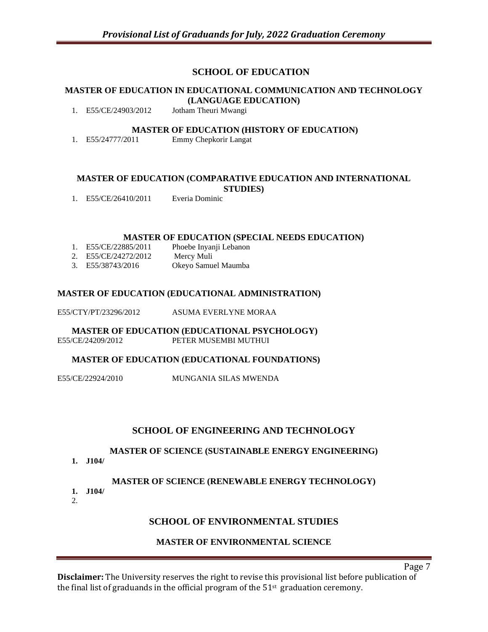# **SCHOOL OF EDUCATION**

### **MASTER OF EDUCATION IN EDUCATIONAL COMMUNICATION AND TECHNOLOGY (LANGUAGE EDUCATION)**

1. E55/CE/24903/2012 Jotham Theuri Mwangi

#### **MASTER OF EDUCATION (HISTORY OF EDUCATION)**

1. E55/24777/2011 Emmy Chepkorir Langat

#### **MASTER OF EDUCATION (COMPARATIVE EDUCATION AND INTERNATIONAL STUDIES)**

1. E55/CE/26410/2011 Everia Dominic

#### **MASTER OF EDUCATION (SPECIAL NEEDS EDUCATION)**

1. E55/CE/22885/2011 Phoebe Inyanji Lebanon 2. E55/CE/24272/2012 Mercy Muli 3. E55/38743/2016 Okeyo Samuel Maumba

#### **MASTER OF EDUCATION (EDUCATIONAL ADMINISTRATION)**

E55/CTY/PT/23296/2012 ASUMA EVERLYNE MORAA

**MASTER OF EDUCATION (EDUCATIONAL PSYCHOLOGY)** E55/CE/24209/2012 PETER MUSEMBI MUTHUI

#### **MASTER OF EDUCATION (EDUCATIONAL FOUNDATIONS)**

E55/CE/22924/2010 MUNGANIA SILAS MWENDA

## **SCHOOL OF ENGINEERING AND TECHNOLOGY**

#### **MASTER OF SCIENCE (SUSTAINABLE ENERGY ENGINEERING)**

**1. J104/**

#### **MASTER OF SCIENCE (RENEWABLE ENERGY TECHNOLOGY)**

**1. J104/** 2.

## **SCHOOL OF ENVIRONMENTAL STUDIES**

## **MASTER OF ENVIRONMENTAL SCIENCE**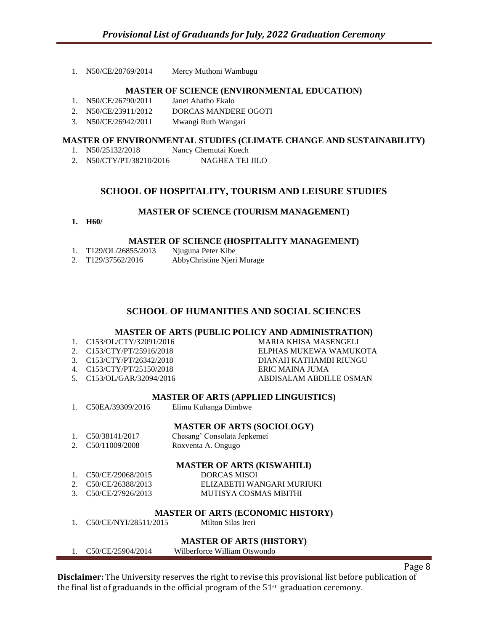1. N50/CE/28769/2014 Mercy Muthoni Wambugu

#### **MASTER OF SCIENCE (ENVIRONMENTAL EDUCATION)**

- 1. N50/CE/26790/2011 Janet Ahatho Ekalo
- 2. N50/CE/23911/2012 DORCAS MANDERE OGOTI
- 3. N50/CE/26942/2011 Mwangi Ruth Wangari

#### **MASTER OF ENVIRONMENTAL STUDIES (CLIMATE CHANGE AND SUSTAINABILITY)**

- 1. N50/25132/2018 Nancy Chemutai Koech
- 2. N50/CTY/PT/38210/2016 NAGHEA TEI JILO

#### **SCHOOL OF HOSPITALITY, TOURISM AND LEISURE STUDIES**

#### **MASTER OF SCIENCE (TOURISM MANAGEMENT)**

**1. H60/**

#### **MASTER OF SCIENCE (HOSPITALITY MANAGEMENT)**

1. T129/OL/26855/2013 Njuguna Peter Kibe 2. T129/37562/2016 AbbyChristine Njeri Murage

#### **SCHOOL OF HUMANITIES AND SOCIAL SCIENCES**

#### **MASTER OF ARTS (PUBLIC POLICY AND ADMINISTRATION)**

- 1. C153/OL/CTY/32091/2016 MARIA KHISA MASENGELI
- 
- 
- 4. C153/CTY/PT/25150/2018 ERIC MAINA JUMA
- 

#### **MASTER OF ARTS (APPLIED LINGUISTICS)**

1. C50EA/39309/2016 Elimu Kuhanga Dimbwe

#### **MASTER OF ARTS (SOCIOLOGY)**

1. C50/38141/2017 Chesang' Consolata Jepkemei 2. C50/11009/2008 Roxventa A. Ongugo

#### **MASTER OF ARTS (KISWAHILI)**

| 1. C50/CE/29068/2015 | <b>DORCAS MISOI</b>       |
|----------------------|---------------------------|
| 2. C50/CE/26388/2013 | ELIZABETH WANGARI MURIUKI |
| 3. C50/CE/27926/2013 | MUTISYA COSMAS MBITHI     |

#### **MASTER OF ARTS (ECONOMIC HISTORY)**

1. C50/CE/NYI/28511/2015 Milton Silas Ireri

#### **MASTER OF ARTS (HISTORY)**

1. C50/CE/25904/2014 Wilberforce William Otswondo

**Disclaimer:** The University reserves the right to revise this provisional list before publication of the final list of graduands in the official program of the  $51<sup>st</sup>$  graduation ceremony.

2. C153/CTY/PT/25916/2018 ELPHAS MUKEWA WAMUKOTA 3. C153/CTY/PT/26342/2018 DIANAH KATHAMBI RIUNGU 5. C153/OL/GAR/32094/2016 ABDISALAM ABDILLE OSMAN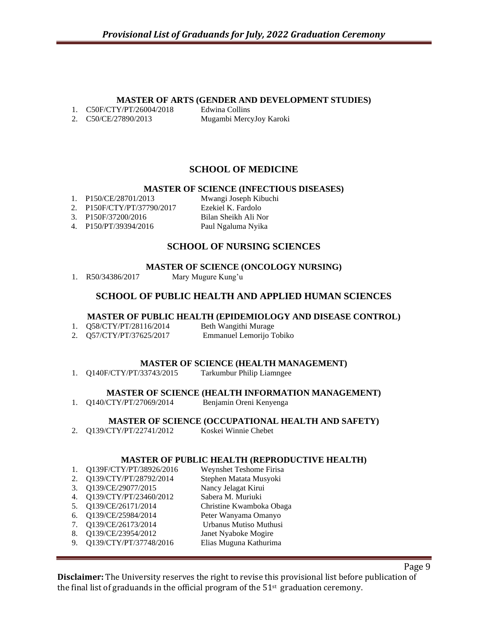#### **MASTER OF ARTS (GENDER AND DEVELOPMENT STUDIES)**

1. C50F/CTY/PT/26004/2018 Edwina Collins

2. C50/CE/27890/2013 Mugambi MercyJoy Karoki

# **SCHOOL OF MEDICINE**

#### **MASTER OF SCIENCE (INFECTIOUS DISEASES)**

- 
- 2. P150F/CTY/PT/37790/2017
- 
- 4. P150/PT/39394/2016 Paul Ngaluma Nyika

1. P150/CE/28701/2013 Mwangi Joseph Kibuchi<br>2. P150F/CTY/PT/37790/2017 Ezekiel K. Fardolo 3. P150F/37200/2016 Bilan Sheikh Ali Nor

## **SCHOOL OF NURSING SCIENCES**

#### **MASTER OF SCIENCE (ONCOLOGY NURSING)**

1. R50/34386/2017 Mary Mugure Kung'u

## **SCHOOL OF PUBLIC HEALTH AND APPLIED HUMAN SCIENCES**

#### **MASTER OF PUBLIC HEALTH (EPIDEMIOLOGY AND DISEASE CONTROL)**

|    | Q58/CTY/PT/28116/2014 | Beth Wangithi Murage     |
|----|-----------------------|--------------------------|
| 2. | Q57/CTY/PT/37625/2017 | Emmanuel Lemorijo Tobiko |

#### **MASTER OF SCIENCE (HEALTH MANAGEMENT)**

1. Q140F/CTY/PT/33743/2015 Tarkumbur Philip Liamngee

#### **MASTER OF SCIENCE (HEALTH INFORMATION MANAGEMENT)**

1. Q140/CTY/PT/27069/2014 Benjamin Oreni Kenyenga

#### **MASTER OF SCIENCE (OCCUPATIONAL HEALTH AND SAFETY)**

2. Q139/CTY/PT/22741/2012 Koskei Winnie Chebet

#### **MASTER OF PUBLIC HEALTH (REPRODUCTIVE HEALTH)**

| 1. | Q139F/CTY/PT/38926/2016 | Weynshet Teshome Firisa  |
|----|-------------------------|--------------------------|
|    |                         |                          |
| 2. | Q139/CTY/PT/28792/2014  | Stephen Matata Musyoki   |
| 3. | Q139/CE/29077/2015      | Nancy Jelagat Kirui      |
| 4. | Q139/CTY/PT/23460/2012  | Sabera M. Muriuki        |
| 5. | Q139/CE/26171/2014      | Christine Kwamboka Obaga |
| 6. | Q139/CE/25984/2014      | Peter Wanyama Omanyo     |
| 7. | Q139/CE/26173/2014      | Urbanus Mutiso Muthusi   |
| 8. | Q139/CE/23954/2012      | Janet Nyaboke Mogire     |
| 9. | Q139/CTY/PT/37748/2016  | Elias Muguna Kathurima   |
|    |                         |                          |

Page 9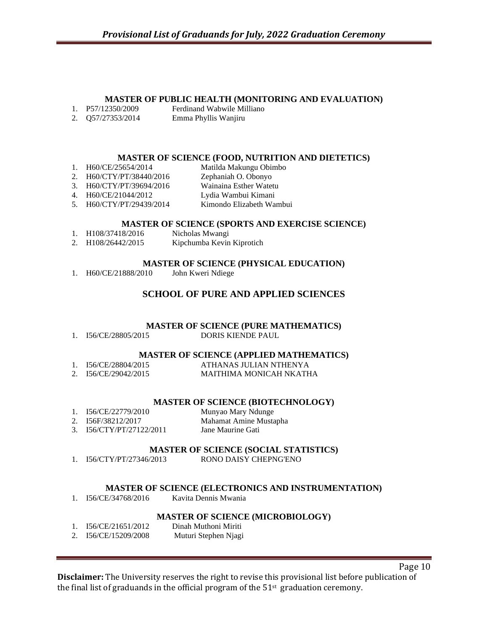#### **MASTER OF PUBLIC HEALTH (MONITORING AND EVALUATION)**

| P57/12350/2009 | Ferdinand Wabwile Milliano |
|----------------|----------------------------|
|                |                            |

2. Q57/27353/2014 Emma Phyllis Wanjiru

#### **MASTER OF SCIENCE (FOOD, NUTRITION AND DIETETICS)**

- 1. H60/CE/25654/2014 Matilda Makungu Obimbo 2. H60/CTY/PT/38440/2016 Zephaniah O. Obonyo 3. H60/CTY/PT/39694/2016 Wainaina Esther Watetu
- 4. H60/CE/21044/2012 Lydia Wambui Kimani
- 5. H60/CTY/PT/29439/2014 Kimondo Elizabeth Wambui

#### **MASTER OF SCIENCE (SPORTS AND EXERCISE SCIENCE)**

- 1. H108/37418/2016 Nicholas Mwangi
- 2. H108/26442/2015 Kipchumba Kevin Kiprotich

#### **MASTER OF SCIENCE (PHYSICAL EDUCATION)**

1. H60/CE/21888/2010 John Kweri Ndiege

# **SCHOOL OF PURE AND APPLIED SCIENCES**

#### **MASTER OF SCIENCE (PURE MATHEMATICS)**

1. I56/CE/28805/2015 DORIS KIENDE PAUL

#### **MASTER OF SCIENCE (APPLIED MATHEMATICS)**

| I56/CE/28804/2015    | ATHANAS JULIAN NTHENYA  |
|----------------------|-------------------------|
| 2. I56/CE/29042/2015 | MAITHIMA MONICAH NKATHA |

#### **MASTER OF SCIENCE (BIOTECHNOLOGY)**

| 1. I56/CE/22779/2010     | Munyao Mary Ndunge     |
|--------------------------|------------------------|
| 2. I56F/38212/2017       | Mahamat Amine Mustapha |
| 3. I56/CTY/PT/27122/2011 | Jane Maurine Gati      |

#### **MASTER OF SCIENCE (SOCIAL STATISTICS)**

1. I56/CTY/PT/27346/2013 RONO DAISY CHEPNG'ENO

#### **MASTER OF SCIENCE (ELECTRONICS AND INSTRUMENTATION)**

1. I56/CE/34768/2016 Kavita Dennis Mwania

#### **MASTER OF SCIENCE (MICROBIOLOGY)**

- 1. I56/CE/21651/2012 Dinah Muthoni Miriti
- 2. I56/CE/15209/2008 Muturi Stephen Njagi

**Disclaimer:** The University reserves the right to revise this provisional list before publication of the final list of graduands in the official program of the  $51<sup>st</sup>$  graduation ceremony.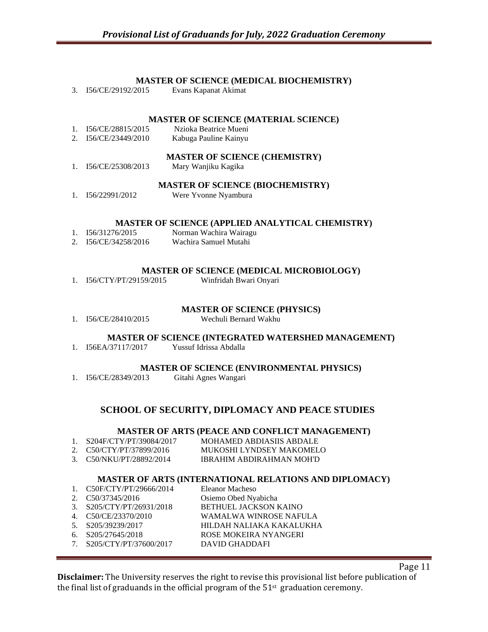#### **MASTER OF SCIENCE (MEDICAL BIOCHEMISTRY)**

3. I56/CE/29192/2015 Evans Kapanat Akimat

#### **MASTER OF SCIENCE (MATERIAL SCIENCE)**

- 1. I56/CE/28815/2015 Nzioka Beatrice Mueni 2. I56/CE/23449/2010 Kabuga Pauline Kainyu **MASTER OF SCIENCE (CHEMISTRY)**
- 1. I56/CE/25308/2013 Mary Wanjiku Kagika

#### **MASTER OF SCIENCE (BIOCHEMISTRY)**

1. I56/22991/2012 Were Yvonne Nyambura

#### **MASTER OF SCIENCE (APPLIED ANALYTICAL CHEMISTRY)**

- 1. I56/31276/2015 Norman Wachira Wairagu
- 2. I56/CE/34258/2016 Wachira Samuel Mutahi

#### **MASTER OF SCIENCE (MEDICAL MICROBIOLOGY)**

1. I56/CTY/PT/29159/2015 Winfridah Bwari Onyari

#### **MASTER OF SCIENCE (PHYSICS)**

1. I56/CE/28410/2015 Wechuli Bernard Wakhu

#### **MASTER OF SCIENCE (INTEGRATED WATERSHED MANAGEMENT)**

1. I56EA/37117/2017 Yussuf Idrissa Abdalla

#### **MASTER OF SCIENCE (ENVIRONMENTAL PHYSICS)**

1. I56/CE/28349/2013 Gitahi Agnes Wangari

## **SCHOOL OF SECURITY, DIPLOMACY AND PEACE STUDIES**

#### **MASTER OF ARTS (PEACE AND CONFLICT MANAGEMENT)**

| 1. S204F/CTY/PT/39084/2017                      | MOHAMED ABDIASIIS ABDALE |
|-------------------------------------------------|--------------------------|
| 2. $\text{C50}/\text{CTY}/\text{PT}/37899/2016$ | MUKOSHI LYNDSEY MAKOMELO |
| 3. C50/NKU/PT/28892/2014                        | IBRAHIM ABDIRAHMAN MOH'D |

## **MASTER OF ARTS (INTERNATIONAL RELATIONS AND DIPLOMACY)**

|                                |                             | <u>MIND I BIT OF THILLD (II) I BITT (IIII OI (III) I REBITTI OI (D'III).</u> |
|--------------------------------|-----------------------------|------------------------------------------------------------------------------|
|                                | 1. $C50F/CTY/PT/29666/2014$ | Eleanor Macheso                                                              |
| $\mathcal{D}$                  | C50/37345/2016              | Osiemo Obed Nyabicha                                                         |
| $\mathcal{R}$                  | S205/CTY/PT/26931/2018      | BETHUEL JACKSON KAINO                                                        |
| 4.                             | C50/CE/23370/2010           | WAMALWA WINROSE NAFULA                                                       |
| 5 <sub>1</sub>                 | S205/39239/2017             | HILDAH NALIAKA KAKALUKHA                                                     |
| 6.                             | S205/27645/2018             | ROSE MOKEIRA NYANGERI                                                        |
| $7_{\scriptscriptstyle{\sim}}$ | S205/CTY/PT/37600/2017      | <b>DAVID GHADDAFI</b>                                                        |
|                                |                             |                                                                              |

**Disclaimer:** The University reserves the right to revise this provisional list before publication of the final list of graduands in the official program of the  $51<sup>st</sup>$  graduation ceremony.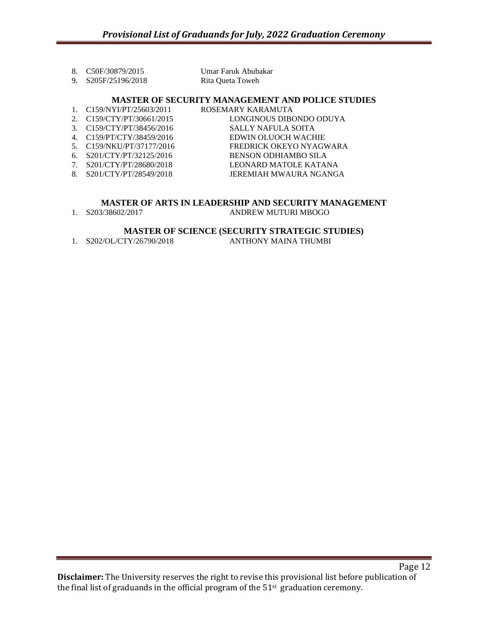| 8. C50F/30879/2015  | Umar Faruk Abubakar |
|---------------------|---------------------|
| 9. S205F/25196/2018 | Rita Queta Toweh    |

#### **MASTER OF SECURITY MANAGEMENT AND POLICE STUDIES**

- 1. C159/NYI/PT/25603/2011 ROSEMARY KARAMUTA
- 
- 
- 
- 
- 
- 
- 
- 2. C159/CTY/PT/30661/2015 LONGINOUS DIBONDO ODUYA 3. C159/CTY/PT/38456/2016 SALLY NAFULA SOITA 4. C159/PT/CTY/38459/2016 EDWIN OLUOCH WACHIE 5. C159/NKU/PT/37177/2016 FREDRICK OKEYO NYAGWARA 6. S201/CTY/PT/32125/2016 BENSON ODHIAMBO SILA 7. S201/CTY/PT/28680/2018 LEONARD MATOLE KATANA 8. S201/CTY/PT/28549/2018 JEREMIAH MWAURA NGANGA

#### **MASTER OF ARTS IN LEADERSHIP AND SECURITY MANAGEMENT**

1. S203/38602/2017 ANDREW MUTURI MBOGO

#### **MASTER OF SCIENCE (SECURITY STRATEGIC STUDIES)**

1. S202/OL/CTY/26790/2018 ANTHONY MAINA THUMBI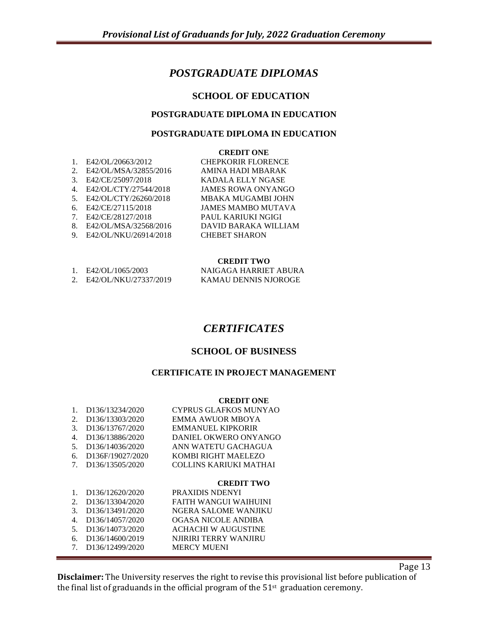# *POSTGRADUATE DIPLOMAS*

## **SCHOOL OF EDUCATION**

#### **POSTGRADUATE DIPLOMA IN EDUCATION**

#### **POSTGRADUATE DIPLOMA IN EDUCATION**

#### **CREDIT ONE**

| $\mathbf{1}$ .                   | E42/OL/20663/2012     | <b>CHEPKORIR FLORENCE</b> |
|----------------------------------|-----------------------|---------------------------|
| 2.                               | E42/OL/MSA/32855/2016 | AMINA HADI MBARAK         |
| $\mathcal{E}$                    | E42/CE/25097/2018     | <b>KADALA ELLY NGASE</b>  |
| $4_{\cdot}$                      | E42/OL/CTY/27544/2018 | <b>JAMES ROWA ONYANGO</b> |
| 5 <sub>1</sub>                   | E42/OL/CTY/26260/2018 | MBAKA MUGAMBI JOHN        |
| б.                               | E42/CE/27115/2018     | <b>JAMES MAMBO MUTAVA</b> |
| $7_{\scriptscriptstyle{\ddots}}$ | E42/CE/28127/2018     | PAUL KARIUKI NGIGI        |
| 8.                               | E42/OL/MSA/32568/2016 | DAVID BARAKA WILLIAM      |
| 9.                               | E42/OL/NKU/26914/2018 | <b>CHEBET SHARON</b>      |
|                                  |                       |                           |

#### **CREDIT TWO**

| E42/OL/1065/2003      | NAIGAGA HARRIET ABURA |
|-----------------------|-----------------------|
| E42/OL/NKU/27337/2019 | KAMAU DENNIS NJOROGE  |

# *CERTIFICATES*

#### **SCHOOL OF BUSINESS**

## **CERTIFICATE IN PROJECT MANAGEMENT**

#### **CREDIT ONE**

| 1. D136/13234/2020  | <b>CYPRUS GLAFKOS MUNYAO</b>  |
|---------------------|-------------------------------|
| 2. D136/13303/2020  | EMMA AWUOR MBOYA              |
| 3. D136/13767/2020  | <b>EMMANUEL KIPKORIR</b>      |
| 4. D136/13886/2020  | DANIEL OKWERO ONYANGO         |
| 5. D136/14036/2020  | ANN WATETU GACHAGUA           |
| 6. D136F/19027/2020 | KOMBI RIGHT MAELEZO           |
| 7. D136/13505/2020  | <b>COLLINS KARIUKI MATHAI</b> |
|                     |                               |

- **CREDIT TWO**<br>PRAXIDIS NDENYI 1. D136/12620/2020 2. D136/13304/2020 FAITH WANGUI WAIHUINI<br>3. D136/13491/2020 NGERA SALOME WANJIKU NGERA SALOME WANJIKU
- 4. D136/14057/2020 OGASA NICOLE ANDIBA
- 5. D136/14073/2020 ACHACHI W AUGUSTINE
- 6. D136/14600/2019 NJIRIRI TERRY WANJIRU
- 7. D136/12499/2020 MERCY MUENI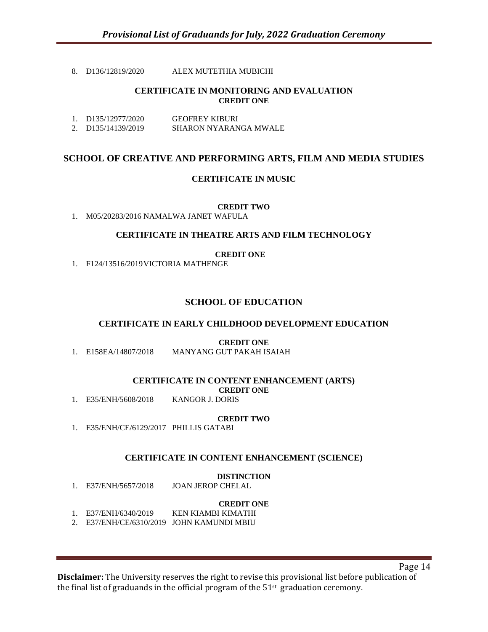#### 8. D136/12819/2020 ALEX MUTETHIA MUBICHI

#### **CERTIFICATE IN MONITORING AND EVALUATION CREDIT ONE**

| 1. $D135/12977/2020$ | <b>GEOFREY KIBURI</b> |
|----------------------|-----------------------|
| 2. D135/14139/2019   | SHARON NYARANGA MWALE |

# **SCHOOL OF CREATIVE AND PERFORMING ARTS, FILM AND MEDIA STUDIES**

#### **CERTIFICATE IN MUSIC**

#### **CREDIT TWO**

1. M05/20283/2016 NAMALWA JANET WAFULA

#### **CERTIFICATE IN THEATRE ARTS AND FILM TECHNOLOGY**

#### **CREDIT ONE**

1. F124/13516/2019VICTORIA MATHENGE

## **SCHOOL OF EDUCATION**

#### **CERTIFICATE IN EARLY CHILDHOOD DEVELOPMENT EDUCATION**

**CREDIT ONE**

1. E158EA/14807/2018 MANYANG GUT PAKAH ISAIAH

#### **CERTIFICATE IN CONTENT ENHANCEMENT (ARTS)**

**CREDIT ONE**<br>KANGOR J. DORIS

1. E35/ENH/5608/2018

#### **CREDIT TWO**

1. E35/ENH/CE/6129/2017 PHILLIS GATABI

#### **CERTIFICATE IN CONTENT ENHANCEMENT (SCIENCE)**

#### **DISTINCTION**

1. E37/ENH/5657/2018 JOAN JEROP CHELAL

- **CREDIT ONE**<br>KEN KIAMBI KIMATHI 1. E37/ENH/6340/2019
- 2. E37/ENH/CE/6310/2019 JOHN KAMUNDI MBIU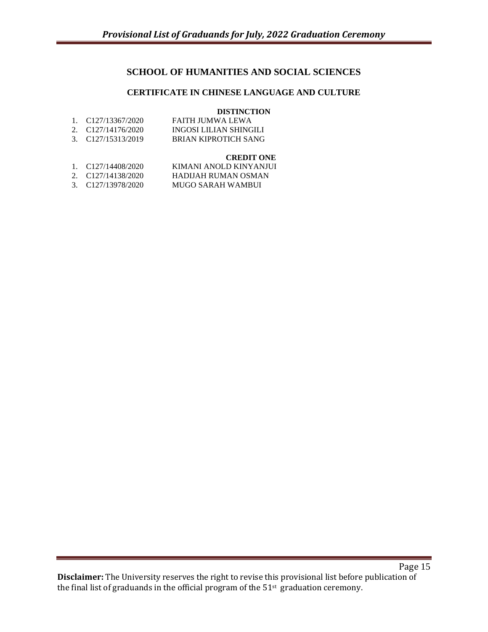# **SCHOOL OF HUMANITIES AND SOCIAL SCIENCES**

## **CERTIFICATE IN CHINESE LANGUAGE AND CULTURE**

#### **DISTINCTION**

| 1. C127/13367/2020 | FAITH JUMWA LEWA       |
|--------------------|------------------------|
| 2. C127/14176/2020 | INGOSI LILIAN SHINGILI |
| 3. C127/15313/2019 | BRIAN KIPROTICH SANG   |

#### **CREDIT ONE**

| 1. $C127/14408/2020$ | KIMANI ANOLD KINYANJUI |
|----------------------|------------------------|
| 2. C127/14138/2020   | HADIJAH RUMAN OSMAN    |
| 3. C127/13978/2020   | MUGO SARAH WAMBUI      |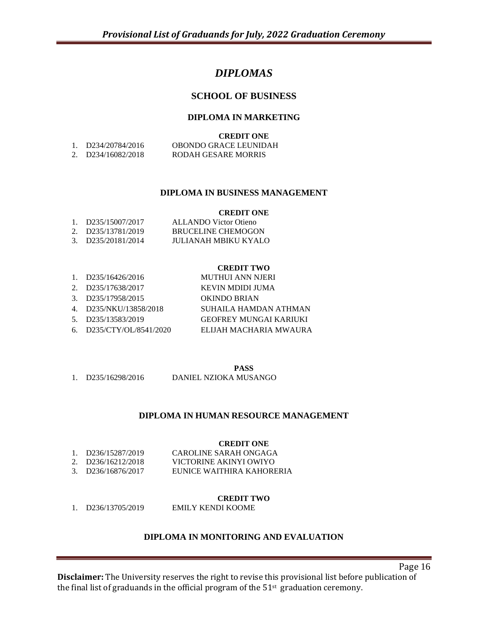# *DIPLOMAS*

# **SCHOOL OF BUSINESS**

#### **DIPLOMA IN MARKETING**

|                    | <b>CREDIT ONE</b>     |
|--------------------|-----------------------|
| 1. D234/20784/2016 | OBONDO GRACE LEUNIDAH |
| 2. D234/16082/2018 | RODAH GESARE MORRIS   |

#### **DIPLOMA IN BUSINESS MANAGEMENT**

#### **CREDIT ONE**

| 1. $D235/15007/2017$ | ALLANDO Victor Otieno     |
|----------------------|---------------------------|
| 2. D235/13781/2019   | <b>BRUCELINE CHEMOGON</b> |
| 3. D235/20181/2014   | JULIANAH MBIKU KYALO      |

#### **CREDIT TWO**

| 1. $D235/16426/2016$       | <b>MUTHUI ANN NJERI</b> |
|----------------------------|-------------------------|
| 2. D235/17638/2017         | KEVIN MDIDI JUMA        |
| 3. D235/17958/2015         | OKINDO BRIAN            |
| 4. D235/NKU/13858/2018     | SUHAILA HAMDAN ATHMAN   |
| 5. D235/13583/2019         | GEOFREY MUNGAI KARIUKI  |
| 6. $D235/CTY/OL/8541/2020$ | ELIJAH MACHARIA MWAURA  |

**PASS**

1. D235/16298/2016 DANIEL NZIOKA MUSANGO

#### **DIPLOMA IN HUMAN RESOURCE MANAGEMENT**

**CREDIT ONE**

|                    | UKEVII UNE                |
|--------------------|---------------------------|
| 1. D236/15287/2019 | CAROLINE SARAH ONGAGA     |
| 2. D236/16212/2018 | VICTORINE AKINYI OWIYO    |
| 3. D236/16876/2017 | EUNICE WAITHIRA KAHORERIA |
|                    |                           |

#### **CREDIT TWO**

1. D236/13705/2019 EMILY KENDI KOOME

#### **DIPLOMA IN MONITORING AND EVALUATION**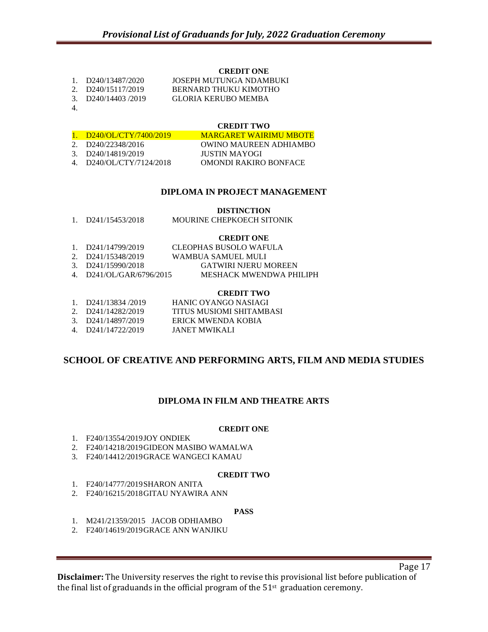#### **CREDIT ONE**

| D240/13487/2020 | JOSEPH MUTUNGA NDAMBUKI |
|-----------------|-------------------------|
|                 |                         |

- 2. D240/15117/2019 BERNARD THUKU KIMOTHO
- 3. D240/14403 /2019 GLORIA KERUBO MEMBA
- 4.

### **CREDIT TWO**

| 1. $D240/QL/CTY/7400/2019$      | <b>MARGARET WAIRIMU MBOTE</b> |
|---------------------------------|-------------------------------|
| 2. $D240/22348/2016$            | OWINO MAUREEN ADHIAMBO        |
| 3. D <sub>240</sub> /14819/2019 | JUSTIN MAYOGI                 |
| 4. $D240/OL/CTY/7124/2018$      | OMONDI RAKIRO BONFACE         |
|                                 |                               |

#### **DIPLOMA IN PROJECT MANAGEMENT**

#### **DISTINCTION**

| D <sub>241</sub> /15453/2018 | MOURINE CHEPKOECH SITONIK |
|------------------------------|---------------------------|
|                              |                           |

#### **CREDIT ONE**

| 1. D241/14799/2019              | CLEOPHAS BUSOLO WAFULA      |
|---------------------------------|-----------------------------|
| 2. D <sub>241</sub> /15348/2019 | WAMBUA SAMUEL MULI          |
| 3. $D241/15990/2018$            | <b>GATWIRI NJERU MOREEN</b> |
| 4. D241/OL/GAR/6796/2015        | MESHACK MWENDWA PHILIPH     |

#### **CREDIT TWO**

| 1. $D241/13834/2019$            | HANIC OYANGO NASIAGI            |
|---------------------------------|---------------------------------|
| 2. D <sub>241</sub> /14282/2019 | <b>TITUS MUSIOMI SHITAMBASI</b> |
| 3. D241/14897/2019              | ERICK MWENDA KOBIA              |
| 4. D241/14722/2019              | JANET MWIKALI                   |

## **SCHOOL OF CREATIVE AND PERFORMING ARTS, FILM AND MEDIA STUDIES**

## **DIPLOMA IN FILM AND THEATRE ARTS**

#### **CREDIT ONE**

- 1. F240/13554/2019JOY ONDIEK
- 2. F240/14218/2019GIDEON MASIBO WAMALWA
- 3. F240/14412/2019GRACE WANGECI KAMAU

#### **CREDIT TWO**

- 1. F240/14777/2019SHARON ANITA
- 2. F240/16215/2018GITAU NYAWIRA ANN

#### **PASS**

- 1. M241/21359/2015 JACOB ODHIAMBO
- 2. F240/14619/2019GRACE ANN WANJIKU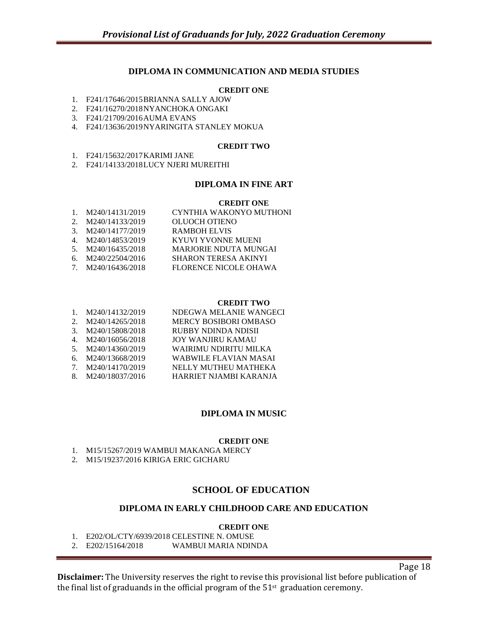#### **DIPLOMA IN COMMUNICATION AND MEDIA STUDIES**

#### **CREDIT ONE**

- 1. F241/17646/2015BRIANNA SALLY AJOW
- 2. F241/16270/2018NYANCHOKA ONGAKI
- 3. F241/21709/2016AUMA EVANS
- 4. F241/13636/2019NYARINGITA STANLEY MOKUA

#### **CREDIT TWO**

- 1. F241/15632/2017KARIMI JANE
- 2. F241/14133/2018LUCY NJERI MUREITHI

#### **DIPLOMA IN FINE ART**

#### **CREDIT ONE**

| 1. $M240/14131/2019$ | CYNTHIA WAKONYO MUTHONI      |
|----------------------|------------------------------|
| 2. M240/14133/2019   | <b>OLUOCH OTIENO</b>         |
| 3. M240/14177/2019   | <b>RAMBOH ELVIS</b>          |
| 4. M240/14853/2019   | KYUVI YVONNE MUENI           |
| 5. M240/16435/2018   | <b>MARJORIE NDUTA MUNGAI</b> |
| 6. M240/22504/2016   | <b>SHARON TERESA AKINYI</b>  |
| 7. M240/16436/2018   | FLORENCE NICOLE OHAWA        |
|                      |                              |

#### **CREDIT TWO**

| $1_{\cdot}$    | M240/14132/2019    | NDEGWA MELANIE WANGECI   |
|----------------|--------------------|--------------------------|
| $2^{1}$        | M240/14265/2018    | MERCY BOSIBORI OMBASO    |
| 3 <sub>1</sub> | M240/15808/2018    | RUBBY NDINDA NDISII      |
|                | 4. M240/16056/2018 | <b>JOY WANJIRU KAMAU</b> |
| 5.             | M240/14360/2019    | WAIRIMU NDIRITU MILKA    |
| б.             | M240/13668/2019    | WABWILE FLAVIAN MASAI    |
|                | 7. M240/14170/2019 | NELLY MUTHEU MATHEKA     |
| 8.             | M240/18037/2016    | HARRIET NJAMBI KARANJA   |
|                |                    |                          |

#### **DIPLOMA IN MUSIC**

#### **CREDIT ONE**

- 1. M15/15267/2019 WAMBUI MAKANGA MERCY
- 2. M15/19237/2016 KIRIGA ERIC GICHARU

#### **SCHOOL OF EDUCATION**

#### **DIPLOMA IN EARLY CHILDHOOD CARE AND EDUCATION**

#### **CREDIT ONE**

1. E202/OL/CTY/6939/2018 CELESTINE N. OMUSE

2. E202/15164/2018 WAMBUI MARIA NDINDA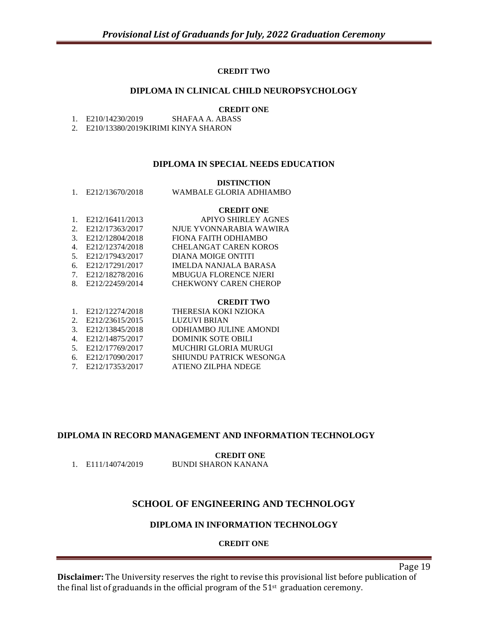#### **CREDIT TWO**

#### **DIPLOMA IN CLINICAL CHILD NEUROPSYCHOLOGY**

- **CREDIT ONE**<br>SHAFAA A. ABASS 1. E210/14230/2019
- 2. E210/13380/2019KIRIMI KINYA SHARON

#### **DIPLOMA IN SPECIAL NEEDS EDUCATION**

#### **DISTINCTION**

1. E212/13670/2018 WAMBALE GLORIA ADHIAMBO

#### **CREDIT ONE**

| 1. $E212/16411/2013$ | <b>APIYO SHIRLEY AGNES</b>   |
|----------------------|------------------------------|
| 2. E212/17363/2017   | NJUE YVONNARABIA WAWIRA      |
| 3. E212/12804/2018   | FIONA FAITH ODHIAMBO         |
| 4. E212/12374/2018   | <b>CHELANGAT CAREN KOROS</b> |
| 5. E212/17943/2017   | DIANA MOIGE ONTITI           |
| 6. E212/17291/2017   | <b>IMELDA NANJALA BARASA</b> |
| 7. E212/18278/2016   | <b>MBUGUA FLORENCE NJERI</b> |
| 8. E212/22459/2014   | <b>CHEKWONY CAREN CHEROP</b> |
|                      |                              |

#### **CREDIT TWO**

| 1. E212/12274/2018 | THERESIA KOKI NZIOKA           |
|--------------------|--------------------------------|
| 2. E212/23615/2015 | <b>LUZUVI BRIAN</b>            |
| 3. E212/13845/2018 | <b>ODHIAMBO JULINE AMONDI</b>  |
| 4. E212/14875/2017 | <b>DOMINIK SOTE OBILI</b>      |
| 5. E212/17769/2017 | <b>MUCHIRI GLORIA MURUGI</b>   |
| 6. E212/17090/2017 | <b>SHIUNDU PATRICK WESONGA</b> |
| 7. E212/17353/2017 | ATIENO ZILPHA NDEGE            |
|                    |                                |

#### **DIPLOMA IN RECORD MANAGEMENT AND INFORMATION TECHNOLOGY**

**CREDIT ONE**

1. E111/14074/2019 BUNDI SHARON KANANA

# **SCHOOL OF ENGINEERING AND TECHNOLOGY**

#### **DIPLOMA IN INFORMATION TECHNOLOGY**

#### **CREDIT ONE**

Page 19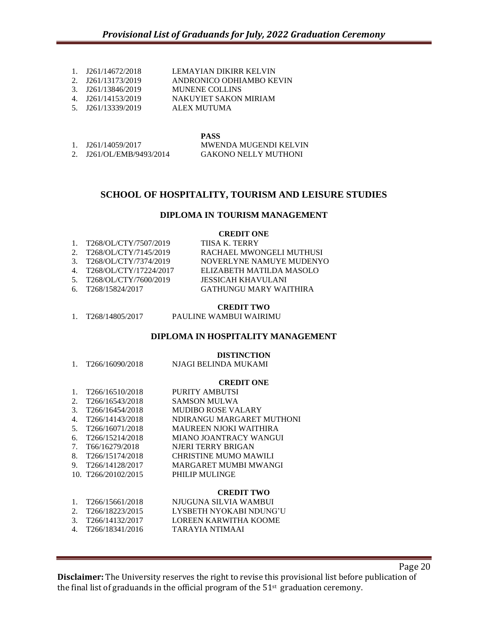- 1. J261/14672/2018 LEMAYIAN DIKIRR KELVIN
- 2. J261/13173/2019 ANDRONICO ODHIAMBO KEVIN
- 3. J261/13846/2019 MUNENE COLLINS
- 4. J261/14153/2019 NAKUYIET SAKON MIRIAM
- 5. J261/13339/2019 ALEX MUTUMA

|                          | <b>PASS</b>                 |
|--------------------------|-----------------------------|
| 1. J261/14059/2017       | MWENDA MUGENDI KELVIN       |
| 2. J261/OL/EMB/9493/2014 | <b>GAKONO NELLY MUTHONI</b> |

#### **SCHOOL OF HOSPITALITY, TOURISM AND LEISURE STUDIES**

#### **DIPLOMA IN TOURISM MANAGEMENT**

#### **CREDIT ONE**

| 1. $T268/OL/CTY/7507/2019$             | TIISA K. TERRY           |
|----------------------------------------|--------------------------|
| 2. T268/OL/CTY/7145/2019               | RACHAEL MWONGELI MUTHUSI |
| 3. T268/OL/CTY/7374/2019               | NOVERLYNE NAMUYE MUDENYO |
| 4. T <sub>268</sub> /OL/CTY/17224/2017 | ELIZABETH MATILDA MASOLO |
| 5. T268/OL/CTY/7600/2019               | JESSICAH KHAVULANI       |
| 6. T268/15824/2017                     | GATHUNGU MARY WAITHIRA   |

#### **CREDIT TWO**

#### **DIPLOMA IN HOSPITALITY MANAGEMENT**

#### **DISTINCTION**

1. T266/16090/2018 NJAGI BELINDA MUKAMI

#### **CREDIT ONE**

- 1. T266/16510/2018 PURITY AMBUTSI
- 2. T266/16543/2018 SAMSON MULWA
- 3. T266/16454/2018 MUDIBO ROSE VALARY
- 4. T266/14143/2018 NDIRANGU MARGARET MUTHONI
- 5. T266/16071/2018 MAUREEN NJOKI WAITHIRA 6. T266/15214/2018 MIANO JOANTRACY WANGUI
- 7. T66/16279/2018 NJERI TERRY BRIGAN
- 8. T266/15174/2018 CHRISTINE MUMO MAWILI
- 9. T266/14128/2017 MARGARET MUMBI MWANGI
- 10. T266/20102/2015 PHILIP MULINGE

#### **CREDIT TWO**

- 1. T266/15661/2018 NJUGUNA SILVIA WAMBUI
- 2. T266/18223/2015 LYSBETH NYOKABI NDUNG'U
- 3. T266/14132/2017 LOREEN KARWITHA KOOME
- 4. T266/18341/2016 TARAYIA NTIMAAI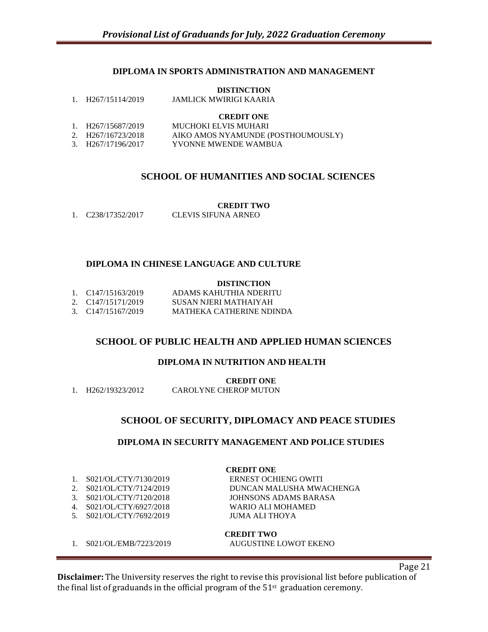#### **DIPLOMA IN SPORTS ADMINISTRATION AND MANAGEMENT**

#### **DISTINCTION**

#### **CREDIT ONE**

| 1. H <sub>267</sub> /15687/2019 | MUCHOKI ELVIS MUHARI               |
|---------------------------------|------------------------------------|
| 2. H267/16723/2018              | AIKO AMOS NYAMUNDE (POSTHOUMOUSLY) |
| 3. H267/17196/2017              | YVONNE MWENDE WAMBUA               |

#### **SCHOOL OF HUMANITIES AND SOCIAL SCIENCES**

#### **CREDIT TWO**

| C <sub>238</sub> /17352/2017<br>CLEVIS SIFUNA ARNEO |
|-----------------------------------------------------|
|-----------------------------------------------------|

#### **DIPLOMA IN CHINESE LANGUAGE AND CULTURE**

#### **DISTINCTION**

| 1. C147/15163/2019 | ADAMS KAHUTHIA NDERITU   |
|--------------------|--------------------------|
| 2. C147/15171/2019 | SUSAN NJERI MATHAIYAH    |
| 3. C147/15167/2019 | MATHEKA CATHERINE NDINDA |

#### **SCHOOL OF PUBLIC HEALTH AND APPLIED HUMAN SCIENCES**

#### **DIPLOMA IN NUTRITION AND HEALTH**

**CREDIT ONE**

#### **SCHOOL OF SECURITY, DIPLOMACY AND PEACE STUDIES**

#### **DIPLOMA IN SECURITY MANAGEMENT AND POLICE STUDIES**

| S021/OL/CTY/7130/2019 |  |
|-----------------------|--|
|-----------------------|--|

- 
- 
- 4. S021/OL/CTY/6927/2018 WARIO ALI MOHAMED
- 5. S021/OL/CTY/7692/2019 JUMA ALI THOYA

**CREDIT ONE** ERNEST OCHIENG OWITI 2. S021/OL/CTY/7124/2019 DUNCAN MALUSHA MWACHENGA 3. S021/OL/CTY/7120/2018 JOHNSONS ADAMS BARASA

**CREDIT TWO** 1. S021/OL/EMB/7223/2019 AUGUSTINE LOWOT EKENO

**Disclaimer:** The University reserves the right to revise this provisional list before publication of the final list of graduands in the official program of the  $51<sup>st</sup>$  graduation ceremony.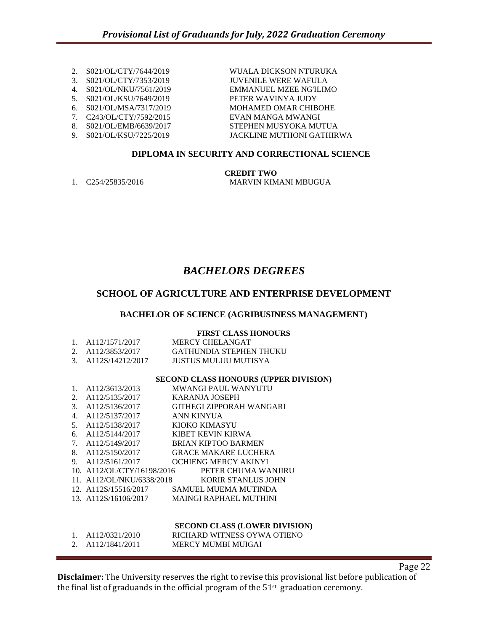- 
- 
- 
- 
- 
- 
- 

2. S021/OL/CTY/7644/2019 WUALA DICKSON NTURUKA 3. S021/OL/CTY/7353/2019 JUVENILE WERE WAFULA 4. S021/OL/NKU/7561/2019 EMMANUEL MZEE NG'ILIMO 5. S021/OL/KSU/7649/2019 PETER WAVINYA JUDY 6. S021/OL/MSA/7317/2019 MOHAMED OMAR CHIBOHE 7. C243/OL/CTY/7592/2015 EVAN MANGA MWANGI STEPHEN MUSYOKA MUTUA 9. S021/OL/KSU/7225/2019 JACKLINE MUTHONI GATHIRWA

## **DIPLOMA IN SECURITY AND CORRECTIONAL SCIENCE**

**CREDIT TWO**

1. C254/25835/2016 MARVIN KIMANI MBUGUA

# *BACHELORS DEGREES*

# **SCHOOL OF AGRICULTURE AND ENTERPRISE DEVELOPMENT**

#### **BACHELOR OF SCIENCE (AGRIBUSINESS MANAGEMENT)**

#### **FIRST CLASS HONOURS**

| 1. | A112/1571/2017                      | <b>MERCY CHELANGAT</b>                       |
|----|-------------------------------------|----------------------------------------------|
|    |                                     | 2. A112/3853/2017 GATHUNDIA STEPHEN THUKU    |
|    |                                     | 3. A112S/14212/2017 JUSTUS MULUU MUTISYA     |
|    |                                     |                                              |
|    |                                     | SECOND CLASS HONOURS (UPPER DIVISION)        |
| 1. | A112/3613/2013                      | MWANGI PAUL WANYUTU                          |
|    | 2. A112/5135/2017                   | KARANJA JOSEPH                               |
|    |                                     | 3. A112/5136/2017 GITHEGI ZIPPORAH WANGARI   |
|    | 4. A112/5137/2017 ANN KINYUA        |                                              |
|    | 5. A112/5138/2017 KIOKO KIMASYU     |                                              |
|    | 6. A112/5144/2017 KIBET KEVIN KIRWA |                                              |
|    |                                     | 7. A112/5149/2017 BRIAN KIPTOO BARMEN        |
|    | 8. A112/5150/2017                   | <b>GRACE MAKARE LUCHERA</b>                  |
|    | 9. A112/5161/2017                   | <b>OCHIENG MERCY AKINYI</b>                  |
|    | 10. A112/OL/CTY/16198/2016          | PETER CHUMA WANJIRU                          |
|    |                                     | 11. A112/OL/NKU/6338/2018 KORIR STANLUS JOHN |
|    |                                     | 12. A112S/15516/2017 SAMUEL MUEMA MUTINDA    |
|    |                                     | 13. A112S/16106/2017 MAINGI RAPHAEL MUTHINI  |
|    |                                     |                                              |
|    |                                     |                                              |
|    |                                     |                                              |

# **SECOND CLASS (LOWER DIVISION)**

|               | A112/0321/2010 | RICHARD WITNESS OYWA OTIENO |
|---------------|----------------|-----------------------------|
| <u>، ، ، </u> | A112/1841/2011 | MERCY MUMBI MUIGAI          |

**Disclaimer:** The University reserves the right to revise this provisional list before publication of the final list of graduands in the official program of the  $51<sup>st</sup>$  graduation ceremony.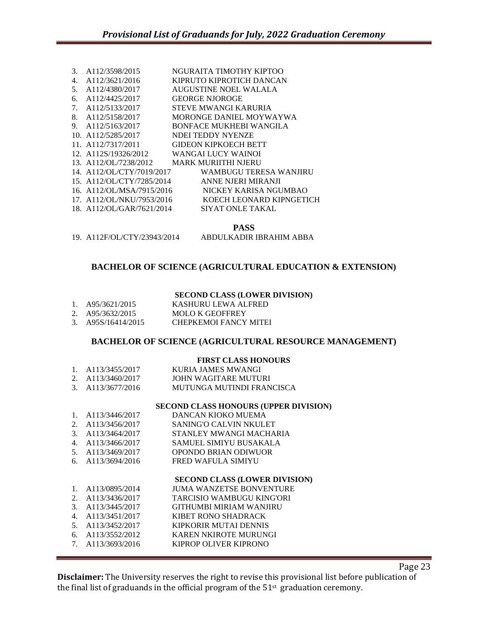| 3. | A112/3598/2015            | NGURAITA TIMOTHY KIPTOO        |
|----|---------------------------|--------------------------------|
| 4. | A112/3621/2016            | KIPRUTO KIPROTICH DANCAN       |
| 5. | A112/4380/2017            | AUGUSTINE NOEL WALALA          |
| 6. | A112/4425/2017            | <b>GEORGE NJOROGE</b>          |
| 7. | A112/5133/2017            | STEVE MWANGI KARURIA           |
| 8. | A112/5158/2017            | MORONGE DANIEL MOYWAYWA        |
| 9. | A112/5163/2017            | <b>BONFACE MUKHEBI WANGILA</b> |
|    | 10. A112/5285/2017        | NDEI TEDDY NYENZE              |
|    | 11. A112/7317/2011        | <b>GIDEON KIPKOECH BETT</b>    |
|    | 12. A112S/19326/2012      | <b>WANGAI LUCY WAINOI</b>      |
|    | 13. A112/OL/7238/2012     | <b>MARK MURIITHI NJERU</b>     |
|    | 14. A112/OL/CTY/7019/2017 | WAMBUGU TERESA WANJIRU         |
|    | 15. A112/OL/CTY/7285/2014 | ANNE NJERI MIRANJI             |
|    | 16. A112/OL/MSA/7915/2016 | NICKEY KARISA NGUMBAO          |
|    | 17. A112/OL/NKU/7953/2016 | KOECH LEONARD KIPNGETICH       |
|    | 18. A112/OL/GAR/7621/2014 | SIYAT ONLE TAKAL               |
|    |                           |                                |

**PASS**

19. A112F/OL/CTY/23943/2014 ABDULKADIR IBRAHIM ABBA

#### **BACHELOR OF SCIENCE (AGRICULTURAL EDUCATION & EXTENSION)**

#### **SECOND CLASS (LOWER DIVISION)**

| A95/3621/2015 | KASHURU LEWA ALFRED |
|---------------|---------------------|
|               |                     |

- 2. A95/3632/2015 MOLO K GEOFFREY
- 3. A95S/16414/2015 CHEPKEMOI FANCY MITEI

#### **BACHELOR OF SCIENCE (AGRICULTURAL RESOURCE MANAGEMENT)**

#### **FIRST CLASS HONOURS**

| 1. A113/3455/2017 | KURIA JAMES MWANGI        |
|-------------------|---------------------------|
| 2. A113/3460/2017 | JOHN WAGITARE MUTURI      |
| 3. A113/3677/2016 | MUTUNGA MUTINDI FRANCISCA |

#### **SECOND CLASS HONOURS (UPPER DIVISION)**

| 1. $A113/3446/2017$ | DANCAN KIOKO MUEMA        |
|---------------------|---------------------------|
| 2. A113/3456/2017   | SANING'O CALVIN NKULET    |
| 3. A113/3464/2017   | STANLEY MWANGI MACHARIA   |
| 4. A113/3466/2017   | SAMUEL SIMIYU BUSAKALA    |
| 5. A113/3469/2017   | OPONDO BRIAN ODIWUOR      |
| 6. $A113/3694/2016$ | <b>FRED WAFULA SIMIYU</b> |

#### **SECOND CLASS (LOWER DIVISION)**

- 1. A113/0895/2014 JUMA WANZETSE BONVENTURE 2. A113/3436/2017 TARCISIO WAMBUGU KING'ORI 3. A113/3445/2017 GITHUMBI MIRIAM WANJIRU 4. A113/3451/2017 KIBET RONO SHADRACK<br>5. A113/3452/2017 KIPKORIR MUTAI DENNIS KIPKORIR MUTAI DENNIS 6. A113/3552/2012 KAREN NKIROTE MURUNGI
- 7. A113/3693/2016 KIPROP OLIVER KIPRONO

**Disclaimer:** The University reserves the right to revise this provisional list before publication of the final list of graduands in the official program of the  $51<sup>st</sup>$  graduation ceremony.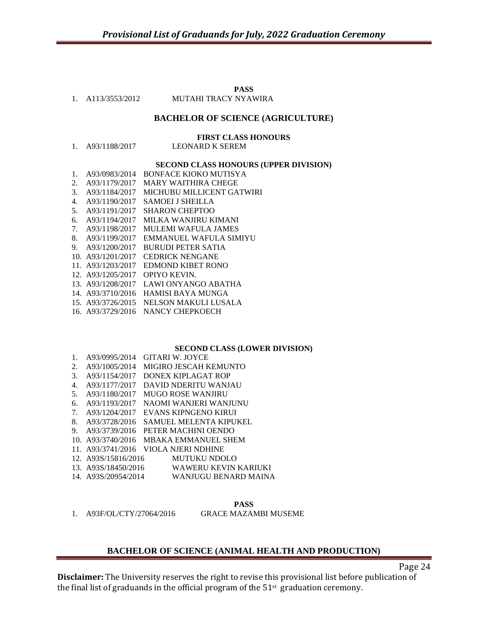**PASS**

# 1. A113/3553/2012 MUTAHI TRACY NYAWIRA

#### **BACHELOR OF SCIENCE (AGRICULTURE)**

**FIRST CLASS HONOURS**

#### **SECOND CLASS HONOURS (UPPER DIVISION)**

| 1. | A93/0983/2014     | <b>BONFACE KIOKO MUTISYA</b> |
|----|-------------------|------------------------------|
| 2. | A93/1179/2017     | MARY WAITHIRA CHEGE          |
| 3. | A93/1184/2017     | MICHUBU MILLICENT GATWIRI    |
| 4. | A93/1190/2017     | SAMOEI I SHEILLA             |
| 5. | A93/1191/2017     | <b>SHARON CHEPTOO</b>        |
| 6. | A93/1194/2017     | MILKA WANJIRU KIMANI         |
| 7. | A93/1198/2017     | <b>MULEMI WAFULA JAMES</b>   |
| 8. | A93/1199/2017     | EMMANUEL WAFULA SIMIYU       |
| 9. | A93/1200/2017     | <b>BURUDI PETER SATIA</b>    |
|    | 10. A93/1201/2017 | <b>CEDRICK NENGANE</b>       |
|    | 11. A93/1203/2017 | EDMOND KIBET RONO            |
|    | 12. A93/1205/2017 | OPIYO KEVIN.                 |
|    | 13. A93/1208/2017 | LAWI ONYANGO ABATHA          |
|    | 14. A93/3710/2016 | HAMISI BAYA MUNGA            |
|    | 15. A93/3726/2015 | NELSON MAKULI LUSALA         |
|    | 16. A93/3729/2016 | NANCY CHEPKOECH              |
|    |                   |                              |

#### **SECOND CLASS (LOWER DIVISION)**

| $1_{\cdot}$ | A93/0995/2014    | GITARI W. JOYCE                                                                                                                                                                                                                                                                                                         |
|-------------|------------------|-------------------------------------------------------------------------------------------------------------------------------------------------------------------------------------------------------------------------------------------------------------------------------------------------------------------------|
|             | 2. A93/1005/2014 | MIGIRO JESCAH KEMUNTO                                                                                                                                                                                                                                                                                                   |
|             | 3. A93/1154/2017 | DONEX KIPLAGAT ROP                                                                                                                                                                                                                                                                                                      |
| 4.          | A93/1177/2017    | DAVID NDERITU WANJAU                                                                                                                                                                                                                                                                                                    |
|             | 5. A93/1180/2017 | <b>MUGO ROSE WANJIRU</b>                                                                                                                                                                                                                                                                                                |
|             | 6. A93/1193/2017 | NAOMI WANJERI WANJUNU                                                                                                                                                                                                                                                                                                   |
|             | 7. A93/1204/2017 | EVANS KIPNGENO KIRUI                                                                                                                                                                                                                                                                                                    |
|             | 8. A93/3728/2016 | SAMUEL MELENTA KIPUKEL                                                                                                                                                                                                                                                                                                  |
|             | 9. A93/3739/2016 | PETER MACHINI OENDO                                                                                                                                                                                                                                                                                                     |
|             |                  | 10. A93/3740/2016 MBAKA EMMANUEL SHEM                                                                                                                                                                                                                                                                                   |
|             |                  | 11. A93/3741/2016 VIOLA NJERI NDHINE                                                                                                                                                                                                                                                                                    |
|             |                  | 10 $\triangle$ 0.00 $\angle$ = 0.1 $\angle$ 0.01 $\angle$ = 0.11 $\angle$ 0.11 $\angle$ 0.11 $\angle$ 0.11 $\angle$ 0.12 $\angle$ 0.12 $\angle$ 0.12 $\angle$ 0.12 $\angle$ 0.12 $\angle$ 0.12 $\angle$ 0.12 $\angle$ 0.12 $\angle$ 0.12 $\angle$ 0.12 $\angle$ 0.12 $\angle$ 0.12 $\angle$ 0.12 $\angle$ 0.12 $\angle$ |

- 12. A93S/15816/2016 MUTUKU NDOLO
- 13. A93S/18450/2016 WAWERU KEVIN KARIUKI
- 14. A93S/20954/2014 WANJUGU BENARD MAINA

#### **PASS**

1. A93F/OL/CTY/27064/2016 GRACE MAZAMBI MUSEME

#### **BACHELOR OF SCIENCE (ANIMAL HEALTH AND PRODUCTION)**

Page 24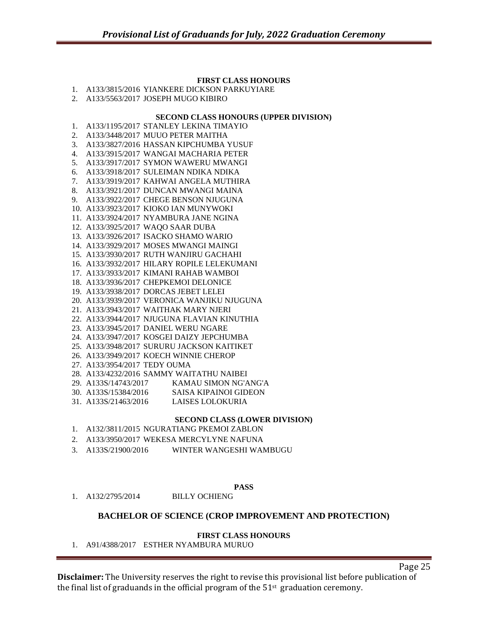#### **FIRST CLASS HONOURS**

- 1. A133/3815/2016 YIANKERE DICKSON PARKUYIARE
- 2. A133/5563/2017 JOSEPH MUGO KIBIRO

#### **SECOND CLASS HONOURS (UPPER DIVISION)**

- 1. A133/1195/2017 STANLEY LEKINA TIMAYIO
- 2. A133/3448/2017 MUUO PETER MAITHA
- 3. A133/3827/2016 HASSAN KIPCHUMBA YUSUF
- 4. A133/3915/2017 WANGAI MACHARIA PETER
- 5. A133/3917/2017 SYMON WAWERU MWANGI
- 6. A133/3918/2017 SULEIMAN NDIKA NDIKA
- 7. A133/3919/2017 KAHWAI ANGELA MUTHIRA
- 8. A133/3921/2017 DUNCAN MWANGI MAINA
- 9. A133/3922/2017 CHEGE BENSON NJUGUNA
- 10. A133/3923/2017 KIOKO IAN MUNYWOKI
- 11. A133/3924/2017 NYAMBURA JANE NGINA
- 12. A133/3925/2017 WAQO SAAR DUBA
- 13. A133/3926/2017 ISACKO SHAMO WARIO
- 14. A133/3929/2017 MOSES MWANGI MAINGI
- 15. A133/3930/2017 RUTH WANJIRU GACHAHI
- 16. A133/3932/2017 HILARY ROPILE LELEKUMANI
- 17. A133/3933/2017 KIMANI RAHAB WAMBOI
- 18. A133/3936/2017 CHEPKEMOI DELONICE
- 19. A133/3938/2017 DORCAS JEBET LELEI
- 20. A133/3939/2017 VERONICA WANJIKU NJUGUNA
- 21. A133/3943/2017 WAITHAK MARY NJERI
- 22. A133/3944/2017 NJUGUNA FLAVIAN KINUTHIA
- 23. A133/3945/2017 DANIEL WERU NGARE
- 24. A133/3947/2017 KOSGEI DAIZY JEPCHUMBA
- 25. A133/3948/2017 SURURU JACKSON KAITIKET
- 26. A133/3949/2017 KOECH WINNIE CHEROP
- 27. A133/3954/2017 TEDY OUMA
- 28. A133/4232/2016 SAMMY WAITATHU NAIBEI
- 29. A133S/14743/2017 KAMAU SIMON NG'ANG'A
- 30. A133S/15384/2016 SAISA KIPAINOI GIDEON
- 31. A133S/21463/2016 LAISES LOLOKURIA

#### **SECOND CLASS (LOWER DIVISION)**

- 1. A132/3811/2015 NGURATIANG PKEMOI ZABLON
- 2. A133/3950/2017 WEKESA MERCYLYNE NAFUNA
- 3. A133S/21900/2016 WINTER WANGESHI WAMBUGU
	- **PASS**

1. A132/2795/2014 BILLY OCHIENG

#### **BACHELOR OF SCIENCE (CROP IMPROVEMENT AND PROTECTION)**

#### **FIRST CLASS HONOURS**

1. A91/4388/2017 ESTHER NYAMBURA MURUO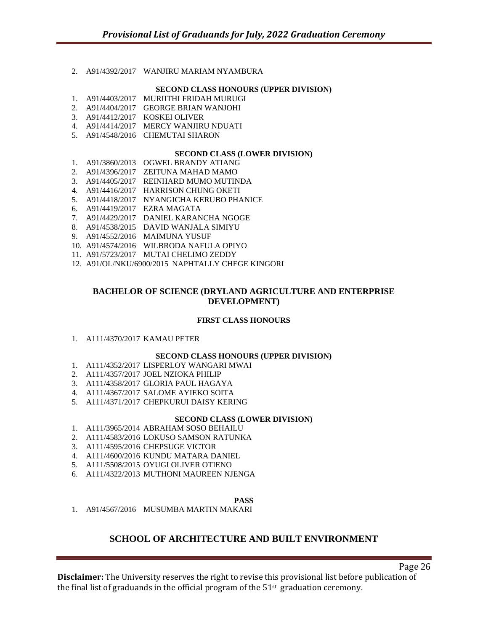2. A91/4392/2017 WANJIRU MARIAM NYAMBURA

#### **SECOND CLASS HONOURS (UPPER DIVISION)**

- 1. A91/4403/2017 MURIITHI FRIDAH MURUGI
- 2. A91/4404/2017 GEORGE BRIAN WANJOHI
- 3. A91/4412/2017 KOSKEI OLIVER
- 4. A91/4414/2017 MERCY WANJIRU NDUATI
- 5. A91/4548/2016 CHEMUTAI SHARON

#### **SECOND CLASS (LOWER DIVISION)**

- 1. A91/3860/2013 OGWEL BRANDY ATIANG
- 2. A91/4396/2017 ZEITUNA MAHAD MAMO
- 3. A91/4405/2017 REINHARD MUMO MUTINDA
- 4. A91/4416/2017 HARRISON CHUNG OKETI
- 5. A91/4418/2017 NYANGICHA KERUBO PHANICE
- 6. A91/4419/2017 EZRA MAGATA
- 7. A91/4429/2017 DANIEL KARANCHA NGOGE
- 8. A91/4538/2015 DAVID WANJALA SIMIYU
- 9. A91/4552/2016 MAIMUNA YUSUF
- 10. A91/4574/2016 WILBRODA NAFULA OPIYO
- 11. A91/5723/2017 MUTAI CHELIMO ZEDDY
- 12. A91/OL/NKU/6900/2015 NAPHTALLY CHEGE KINGORI

#### **BACHELOR OF SCIENCE (DRYLAND AGRICULTURE AND ENTERPRISE DEVELOPMENT)**

#### **FIRST CLASS HONOURS**

1. A111/4370/2017 KAMAU PETER

#### **SECOND CLASS HONOURS (UPPER DIVISION)**

- 1. A111/4352/2017 LISPERLOY WANGARI MWAI
- 2. A111/4357/2017 JOEL NZIOKA PHILIP
- 3. A111/4358/2017 GLORIA PAUL HAGAYA
- 4. A111/4367/2017 SALOME AYIEKO SOITA
- 5. A111/4371/2017 CHEPKURUI DAISY KERING

#### **SECOND CLASS (LOWER DIVISION)**

- 1. A111/3965/2014 ABRAHAM SOSO BEHAILU
- 2. A111/4583/2016 LOKUSO SAMSON RATUNKA
- 3. A111/4595/2016 CHEPSUGE VICTOR
- 4. A111/4600/2016 KUNDU MATARA DANIEL
- 5. A111/5508/2015 OYUGI OLIVER OTIENO
- 6. A111/4322/2013 MUTHONI MAUREEN NJENGA

#### **PASS**

1. A91/4567/2016 MUSUMBA MARTIN MAKARI

## **SCHOOL OF ARCHITECTURE AND BUILT ENVIRONMENT**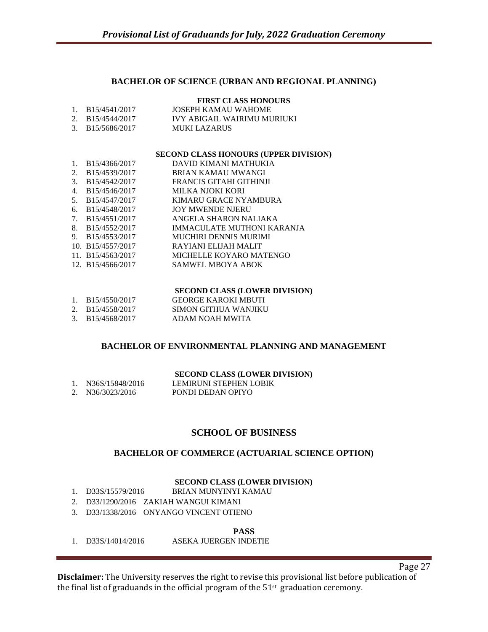#### **BACHELOR OF SCIENCE (URBAN AND REGIONAL PLANNING)**

#### **FIRST CLASS HONOURS**

|        | B15/4541/2017    | JOSEPH KAMAU WAHOME         |
|--------|------------------|-----------------------------|
|        | 2. B15/4544/2017 | IVY ABIGAIL WAIRIMU MURIUKI |
| $\sim$ | D1E/ECOCD017     | MITIZI LZADIJO              |

3. B15/5686/2017 MUKI LAZARUS

#### **SECOND CLASS HONOURS (UPPER DIVISION)**

| 1.                               | B15/4366/2017     | DAVID KIMANI MATHUKIA        |
|----------------------------------|-------------------|------------------------------|
| 2.                               | B15/4539/2017     | BRIAN KAMAU MWANGI           |
| 3.                               | B15/4542/2017     | FRANCIS GITAHI GITHINJI      |
| 4.                               | B15/4546/2017     | MILKA NJOKI KORI             |
| 5.                               | B15/4547/2017     | KIMARU GRACE NYAMBURA        |
| 6.                               | B15/4548/2017     | <b>JOY MWENDE NJERU</b>      |
| $7_{\scriptscriptstyle{\ddots}}$ | B15/4551/2017     | ANGELA SHARON NALIAKA        |
| 8.                               | B15/4552/2017     | IMMACULATE MUTHONI KARANJA   |
| 9.                               | B15/4553/2017     | <b>MUCHIRI DENNIS MURIMI</b> |
|                                  | 10. B15/4557/2017 | RAYIANI ELIJAH MALIT         |
|                                  | 11. B15/4563/2017 | MICHELLE KOYARO MATENGO      |
|                                  | 12. B15/4566/2017 | <b>SAMWEL MBOYA ABOK</b>     |

#### **SECOND CLASS (LOWER DIVISION)**

| B15/4550/2017 | <b>GEORGE KAROKI MBUTI</b> |
|---------------|----------------------------|
| B15/4558/2017 | SIMON GITHUA WANJIKU       |

3. B15/4568/2017 ADAM NOAH MWITA

#### **BACHELOR OF ENVIRONMENTAL PLANNING AND MANAGEMENT**

|                    | <b>SECOND CLASS (LOWER DIVISION)</b> |
|--------------------|--------------------------------------|
| 1. N36S/15848/2016 | LEMIRUNI STEPHEN LOBIK               |
| 2. N36/3023/2016   | PONDI DEDAN OPIYO                    |

## **SCHOOL OF BUSINESS**

#### **BACHELOR OF COMMERCE (ACTUARIAL SCIENCE OPTION)**

#### **SECOND CLASS (LOWER DIVISION)**

- 1. D33S/15579/2016 BRIAN MUNYINYI KAMAU
- 2. D33/1290/2016 ZAKIAH WANGUI KIMANI
- 3. D33/1338/2016 ONYANGO VINCENT OTIENO

#### **PASS**

1. D33S/14014/2016 ASEKA JUERGEN INDETIE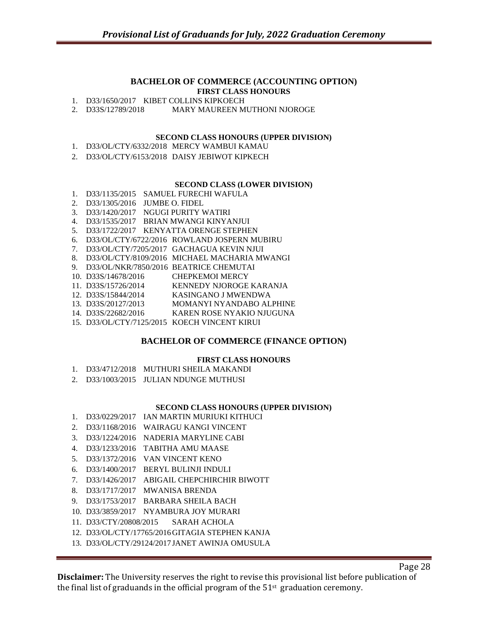#### **BACHELOR OF COMMERCE (ACCOUNTING OPTION) FIRST CLASS HONOURS**

1. D33/1650/2017 KIBET COLLINS KIPKOECH

2. D33S/12789/2018 MARY MAUREEN MUTHONI NJOROGE

#### **SECOND CLASS HONOURS (UPPER DIVISION)**

- 1. D33/OL/CTY/6332/2018 MERCY WAMBUI KAMAU
- 2. D33/OL/CTY/6153/2018 DAISY JEBIWOT KIPKECH

#### **SECOND CLASS (LOWER DIVISION)**

- 1. D33/1135/2015 SAMUEL FURECHI WAFULA 2. D33/1305/2016 JUMBE O. FIDEL 3. D33/1420/2017 NGUGI PURITY WATIRI 4. D33/1535/2017 BRIAN MWANGI KINYANJUI 5. D33/1722/2017 KENYATTA ORENGE STEPHEN 6. D33/OL/CTY/6722/2016 ROWLAND JOSPERN MUBIRU 7. D33/OL/CTY/7205/2017 GACHAGUA KEVIN NJUI 8. D33/OL/CTY/8109/2016 MICHAEL MACHARIA MWANGI 9. D33/OL/NKR/7850/2016 BEATRICE CHEMUTAI 10. D33S/14678/2016 CHEPKEMOI MERCY 11. D33S/15726/2014 KENNEDY NJOROGE KARANJA 12. D33S/15844/2014 KASINGANO J MWENDWA 13. D33S/20127/2013 MOMANYI NYANDABO ALPHINE 14. D33S/22682/2016 KAREN ROSE NYAKIO NJUGUNA
- 15. D33/OL/CTY/7125/2015 KOECH VINCENT KIRUI

#### **BACHELOR OF COMMERCE (FINANCE OPTION)**

#### **FIRST CLASS HONOURS**

- 1. D33/4712/2018 MUTHURI SHEILA MAKANDI
- 2. D33/1003/2015 JULIAN NDUNGE MUTHUSI

#### **SECOND CLASS HONOURS (UPPER DIVISION)**

- 1. D33/0229/2017 IAN MARTIN MURIUKI KITHUCI
- 2. D33/1168/2016 WAIRAGU KANGI VINCENT
- 3. D33/1224/2016 NADERIA MARYLINE CABI
- 4. D33/1233/2016 TABITHA AMU MAASE
- 5. D33/1372/2016 VAN VINCENT KENO
- 6. D33/1400/2017 BERYL BULINJI INDULI
- 7. D33/1426/2017 ABIGAIL CHEPCHIRCHIR BIWOTT
- 8. D33/1717/2017 MWANISA BRENDA
- 9. D33/1753/2017 BARBARA SHEILA BACH
- 10. D33/3859/2017 NYAMBURA JOY MURARI
- 11. D33/CTY/20808/2015 SARAH ACHOLA
- 12. D33/OL/CTY/17765/2016GITAGIA STEPHEN KANJA
- 13. D33/OL/CTY/29124/2017 JANET AWINJA OMUSULA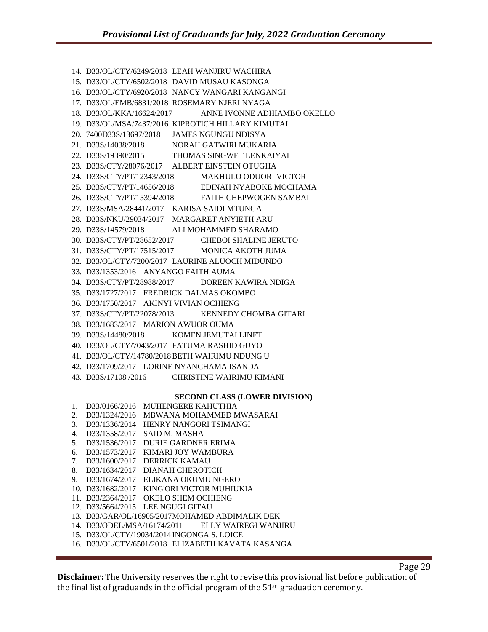14. D33/OL/CTY/6249/2018 LEAH WANJIRU WACHIRA 15. D33/OL/CTY/6502/2018 DAVID MUSAU KASONGA 16. D33/OL/CTY/6920/2018 NANCY WANGARI KANGANGI 17. D33/OL/EMB/6831/2018 ROSEMARY NJERI NYAGA 18. D33/OL/KKA/16624/2017 ANNE IVONNE ADHIAMBO OKELLO 19. D33/OL/MSA/7437/2016 KIPROTICH HILLARY KIMUTAI 20. 7400D33S/13697/2018 JAMES NGUNGU NDISYA 21. D33S/14038/2018 NORAH GATWIRI MUKARIA 22. D33S/19390/2015 THOMAS SINGWET LENKAIYAI 23. D33S/CTY/28076/2017 ALBERT EINSTEIN OTUGHA 24. D33S/CTY/PT/12343/2018 MAKHULO ODUORI VICTOR 25. D33S/CTY/PT/14656/2018 EDINAH NYABOKE MOCHAMA 26. D33S/CTY/PT/15394/2018 FAITH CHEPWOGEN SAMBAI 27. D33S/MSA/28441/2017 KARISA SAIDI MTUNGA 28. D33S/NKU/29034/2017 MARGARET ANYIETH ARU 29. D33S/14579/2018 ALI MOHAMMED SHARAMO 30. D33S/CTY/PT/28652/2017 CHEBOI SHALINE JERUTO 31. D33S/CTY/PT/17515/2017 MONICA AKOTH JUMA 32. D33/OL/CTY/7200/2017 LAURINE ALUOCH MIDUNDO 33. D33/1353/2016 ANYANGO FAITH AUMA 34. D33S/CTY/PT/28988/2017 DOREEN KAWIRA NDIGA 35. D33/1727/2017 FREDRICK DALMAS OKOMBO 36. D33/1750/2017 AKINYI VIVIAN OCHIENG 37. D33S/CTY/PT/22078/2013 KENNEDY CHOMBA GITARI 38. D33/1683/2017 MARION AWUOR OUMA 39. D33S/14480/2018 KOMEN JEMUTAI LINET 40. D33/OL/CTY/7043/2017 FATUMA RASHID GUYO 41. D33/OL/CTY/14780/2018BETH WAIRIMU NDUNG'U 42. D33/1709/2017 LORINE NYANCHAMA ISANDA 43. D33S/17108 /2016 CHRISTINE WAIRIMU KIMANI **SECOND CLASS (LOWER DIVISION)** 1. D33/0166/2016 MUHENGERE KAHUTHIA

2. D33/1324/2016 MBWANA MOHAMMED MWASARAI 3. D33/1336/2014 HENRY NANGORI TSIMANGI 4. D33/1358/2017 SAID M. MASHA 5. D33/1536/2017 DURIE GARDNER ERIMA 6. D33/1573/2017 KIMARI JOY WAMBURA 7. D33/1600/2017 DERRICK KAMAU 8. D33/1634/2017 DIANAH CHEROTICH 9. D33/1674/2017 ELIKANA OKUMU NGERO 10. D33/1682/2017 KING'ORI VICTOR MUHIUKIA 11. D33/2364/2017 OKELO SHEM OCHIENG' 12. D33/5664/2015 LEE NGUGI GITAU 13. D33/GAR/OL/16905/2017MOHAMED ABDIMALIK DEK 14. D33/ODEL/MSA/16174/2011 ELLY WAIREGI WANJIRU 15. D33/OL/CTY/19034/2014 INGONGA S. LOICE

16. D33/OL/CTY/6501/2018 ELIZABETH KAVATA KASANGA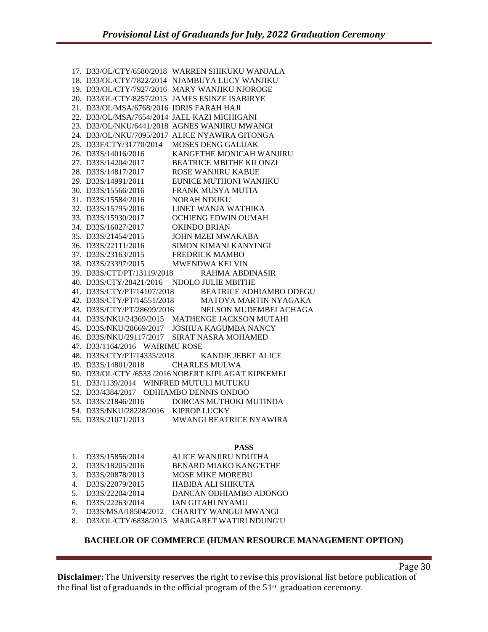|                                            | 17. D33/OL/CTY/6580/2018 WARREN SHIKUKU WANJALA                                                                                                                                                              |
|--------------------------------------------|--------------------------------------------------------------------------------------------------------------------------------------------------------------------------------------------------------------|
|                                            | 18. D33/OL/CTY/7822/2014 NJAMBUYA LUCY WANJIKU                                                                                                                                                               |
|                                            | 19. D33/OL/CTY/7927/2016 MARY WANJIKU NJOROGE                                                                                                                                                                |
|                                            | 20. D33/OL/CTY/8257/2015 JAMES ESINZE ISABIRYE                                                                                                                                                               |
| 21. D33/OL/MSA/6768/2016 IDRIS FARAH HAJI  |                                                                                                                                                                                                              |
|                                            | 22. D33/OL/MSA/7654/2014 JAEL KAZI MICHIGANI                                                                                                                                                                 |
|                                            | 23. D33/OL/NKU/6441/2018 AGNES WANJIRU MWANGI                                                                                                                                                                |
|                                            | 24. D33/OL/NKU/7095/2017 ALICE NYAWIRA GITONGA                                                                                                                                                               |
|                                            | 25. D33F/CTY/31770/2014 MOSES DENG GALUAK                                                                                                                                                                    |
|                                            | 26. D33S/14016/2016           KANGETHE MONICAH WANJIRU 27. D33S/14204/2017           BEATRICE MBITHE KILONZI 28. D33S/14817/2017          ROSE WANJIRU KABUE                                                 |
|                                            |                                                                                                                                                                                                              |
|                                            |                                                                                                                                                                                                              |
|                                            | 29. D33S/14991/2011 EUNICE MUTHONI WANJIKU                                                                                                                                                                   |
|                                            | 30. D33S/15566/2016 FRANK MUSYA MUTIA                                                                                                                                                                        |
| 31. D33S/15584/2016 NORAH NDUKU            |                                                                                                                                                                                                              |
|                                            |                                                                                                                                                                                                              |
|                                            |                                                                                                                                                                                                              |
|                                            | 32. D33S/15795/2016 LINET WANJA WATHIKA<br>33. D33S/15930/2017 OCHIENG EDWIN OUMAH<br>34. D33S/16027/2017 OKINDO BRIAN<br>35. D33S/21454/2015 JOHN MZEI MWAKABA<br>26. D33S/21414/2016 SIMON KIMANI KANYINGI |
|                                            |                                                                                                                                                                                                              |
|                                            | $\begin{tabular}{ll} 36. D33S/22111/2016 & \text{SIMON KIMANI KANYINGI}\\ 37. D33S/23163/2015 & \text{FREDRICK MAMBO}\\ 38. D33S/23397/2015 & \text{MWENDWA KELVIN} \end{tabular}$                           |
|                                            |                                                                                                                                                                                                              |
|                                            |                                                                                                                                                                                                              |
|                                            | 39. D33S/CTT/PT/13119/2018 RAHMA ABDINASIR                                                                                                                                                                   |
| 40. D33S/CTY/28421/2016 NDOLO JULIE MBITHE |                                                                                                                                                                                                              |
|                                            |                                                                                                                                                                                                              |
|                                            | $\begin{tabular}{ll} 41. & D33S/CTY/PT/14107/2018 & \hspace{0.3cm} \text{BEATRICE ADHIAMBO ODEGU} \\ 42. & D33S/CTY/PT/14551/2018 & \hspace{0.3cm} \text{MATOYA MARTIN NYAGAKA} \end{tabular}$               |
|                                            | 43. D33S/CTY/PT/28699/2016 NELSON MUDEMBEI ACHAGA                                                                                                                                                            |
|                                            | 44. D33S/NKU/24369/2015 MATHENGE JACKSON MUTAHI                                                                                                                                                              |
|                                            | 45. D33S/NKU/28669/2017 JOSHUA KAGUMBA NANCY                                                                                                                                                                 |
|                                            | 46. D33S/NKU/29117/2017 SIRAT NASRA MOHAMED                                                                                                                                                                  |
| 47. D33/1164/2016 WAIRIMU ROSE             |                                                                                                                                                                                                              |
|                                            | 48. D33S/CTY/PT/14335/2018 KANDIE JEBET ALICE                                                                                                                                                                |
| 49. D33S/14801/2018 CHARLES MULWA          |                                                                                                                                                                                                              |
|                                            | 50. D33/OL/CTY /6533 /2016 NOBERT KIPLAGAT KIPKEMEI                                                                                                                                                          |
| 51. D33/1139/2014 WINFRED MUTULI MUTUKU    |                                                                                                                                                                                                              |
| 52. D33/4384/2017 ODHIAMBO DENNIS ONDOO    |                                                                                                                                                                                                              |
|                                            | 53. D33S/21846/2016 DORCAS MUTHOKI MUTINDA                                                                                                                                                                   |
| 54. D33S/NKU/28228/2016 KIPROP LUCKY       |                                                                                                                                                                                                              |
| 0.2200010710012                            | MULANCE DE AFRICE MULANTRA                                                                                                                                                                                   |

55. D33S/21071/2013 MWANGI BEATRICE NYAWIRA

#### **PASS**

| $\mathbf{1}$ . | D33S/15856/2014    | ALICE WANJIRU NDUTHA                            |
|----------------|--------------------|-------------------------------------------------|
| 2.             | D33S/18205/2016    | <b>BENARD MIAKO KANG'ETHE</b>                   |
| $\mathcal{E}$  | D33S/20878/2013    | <b>MOSE MIKE MOREBU</b>                         |
|                | 4. D33S/22079/2015 | HABIBA ALI SHIKUTA                              |
|                | 5. D33S/22204/2014 | DANCAN ODHIAMBO ADONGO                          |
| 6.             | D33S/22263/2014    | IAN GITAHI NYAMU                                |
| $7^{\circ}$    |                    | D33S/MSA/18504/2012 CHARITY WANGUI MWANGI       |
|                |                    | 8. D33/OL/CTY/6838/2015 MARGARET WATIRI NDUNG'U |

## **BACHELOR OF COMMERCE (HUMAN RESOURCE MANAGEMENT OPTION)**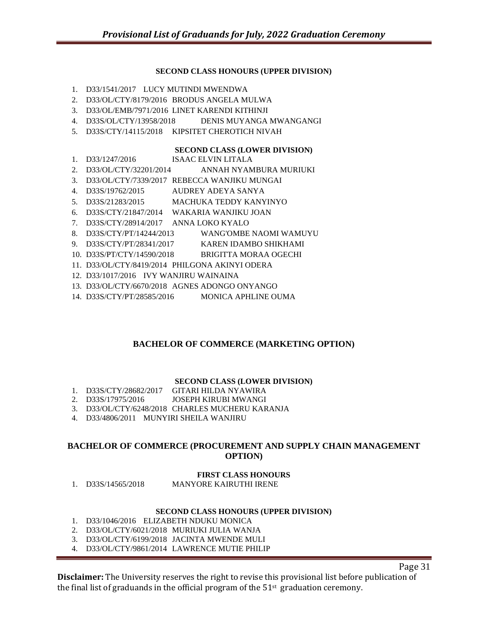#### **SECOND CLASS HONOURS (UPPER DIVISION)**

- 1. D33/1541/2017 LUCY MUTINDI MWENDWA
- 2. D33/OL/CTY/8179/2016 BRODUS ANGELA MULWA
- 3. D33/OL/EMB/7971/2016 LINET KARENDI KITHINJI
- 4. D33S/OL/CTY/13958/2018 DENIS MUYANGA MWANGANGI
- 5. D33S/CTY/14115/2018 KIPSITET CHEROTICH NIVAH

#### **SECOND CLASS (LOWER DIVISION)**

- 1. D33/1247/2016 ISAAC ELVIN LITALA
- 2. D33/OL/CTY/32201/2014 ANNAH NYAMBURA MURIUKI
- 3. D33/OL/CTY/7339/2017 REBECCA WANJIKU MUNGAI
- 4. D33S/19762/2015 AUDREY ADEYA SANYA
- 5. D33S/21283/2015 MACHUKA TEDDY KANYINYO
- 6. D33S/CTY/21847/2014 WAKARIA WANJIKU JOAN
- 7. D33S/CTY/28914/2017 ANNA LOKO KYALO
- 8. D33S/CTY/PT/14244/2013 WANG'OMBE NAOMI WAMUYU
- 9. D33S/CTY/PT/28341/2017 KAREN IDAMBO SHIKHAMI
- 10. D33S/PT/CTY/14590/2018 BRIGITTA MORAA OGECHI
- 11. D33/OL/CTY/8419/2014 PHILGONA AKINYI ODERA
- 12. D33/1017/2016 IVY WANJIRU WAINAINA
- 13. D33/OL/CTY/6670/2018 AGNES ADONGO ONYANGO
- 14. D33S/CTY/PT/28585/2016 MONICA APHLINE OUMA

#### **BACHELOR OF COMMERCE (MARKETING OPTION)**

#### **SECOND CLASS (LOWER DIVISION)**

- 1. D33S/CTY/28682/2017 GITARI HILDA NYAWIRA
- 2. D33S/17975/2016 JOSEPH KIRUBI MWANGI
- 3. D33/OL/CTY/6248/2018 CHARLES MUCHERU KARANJA
- 4. D33/4806/2011 MUNYIRI SHEILA WANJIRU

#### **BACHELOR OF COMMERCE (PROCUREMENT AND SUPPLY CHAIN MANAGEMENT OPTION)**

#### **FIRST CLASS HONOURS**

1. D33S/14565/2018 MANYORE KAIRUTHI IRENE

#### **SECOND CLASS HONOURS (UPPER DIVISION)**

- 1. D33/1046/2016 ELIZABETH NDUKU MONICA
- 2. D33/OL/CTY/6021/2018 MURIUKI JULIA WANJA
- 3. D33/OL/CTY/6199/2018 JACINTA MWENDE MULI
- 4. D33/OL/CTY/9861/2014 LAWRENCE MUTIE PHILIP

Page 31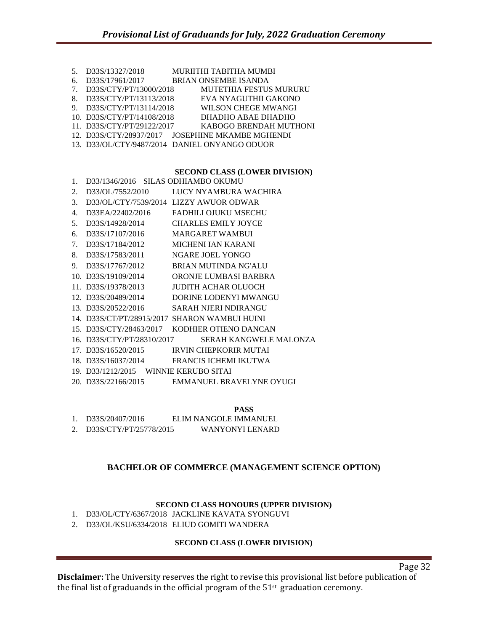| 5 <sub>1</sub>                   | D33S/13327/2018            | MURIITHI TABITHA MUMBI                           |
|----------------------------------|----------------------------|--------------------------------------------------|
| 6.                               | D33S/17961/2017            | <b>BRIAN ONSEMBE ISANDA</b>                      |
| $7_{\scriptscriptstyle{\ddots}}$ | D33S/CTY/PT/13000/2018     | <b>MUTETHIA FESTUS MURURU</b>                    |
| 8.                               | D33S/CTY/PT/13113/2018     | EVA NYAGUTHII GAKONO                             |
| 9.                               | D33S/CTY/PT/13114/2018     | WILSON CHEGE MWANGI                              |
|                                  | 10. D33S/CTY/PT/14108/2018 | DHADHO ABAE DHADHO                               |
|                                  | 11. D33S/CTY/PT/29122/2017 | KABOGO BRENDAH MUTHONI                           |
|                                  |                            | 12. D33S/CTY/28937/2017 JOSEPHINE MKAMBE MGHENDI |
|                                  |                            | 13. D33/OL/CTY/9487/2014 DANIEL ONYANGO ODUOR    |
|                                  |                            |                                                  |

#### **SECOND CLASS (LOWER DIVISION)**

| 1. | D33/1346/2016 SILAS ODHIAMBO OKUMU    |                                               |
|----|---------------------------------------|-----------------------------------------------|
| 2. |                                       | D33/OL/7552/2010 LUCY NYAMBURA WACHIRA        |
| 3. |                                       | D33/OL/CTY/7539/2014 LIZZY AWUOR ODWAR        |
| 4. |                                       | D33EA/22402/2016 FADHILI OJUKU MSECHU         |
| 5. |                                       | D33S/14928/2014 CHARLES EMILY JOYCE           |
| 6. | D33S/17107/2016 MARGARET WAMBUI       |                                               |
| 7. | D33S/17184/2012                       | MICHENI IAN KARANI                            |
| 8. | D33S/17583/2011                       | NGARE JOEL YONGO                              |
| 9. | D33S/17767/2012                       | <b>BRIAN MUTINDA NG'ALU</b>                   |
|    | 10. D33S/19109/2014                   | ORONJE LUMBASI BARBRA                         |
|    | 11. D33S/19378/2013                   | JUDITH ACHAR OLUOCH                           |
|    |                                       | 12. D33S/20489/2014 DORINE LODENYI MWANGU     |
|    |                                       | 13. D33S/20522/2016 SARAH NJERI NDIRANGU      |
|    |                                       | 14. D33S/CT/PT/28915/2017 SHARON WAMBUI HUINI |
|    |                                       | 15. D33S/CTY/28463/2017 KODHIER OTIENO DANCAN |
|    | 16. D33S/CTY/PT/28310/2017            | <b>SERAH KANGWELE MALONZA</b>                 |
|    |                                       | 17. D33S/16520/2015 IRVIN CHEPKORIR MUTAI     |
|    |                                       | 18. D33S/16037/2014 FRANCIS ICHEMI IKUTWA     |
|    | 19. D33/1212/2015 WINNIE KERUBO SITAI |                                               |
|    |                                       | 20. D33S/22166/2015 EMMANUEL BRAVELYNE OYUGI  |

**PASS**

1. D33S/20407/2016 ELIM NANGOLE IMMANUEL

2. D33S/CTY/PT/25778/2015 WANYONYI LENARD

#### **BACHELOR OF COMMERCE (MANAGEMENT SCIENCE OPTION)**

#### **SECOND CLASS HONOURS (UPPER DIVISION)**

1. D33/OL/CTY/6367/2018 JACKLINE KAVATA SYONGUVI

2. D33/OL/KSU/6334/2018 ELIUD GOMITI WANDERA

#### **SECOND CLASS (LOWER DIVISION)**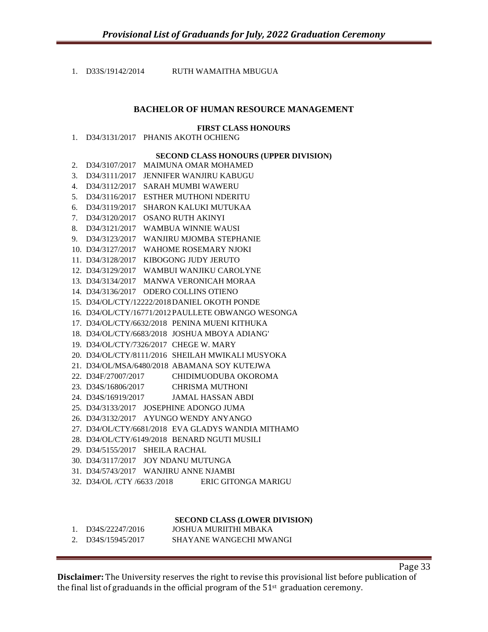1. D33S/19142/2014 RUTH WAMAITHA MBUGUA

#### **BACHELOR OF HUMAN RESOURCE MANAGEMENT**

#### **FIRST CLASS HONOURS**

|  | D34/3131/2017 PHANIS AKOTH OCHIENG |  |
|--|------------------------------------|--|
|  |                                    |  |

#### **SECOND CLASS HONOURS (UPPER DIVISION)**

- 2. D34/3107/2017 MAIMUNA OMAR MOHAMED
- 3. D34/3111/2017 JENNIFER WANJIRU KABUGU
- 4. D34/3112/2017 SARAH MUMBI WAWERU
- 5. D34/3116/2017 ESTHER MUTHONI NDERITU
- 6. D34/3119/2017 SHARON KALUKI MUTUKAA
- 7. D34/3120/2017 OSANO RUTH AKINYI
- 8. D34/3121/2017 WAMBUA WINNIE WAUSI
- 9. D34/3123/2017 WANJIRU MJOMBA STEPHANIE
- 10. D34/3127/2017 WAHOME ROSEMARY NJOKI
- 11. D34/3128/2017 KIBOGONG JUDY JERUTO
- 12. D34/3129/2017 WAMBUI WANJIKU CAROLYNE
- 13. D34/3134/2017 MANWA VERONICAH MORAA
- 14. D34/3136/2017 ODERO COLLINS OTIENO
- 15. D34/OL/CTY/12222/2018DANIEL OKOTH PONDE
- 16. D34/OL/CTY/16771/2012 PAULLETE OBWANGO WESONGA
- 17. D34/OL/CTY/6632/2018 PENINA MUENI KITHUKA
- 18. D34/OL/CTY/6683/2018 JOSHUA MBOYA ADIANG'
- 19. D34/OL/CTY/7326/2017 CHEGE W. MARY
- 20. D34/OL/CTY/8111/2016 SHEILAH MWIKALI MUSYOKA
- 21. D34/OL/MSA/6480/2018 ABAMANA SOY KUTEJWA
- 22. D34F/27007/2017 CHIDIMUODUBA OKOROMA
- 23. D34S/16806/2017 CHRISMA MUTHONI
- 24. D34S/16919/2017 JAMAL HASSAN ABDI
- 25. D34/3133/2017 JOSEPHINE ADONGO JUMA
- 26. D34/3132/2017 AYUNGO WENDY ANYANGO
- 27. D34/OL/CTY/6681/2018 EVA GLADYS WANDIA MITHAMO
- 28. D34/OL/CTY/6149/2018 BENARD NGUTI MUSILI
- 29. D34/5155/2017 SHEILA RACHAL
- 30. D34/3117/2017 JOY NDANU MUTUNGA
- 31. D34/5743/2017 WANJIRU ANNE NJAMBI
- 32. D34/OL /CTY /6633 /2018 ERIC GITONGA MARIGU

#### **SECOND CLASS (LOWER DIVISION)**

1. D34S/22247/2016 JOSHUA MURIITHI MBAKA

| 2. D34S/15945/2017 | <b>SHAYANE WANGECHI MWANGI</b> |
|--------------------|--------------------------------|
|                    |                                |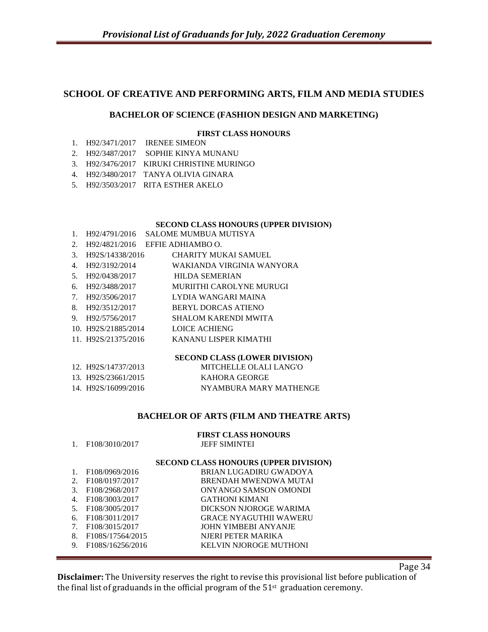## **SCHOOL OF CREATIVE AND PERFORMING ARTS, FILM AND MEDIA STUDIES**

#### **BACHELOR OF SCIENCE (FASHION DESIGN AND MARKETING)**

#### **FIRST CLASS HONOURS**

- 1. H92/3471/2017 IRENEE SIMEON
- 2. H92/3487/2017 SOPHIE KINYA MUNANU
- 3. H92/3476/2017 KIRUKI CHRISTINE MURINGO
- 4. H92/3480/2017 TANYA OLIVIA GINARA
- 5. H92/3503/2017 RITA ESTHER AKELO

#### **SECOND CLASS HONOURS (UPPER DIVISION)**

- 1. H92/4791/2016 SALOME MUMBUA MUTISYA
- 2. H92/4821/2016 EFFIE ADHIAMBO O.

| 3.             | H92S/14338/2016     | <b>CHARITY MUKAI SAMUEL</b> |
|----------------|---------------------|-----------------------------|
| 4.             | H92/3192/2014       | WAKIANDA VIRGINIA WANYORA   |
| 5 <sub>1</sub> | H92/0438/2017       | <b>HILDA SEMERIAN</b>       |
| 6.             | H92/3488/2017       | MURIITHI CAROLYNE MURUGI    |
| 7.             | H92/3506/2017       | LYDIA WANGARI MAINA         |
| 8.             | H92/3512/2017       | <b>BERYL DORCAS ATIENO</b>  |
| 9.             | H92/5756/2017       | <b>SHALOM KARENDI MWITA</b> |
|                | 10. H92S/21885/2014 | LOICE ACHIENG               |
|                | 11. H92S/21375/2016 | KANANU LISPER KIMATHI       |
|                |                     | SECOND CLASS (LOWER DIVISIO |
|                |                     |                             |

#### **ECOND CLASS (LOWER DIVISION)**

| 12. H92S/14737/2013 | MITCHELLE OLALI LANG'O |
|---------------------|------------------------|
| 13. H92S/23661/2015 | KAHORA GEORGE          |
| 14. H92S/16099/2016 | NYAMBURA MARY MATHENGE |

#### **BACHELOR OF ARTS (FILM AND THEATRE ARTS)**

|         | F <sub>108</sub> /3010/2017   | <b>FIRST CLASS HONOURS</b><br><b>JEFF SIMINTEI</b> |
|---------|-------------------------------|----------------------------------------------------|
|         |                               | SECOND CLASS HONOURS (UPPER DIVISION)              |
|         | F108/0969/2016                | BRIAN LUGADIRU GWADOYA                             |
| $2_{-}$ | F <sub>108</sub> /0197/2017   | BRENDAH MWENDWA MUTAI                              |
| 3.      | F108/2968/2017                | ONYANGO SAMSON OMONDI                              |
| 4.      | F <sub>108</sub> /3003/2017   | <b>GATHONI KIMANI</b>                              |
| 5.      | F <sub>108</sub> /3005/2017   | DICKSON NJOROGE WARIMA                             |
| 6.      | F <sub>108</sub> /3011/2017   | <b>GRACE NYAGUTHII WAWERU</b>                      |
| 7.      | F108/3015/2017                | JOHN YIMBEBI ANYANJE                               |
| 8.      | F <sub>108S</sub> /17564/2015 | NIERI PETER MARIKA                                 |
| 9.      | F108S/16256/2016              | KELVIN NJOROGE MUTHONI                             |

Page 34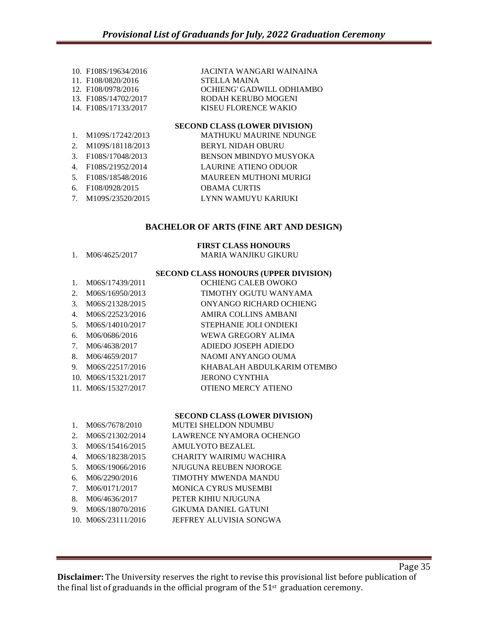|                                  | 10. F108S/19634/2016              | JACINTA WANGARI WAINAINA      |
|----------------------------------|-----------------------------------|-------------------------------|
|                                  | 11. F108/0820/2016                | <b>STELLA MAINA</b>           |
|                                  | 12. F108/0978/2016                | OCHIENG' GADWILL ODHIAMBO     |
|                                  | 13. F <sub>108S</sub> /14702/2017 | RODAH KERUBO MOGENI           |
|                                  | 14. F108S/17133/2017              | KISEU FLORENCE WAKIO          |
|                                  |                                   | SECOND CLASS (LOWER DIVISION) |
| $\mathbf{1}$ .                   | M109S/17242/2013                  | <b>MATHUKU MAURINE NDUNGE</b> |
| $2_{1}$                          | M109S/18118/2013                  | <b>BERYL NIDAH OBURU</b>      |
| 3.                               | F108S/17048/2013                  | <b>BENSON MBINDYO MUSYOKA</b> |
| 4.                               | F108S/21952/2014                  | LAURINE ATIENO ODUOR          |
| .5.                              | F108S/18548/2016                  | <b>MAUREEN MUTHONI MURIGI</b> |
| 6.                               | F <sub>108</sub> /0928/2015       | <b>OBAMA CURTIS</b>           |
| $7_{\scriptscriptstyle{\ddots}}$ | M109S/23520/2015                  | LYNN WAMUYU KARIUKI           |

#### **BACHELOR OF ARTS (FINE ART AND DESIGN)**

#### **FIRST CLASS HONOURS**

| M06/4625/2017 | MARIA WANJIKU GIKURU |  |  |  |
|---------------|----------------------|--|--|--|

#### **SECOND CLASS HONOURS (UPPER DIVISION)**

| $1_{-}$ | M06S/17439/2011     | OCHIENG CALEB OWOKO        |
|---------|---------------------|----------------------------|
|         | 2. M06S/16950/2013  | TIMOTHY OGUTU WANYAMA      |
| 3.      | M06S/21328/2015     | ONYANGO RICHARD OCHIENG    |
| 4.      | M06S/22523/2016     | AMIRA COLLINS AMBANI       |
|         | 5. M06S/14010/2017  | STEPHANIE JOLI ONDIEKI     |
| б.      | M06/0686/2016       | WEWA GREGORY ALIMA         |
|         | 7. M06/4638/2017    | ADIEDO JOSEPH ADIEDO       |
|         | 8. M06/4659/2017    | NAOMI ANYANGO OUMA         |
|         | 9. M06S/22517/2016  | KHABALAH ABDULKARIM OTEMBO |
|         | 10. M06S/15321/2017 | <b>JERONO CYNTHIA</b>      |
|         | 11. M06S/15327/2017 | <b>OTIENO MERCY ATIENO</b> |
|         |                     |                            |

#### **SECOND CLASS (LOWER DIVISION)**

- 1. M06S/7678/2010 MUTEI SHELDON NDUMBU 2. M06S/21302/2014 LAWRENCE NYAMORA OCHENGO 3. M06S/15416/2015 AMULYOTO BEZALEL 4. M06S/18238/2015 CHARITY WAIRIMU WACHIRA
- 5. M06S/19066/2016 NJUGUNA REUBEN NJOROGE
- 6. M06/2290/2016 TIMOTHY MWENDA MANDU
- 7. M06/0171/2017 MONICA CYRUS MUSEMBI
- 8. M06/4636/2017 PETER KIHIU NJUGUNA
- 9. M06S/18070/2016 GIKUMA DANIEL GATUNI
- 10. M06S/23111/2016 JEFFREY ALUVISIA SONGWA
-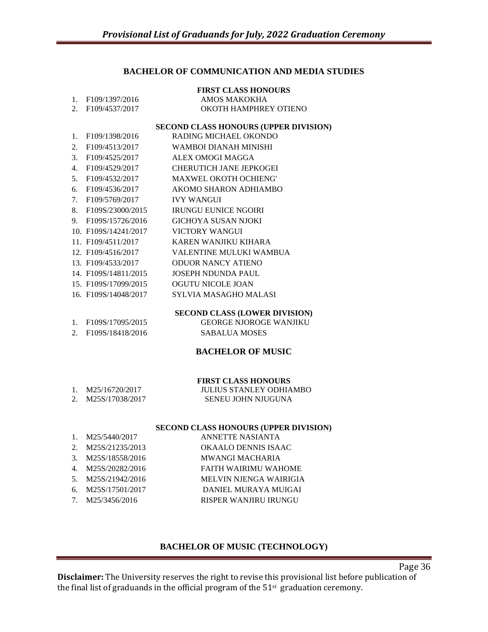## **BACHELOR OF COMMUNICATION AND MEDIA STUDIES**

|                  |                                   | <b>FIRST CLASS HONOURS</b>            |
|------------------|-----------------------------------|---------------------------------------|
| $1_{-}$          | F109/1397/2016                    | AMOS MAKOKHA                          |
| $2^{1}$          | F109/4537/2017                    | OKOTH HAMPHREY OTIENO                 |
|                  |                                   | SECOND CLASS HONOURS (UPPER DIVISION) |
| 1.               | F109/1398/2016                    | RADING MICHAEL OKONDO                 |
| 2.               | F109/4513/2017                    | WAMBOI DIANAH MINISHI                 |
| $\mathfrak{Z}$ . | F109/4525/2017                    | ALEX OMOGI MAGGA                      |
| 4.               | F109/4529/2017                    | CHERUTICH JANE JEPKOGEI               |
| 5 <sub>1</sub>   | F109/4532/2017                    | <b>MAXWEL OKOTH OCHIENG'</b>          |
| б.               | F109/4536/2017                    | AKOMO SHARON ADHIAMBO                 |
| 7.               | F109/5769/2017                    | <b>IVY WANGUI</b>                     |
| 8.               | F109S/23000/2015                  | <b>IRUNGU EUNICE NGOIRI</b>           |
|                  | 9. F109S/15726/2016               | GICHOYA SUSAN NIOKI                   |
|                  | 10. F109S/14241/2017              | VICTORY WANGUI                        |
|                  | 11. F109/4511/2017                | KAREN WANJIKU KIHARA                  |
|                  | 12. F109/4516/2017                | VALENTINE MULUKI WAMBUA               |
|                  | 13. F109/4533/2017                | <b>ODUOR NANCY ATIENO</b>             |
|                  | 14. F <sub>109</sub> S/14811/2015 | <b>JOSEPH NDUNDA PAUL</b>             |
|                  | 15. F109S/17099/2015              | OGUTU NICOLE JOAN                     |
|                  | 16. F109S/14048/2017              | <b>SYLVIA MASAGHO MALASI</b>          |
|                  |                                   | <b>SECOND CLASS (LOWER DIVISION)</b>  |
| $1_{-}$          | F109S/17095/2015                  | <b>GEORGE NJOROGE WANJIKU</b>         |
| 2.               | F109S/18418/2016                  | <b>SABALUA MOSES</b>                  |

#### **BACHELOR OF MUSIC**

#### **FIRST CLASS HONOURS**

| 1. M25/16720/2017  | <b>JULIUS STANLEY ODHIAMBO</b> |
|--------------------|--------------------------------|
| 2. M25S/17038/2017 | SENEU JOHN NJUGUNA             |

#### **SECOND CLASS HONOURS (UPPER DIVISION)**

|                             | M25/5440/2017      | ANNETTE NASIANTA              |
|-----------------------------|--------------------|-------------------------------|
| $\mathcal{D}_{\mathcal{L}}$ | M25S/21235/2013    | <b>OKAALO DENNIS ISAAC</b>    |
| $\mathcal{R}$               | M25S/18558/2016    | <b>MWANGI MACHARIA</b>        |
| 4                           | M25S/20282/2016    | <b>FAITH WAIRIMU WAHOME</b>   |
|                             | 5. M25S/21942/2016 | <b>MELVIN NJENGA WAIRIGIA</b> |
| 6.                          | M25S/17501/2017    | DANIEL MURAYA MUIGAI          |
|                             | M25/3456/2016      | <b>RISPER WANJIRU IRUNGU</b>  |

# **BACHELOR OF MUSIC (TECHNOLOGY)**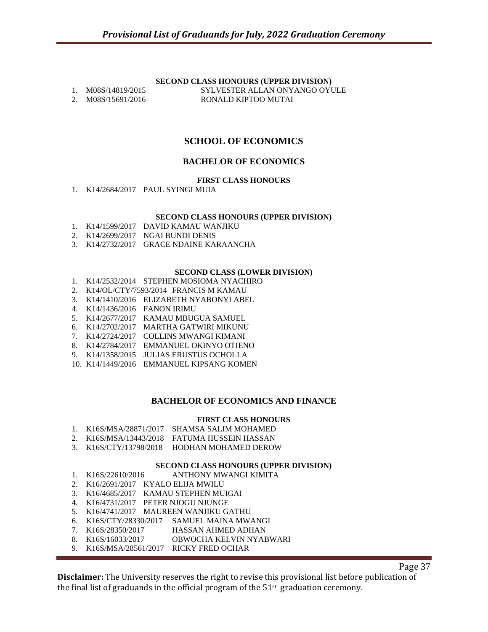## **SECOND CLASS HONOURS (UPPER DIVISION)**

1. M08S/14819/2015 SYLVESTER ALLAN ONYANGO OYULE 2. M08S/15691/2016 RONALD KIPTOO MUTAI

# **SCHOOL OF ECONOMICS**

# **BACHELOR OF ECONOMICS**

#### **FIRST CLASS HONOURS**

1. K14/2684/2017 PAUL SYINGI MUIA

#### **SECOND CLASS HONOURS (UPPER DIVISION)**

- 1. K14/1599/2017 DAVID KAMAU WANJIKU
- 2. K14/2699/2017 NGAI BUNDI DENIS
- 3. K14/2732/2017 GRACE NDAINE KARAANCHA

#### **SECOND CLASS (LOWER DIVISION)**

- 1. K14/2532/2014 STEPHEN MOSIOMA NYACHIRO
- 2. K14/OL/CTY/7593/2014 FRANCIS M KAMAU
- 3. K14/1410/2016 ELIZABETH NYABONYI ABEL
- 4. K14/1436/2016 FANON IRIMU
- 5. K14/2677/2017 KAMAU MBUGUA SAMUEL
- 6. K14/2702/2017 MARTHA GATWIRI MIKUNU
- 7. K14/2724/2017 COLLINS MWANGI KIMANI
- 8. K14/2784/2017 EMMANUEL OKINYO OTIENO
- 9. K14/1358/2015 JULIAS ERUSTUS OCHOLLA
- 10. K14/1449/2016 EMMANUEL KIPSANG KOMEN

## **BACHELOR OF ECONOMICS AND FINANCE**

#### **FIRST CLASS HONOURS**

- 1. K16S/MSA/28871/2017 SHAMSA SALIM MOHAMED
- 2. K16S/MSA/13443/2018 FATUMA HUSSEIN HASSAN
- 3. K16S/CTY/13798/2018 HODHAN MOHAMED DEROW

#### **SECOND CLASS HONOURS (UPPER DIVISION)**

- 1. K16S/22610/2016 ANTHONY MWANGI KIMITA
- 2. K16/2691/2017 KYALO ELIJA MWILU
- 3. K16/4685/2017 KAMAU STEPHEN MUIGAI
- 4. K16/4731/2017 PETER NJOGU NJUNGE
- 5. K16/4741/2017 MAUREEN WANJIKU GATHU
- 6. K16S/CTY/28330/2017 SAMUEL MAINA MWANGI
- 7. K16S/28350/2017 HASSAN AHMED ADHAN
- 8. K16S/16033/2017 OBWOCHA KELVIN NYABWARI
- 9. K16S/MSA/28561/2017 RICKY FRED OCHAR

Page 37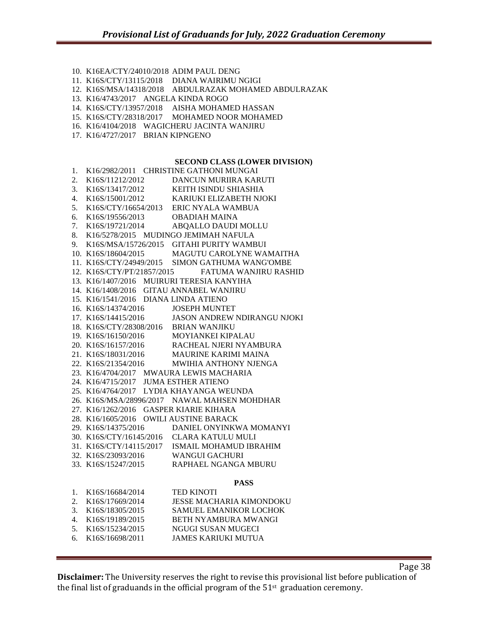10. K16EA/CTY/24010/2018 ADIM PAUL DENG 11. K16S/CTY/13115/2018 DIANA WAIRIMU NGIGI 12. K16S/MSA/14318/2018 ABDULRAZAK MOHAMED ABDULRAZAK 13. K16/4743/2017 ANGELA KINDA ROGO 14. K16S/CTY/13957/2018 AISHA MOHAMED HASSAN 15. K16S/CTY/28318/2017 MOHAMED NOOR MOHAMED 16. K16/4104/2018 WAGICHERU JACINTA WANJIRU 17. K16/4727/2017 BRIAN KIPNGENO **SECOND CLASS (LOWER DIVISION)** 1. K16/2982/2011 CHRISTINE GATHONI MUNGAI 2. K16S/11212/2012 DANCUN MURIIRA KARUTI 3. K16S/13417/2012 KEITH ISINDU SHIASHIA 4. K16S/15001/2012 KARIUKI ELIZABETH NJOKI 5. K16S/CTY/16654/2013 ERIC NYALA WAMBUA 6. K16S/19556/2013 OBADIAH MAINA 7. K16S/19721/2014 ABQALLO DAUDI MOLLU 8. K16/5278/2015 MUDINGO JEMIMAH NAFULA 9. K16S/MSA/15726/2015 GITAHI PURITY WAMBUI 10. K16S/18604/2015 MAGUTU CAROLYNE WAMAITHA 11. K16S/CTY/24949/2015 SIMON GATHUMA WANG'OMBE 12. K16S/CTY/PT/21857/2015 FATUMA WANJIRU RASHID 13. K16/1407/2016 MUIRURI TERESIA KANYIHA 14. K16/1408/2016 GITAU ANNABEL WANJIRU 15. K16/1541/2016 DIANA LINDA ATIENO 16. K16S/14374/2016 JOSEPH MUNTET 17. K16S/14415/2016 JASON ANDREW NDIRANGU NJOKI 18. K16S/CTY/28308/2016 BRIAN WANJIKU 19. K16S/16150/2016 MOYIANKEI KIPALAU 20. K16S/16157/2016 RACHEAL NJERI NYAMBURA 21. K16S/18031/2016 MAURINE KARIMI MAINA 22. K16S/21354/2016 MWIHIA ANTHONY NJENGA 23. K16/4704/2017 MWAURA LEWIS MACHARIA 24. K16/4715/2017 JUMA ESTHER ATIENO 25. K16/4764/2017 LYDIA KHAYANGA WEUNDA 26. K16S/MSA/28996/2017 NAWAL MAHSEN MOHDHAR 27. K16/1262/2016 GASPER KIARIE KIHARA 28. K16/1605/2016 OWILI AUSTINE BARACK 29. K16S/14375/2016 DANIEL ONYINKWA MOMANYI 30. K16S/CTY/16145/2016 CLARA KATULU MULI 31. K16S/CTY/14115/2017 ISMAIL MOHAMUD IBRAHIM 32. K16S/23093/2016 WANGUI GACHURI 33. K16S/15247/2015 RAPHAEL NGANGA MBURU **PASS** 1. K16S/16684/2014 TED KINOTI 2. K16S/17669/2014 JESSE MACHARIA KIMONDOKU 3. K16S/18305/2015 SAMUEL EMANIKOR LOCHOK 4. K16S/19189/2015 BETH NYAMBURA MWANGI

- 5. K16S/15234/2015 NGUGI SUSAN MUGECI
- 6. K16S/16698/2011 JAMES KARIUKI MUTUA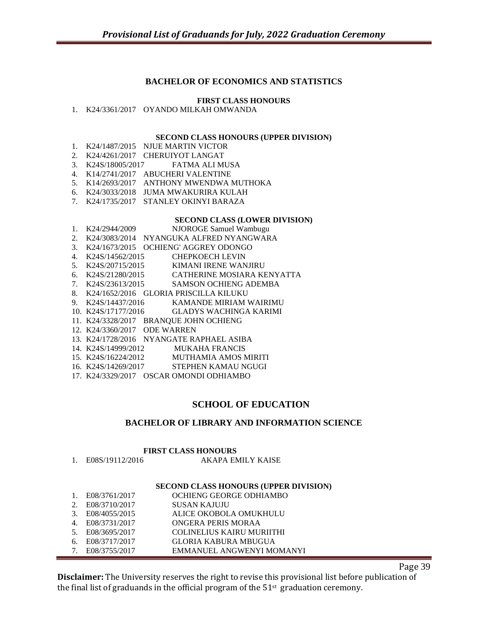# **BACHELOR OF ECONOMICS AND STATISTICS**

## **FIRST CLASS HONOURS**

1. K24/3361/2017 OYANDO MILKAH OMWANDA

#### **SECOND CLASS HONOURS (UPPER DIVISION)**

- 1. K24/1487/2015 NJUE MARTIN VICTOR
- 2. K24/4261/2017 CHERUIYOT LANGAT
- 3. K24S/18005/2017 FATMA ALI MUSA
- 4. K14/2741/2017 ABUCHERI VALENTINE
- 5. K14/2693/2017 ANTHONY MWENDWA MUTHOKA
- 6. K24/3033/2018 JUMA MWAKURIRA KULAH
- 7. K24/1735/2017 STANLEY OKINYI BARAZA

#### **SECOND CLASS (LOWER DIVISION)**

- 1. K24/2944/2009 NJOROGE Samuel Wambugu
- 2. K24/3083/2014 NYANGUKA ALFRED NYANGWARA
- 3. K24/1673/2015 OCHIENG' AGGREY ODONGO
- 4. K24S/14562/2015 CHEPKOECH LEVIN 5. K24S/20715/2015 KIMANI IRENE WANJIRU
- 
- 6. K24S/21280/2015 CATHERINE MOSIARA KENYATTA
- 7. K24S/23613/2015 SAMSON OCHIENG ADEMBA
- 8. K24/1652/2016 GLORIA PRISCILLA KILUKU<br>9. K24S/14437/2016 KAMANDE MIRIAM V KAMANDE MIRIAM WAIRIMU
- 10. K24S/17177/2016 GLADYS WACHINGA KARIMI
- 11. K24/3328/2017 BRANQUE JOHN OCHIENG
- 
- 12. K24/3360/2017 ODE WARREN
- 13. K24/1728/2016 NYANGATE RAPHAEL ASIBA
- 14. K24S/14999/2012 MUKAHA FRANCIS
- 15. K24S/16224/2012 MUTHAMIA AMOS MIRITI
- 16. K24S/14269/2017 STEPHEN KAMAU NGUGI
- 17. K24/3329/2017 OSCAR OMONDI ODHIAMBO

# **SCHOOL OF EDUCATION**

## **BACHELOR OF LIBRARY AND INFORMATION SCIENCE**

## **FIRST CLASS HONOURS**<br>1. E08S/19112/2016 AKAPA EM AKAPA EMILY KAISE

# **SECOND CLASS HONOURS (UPPER DIVISION)**

- 1. E08/3761/2017 OCHIENG GEORGE ODHIAMBO 2. E08/3710/2017 SUSAN KAJUJU<br>3. E08/4055/2015 ALICE OKOBOL 3. E08/4055/2015 ALICE OKOBOLA OMUKHULU 4. E08/3731/2017 ONGERA PERIS MORAA
- 5. E08/3695/2017 COLINELIUS KAIRU MURIITHI
- 6. E08/3717/2017 GLORIA KABURA MBUGUA
- 7. E08/3755/2017 EMMANUEL ANGWENYI MOMANYI

Page 39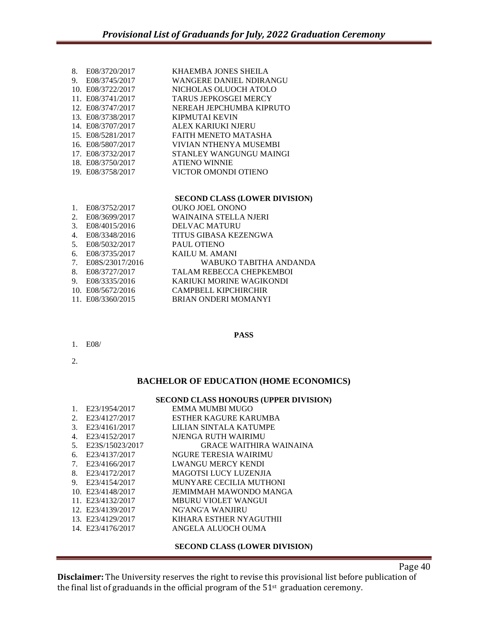| 8. | E08/3720/2017     | KHAEMBA JONES SHEILA         |
|----|-------------------|------------------------------|
| 9. | E08/3745/2017     | WANGERE DANIEL NDIRANGU      |
|    | 10. E08/3722/2017 | NICHOLAS OLUOCH ATOLO        |
|    | 11. E08/3741/2017 | <b>TARUS JEPKOSGEI MERCY</b> |
|    | 12. E08/3747/2017 | NEREAH JEPCHUMBA KIPRUTO     |
|    | 13. E08/3738/2017 | KIPMUTAI KEVIN               |
|    | 14. E08/3707/2017 | ALEX KARIUKI NJERU           |
|    | 15. E08/5281/2017 | FAITH MENETO MATASHA         |
|    | 16. E08/5807/2017 | VIVIAN NTHENYA MUSEMBI       |
|    | 17. E08/3732/2017 | STANLEY WANGUNGU MAINGI      |
|    | 18. E08/3750/2017 | <b>ATIENO WINNIE</b>         |
|    | 19. E08/3758/2017 | VICTOR OMONDI OTIENO         |
|    |                   |                              |
|    |                   |                              |

|                                  |                   | SECOND CLASS (LOWER DIVISION)   |
|----------------------------------|-------------------|---------------------------------|
| $\mathbf{1}$ .                   | E08/3752/2017     | <b>OUKO JOEL ONONO</b>          |
| 2.                               | E08/3699/2017     | WAINAINA STELLA NJERI           |
| 3.                               | E08/4015/2016     | <b>DELVAC MATURU</b>            |
| 4.                               | E08/3348/2016     | TITUS GIBASA KEZENGWA           |
| 5.                               | E08/5032/2017     | <b>PAUL OTIENO</b>              |
| 6.                               | E08/3735/2017     | KAILU M. AMANI                  |
| $7_{\scriptscriptstyle{\ddots}}$ | E08S/23017/2016   | WABUKO TABITHA ANDANDA          |
| 8.                               | E08/3727/2017     | <b>TALAM REBECCA CHEPKEMBOI</b> |
| 9.                               | E08/3335/2016     | <b>KARIUKI MORINE WAGIKONDI</b> |
|                                  | 10. E08/5672/2016 | CAMPBELL KIPCHIRCHIR            |
|                                  | 11. E08/3360/2015 | <b>BRIAN ONDERI MOMANYI</b>     |

## **PASS**

- 1. E08/
- 2.

## **BACHELOR OF EDUCATION (HOME ECONOMICS)**

# **SECOND CLASS HONOURS (UPPER DIVISION)**

| 1. | E23/1954/2017     | EMMA MUMBI MUGO                |
|----|-------------------|--------------------------------|
| 2. | E23/4127/2017     | ESTHER KAGURE KARUMBA          |
| 3. | E23/4161/2017     | LILIAN SINTALA KATUMPE         |
| 4. | E23/4152/2017     | NJENGA RUTH WAIRIMU            |
| 5. | E23S/15023/2017   | <b>GRACE WAITHIRA WAINAINA</b> |
| 6. | E23/4137/2017     | NGURE TERESIA WAIRIMU          |
| 7. | E23/4166/2017     | <b>LWANGU MERCY KENDI</b>      |
| 8. | E23/4172/2017     | MAGOTSI LUCY LUZENJIA          |
| 9. | E23/4154/2017     | MUNYARE CECILIA MUTHONI        |
|    | 10. E23/4148/2017 | JEMIMMAH MAWONDO MANGA         |
|    | 11. E23/4132/2017 | <b>MBURU VIOLET WANGUI</b>     |
|    | 12. E23/4139/2017 | NG'ANG'A WANJIRU               |
|    | 13. E23/4129/2017 | KIHARA ESTHER NYAGUTHII        |
|    | 14. E23/4176/2017 | ANGELA ALUOCH OUMA             |
|    |                   |                                |

## **SECOND CLASS (LOWER DIVISION)**

Page 40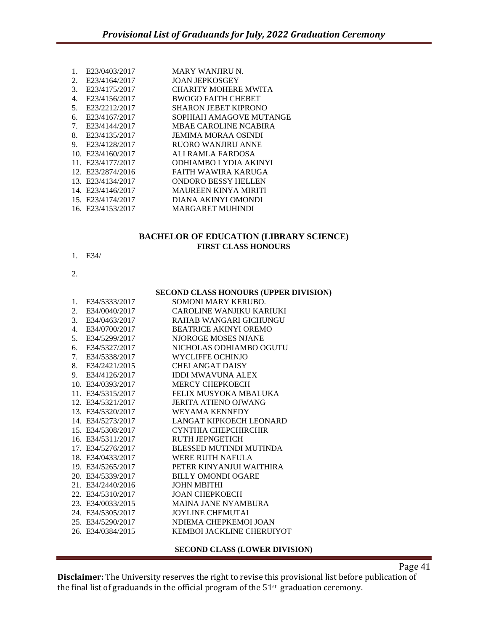| 1. | E23/0403/2017     | <b>MARY WANJIRU N.</b>       |
|----|-------------------|------------------------------|
| 2. | E23/4164/2017     | <b>JOAN JEPKOSGEY</b>        |
| 3. | E23/4175/2017     | CHARITY MOHERE MWITA         |
| 4. | E23/4156/2017     | <b>BWOGO FAITH CHEBET</b>    |
| 5. | E23/2212/2017     | <b>SHARON JEBET KIPRONO</b>  |
| 6. | E23/4167/2017     | SOPHIAH AMAGOVE MUTANGE      |
| 7. | E23/4144/2017     | <b>MBAE CAROLINE NCABIRA</b> |
| 8. | E23/4135/2017     | JEMIMA MORAA OSINDI          |
| 9. | E23/4128/2017     | <b>RUORO WANJIRU ANNE</b>    |
|    | 10. E23/4160/2017 | ALI RAMLA FARDOSA            |
|    | 11. E23/4177/2017 | ODHIAMBO LYDIA AKINYI        |
|    | 12. E23/2874/2016 | FAITH WAWIRA KARUGA          |
|    | 13. E23/4134/2017 | <b>ONDORO BESSY HELLEN</b>   |
|    | 14. E23/4146/2017 | <b>MAUREEN KINYA MIRITI</b>  |
|    | 15. E23/4174/2017 | DIANA AKINYI OMONDI          |
|    | 16. E23/4153/2017 | <b>MARGARET MUHINDI</b>      |
|    |                   |                              |

# **BACHELOR OF EDUCATION (LIBRARY SCIENCE) FIRST CLASS HONOURS**

- 1. E34/
- 2.

#### **SECOND CLASS HONOURS (UPPER DIVISION)**

| 1. | E34/5333/2017     | SOMONI MARY KERUBO.            |
|----|-------------------|--------------------------------|
| 2. | E34/0040/2017     | CAROLINE WANJIKU KARIUKI       |
| 3. | E34/0463/2017     | RAHAB WANGARI GICHUNGU         |
| 4. | E34/0700/2017     | <b>BEATRICE AKINYI OREMO</b>   |
| 5. | E34/5299/2017     | NJOROGE MOSES NJANE            |
|    | 6. E34/5327/2017  | NICHOLAS ODHIAMBO OGUTU        |
|    | 7. E34/5338/2017  | WYCLIFFE OCHINJO               |
|    | 8. E34/2421/2015  | <b>CHELANGAT DAISY</b>         |
|    | 9. E34/4126/2017  | <b>IDDI MWAVUNA ALEX</b>       |
|    | 10. E34/0393/2017 | <b>MERCY CHEPKOECH</b>         |
|    | 11. E34/5315/2017 | FELIX MUSYOKA MBALUKA          |
|    | 12. E34/5321/2017 | JERITA ATIENO OJWANG           |
|    | 13. E34/5320/2017 | WEYAMA KENNEDY                 |
|    | 14. E34/5273/2017 | LANGAT KIPKOECH LEONARD        |
|    | 15. E34/5308/2017 | CYNTHIA CHEPCHIRCHIR           |
|    | 16. E34/5311/2017 | <b>RUTH JEPNGETICH</b>         |
|    | 17. E34/5276/2017 | <b>BLESSED MUTINDI MUTINDA</b> |
|    | 18. E34/0433/2017 | WERE RUTH NAFULA               |
|    | 19. E34/5265/2017 | PETER KINYANJUI WAITHIRA       |
|    | 20. E34/5339/2017 | <b>BILLY OMONDI OGARE</b>      |
|    | 21. E34/2440/2016 | <b>JOHN MBITHI</b>             |
|    | 22. E34/5310/2017 | <b>JOAN CHEPKOECH</b>          |
|    | 23. E34/0033/2015 | <b>MAINA JANE NYAMBURA</b>     |
|    | 24. E34/5305/2017 | <b>JOYLINE CHEMUTAI</b>        |
|    | 25. E34/5290/2017 | NDIEMA CHEPKEMOI JOAN          |
|    | 26. E34/0384/2015 | KEMBOL JACKLINE CHERUIYOT      |
|    |                   |                                |

#### **SECOND CLASS (LOWER DIVISION)**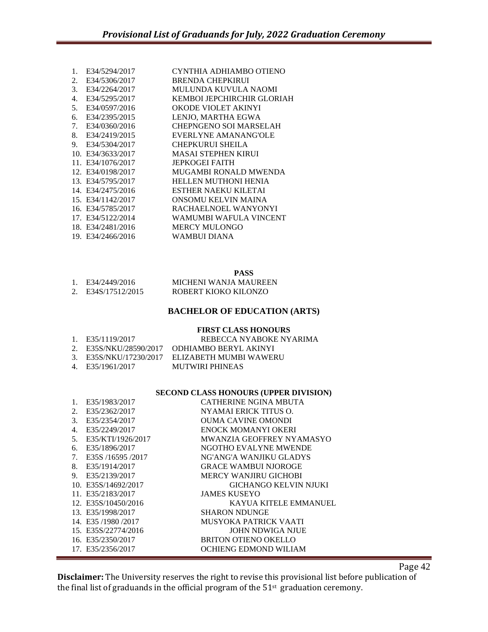| 1. | E34/5294/2017     | CYNTHIA ADHIAMBO OTIENO     |
|----|-------------------|-----------------------------|
| 2. | E34/5306/2017     | <b>BRENDA CHEPKIRUI</b>     |
| 3. | E34/2264/2017     | MULUNDA KUVULA NAOMI        |
| 4. | E34/5295/2017     | KEMBOL JEPCHIRCHIR GLORIAH  |
| 5. | E34/0597/2016     | OKODE VIOLET AKINYI         |
| б. | E34/2395/2015     | LENJO, MARTHA EGWA          |
| 7. | E34/0360/2016     | CHEPNGENO SOI MARSELAH      |
| 8. | E34/2419/2015     | EVERLYNE AMANANG'OLE        |
| 9. | E34/5304/2017     | <b>CHEPKURUI SHEILA</b>     |
|    | 10. E34/3633/2017 | <b>MASAI STEPHEN KIRUI</b>  |
|    | 11. E34/1076/2017 | <b>JEPKOGEI FAITH</b>       |
|    | 12. E34/0198/2017 | MUGAMBI RONALD MWENDA       |
|    | 13. E34/5795/2017 | <b>HELLEN MUTHONI HENIA</b> |
|    | 14. E34/2475/2016 | ESTHER NAEKU KILETAI        |
|    | 15. E34/1142/2017 | ONSOMU KELVIN MAINA         |
|    | 16. E34/5785/2017 | RACHAELNOEL WANYONYI        |
|    | 17. E34/5122/2014 | WAMUMBI WAFULA VINCENT      |
|    | 18. E34/2481/2016 | <b>MERCY MULONGO</b>        |
|    | 19. E34/2466/2016 | WAMBUI DIANA                |
|    |                   |                             |

**PASS**

| 1. $E34/2449/2016$ | MICHENI WANJA MAUREEN |
|--------------------|-----------------------|
| 2. E34S/17512/2015 | ROBERT KIOKO KILONZO  |

# **BACHELOR OF EDUCATION (ARTS)**

# **FIRST CLASS HONOURS**

| 1. E35/1119/2017 | REBECCA NYABOKE NYARIMA                       |
|------------------|-----------------------------------------------|
|                  | 2. E35S/NKU/28590/2017 ODHIAMBO BERYL AKINYI  |
|                  | 3. E35S/NKU/17230/2017 ELIZABETH MUMBI WAWERU |
| 4. E35/1961/2017 | MUTWIRI PHINEAS                               |

# **SECOND CLASS HONOURS (UPPER DIVISION)**

|    | E35/1983/2017       | CATHERINE NGINA MBUTA        |
|----|---------------------|------------------------------|
| 2. | E35/2362/2017       | NYAMAI ERICK TITUS O.        |
| 3. | E35/2354/2017       | OUMA CAVINE OMONDI           |
| 4. | E35/2249/2017       | ENOCK MOMANYI OKERI          |
| 5. | E35/KTI/1926/2017   | MWANZIA GEOFFREY NYAMASYO    |
| 6. | E35/1896/2017       | NGOTHO EVALYNE MWENDE        |
| 7. | E35S /16595 /2017   | NG'ANG'A WANJIKU GLADYS      |
| 8. | E35/1914/2017       | <b>GRACE WAMBUI NJOROGE</b>  |
| 9. | E35/2139/2017       | MERCY WANJIRU GICHOBI        |
|    | 10. E35S/14692/2017 | <b>GICHANGO KELVIN NJUKI</b> |
|    | 11. E35/2183/2017   | <b>JAMES KUSEYO</b>          |
|    | 12. E35S/10450/2016 | KAYUA KITELE EMMANUEL        |
|    | 13. E35/1998/2017   | SHARON NDUNGE                |
|    | 14. E35/1980/2017   | MUSYOKA PATRICK VAATI        |
|    | 15. E35S/22774/2016 | JOHN NDWIGA NJUE             |
|    | 16. E35/2350/2017   | BRITON OTIENO OKELLO         |
|    | 17. E35/2356/2017   | OCHIENG EDMOND WILIAM        |

Page 42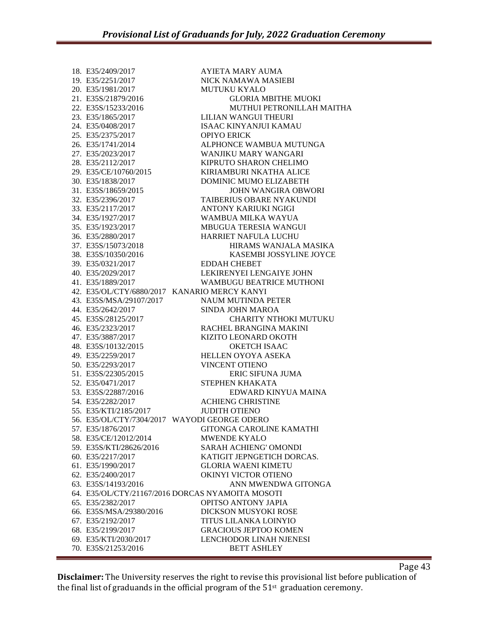18. E35/2409/2017 AYIETA MARY AUMA 19. E35/2251/2017 NICK NAMAWA MASIEBI 20. E35/1981/2017 MUTUKU KYALO 21. E35S/21879/2016 GLORIA MBITHE MUOKI 22. E35S/15233/2016 MUTHUI PETRONILLAH MAITHA 23. E35/1865/2017 LILIAN WANGUI THEURI 24. E35/0408/2017 ISAAC KINYANJUI KAMAU 25. E35/2375/2017 OPIYO ERICK 26. E35/1741/2014 ALPHONCE WAMBUA MUTUNGA 27. E35/2023/2017 WANJIKU MARY WANGARI 28. E35/2112/2017 KIPRUTO SHARON CHELIMO 29. E35/CE/10760/2015 KIRIAMBURI NKATHA ALICE 30. E35/1838/2017 DOMINIC MUMO ELIZABETH 31. E35S/18659/2015 JOHN WANGIRA OBWORI 32. E35/2396/2017 TAIBERIUS OBARE NYAKUNDI 33. E35/2117/2017 ANTONY KARIUKI NGIGI 34. E35/1927/2017 WAMBUA MILKA WAYUA 35. E35/1923/2017 MBUGUA TERESIA WANGUI 36. E35/2880/2017 HARRIET NAFULA LUCHU 37. E35S/15073/2018 HIRAMS WANJALA MASIKA 38. E35S/10350/2016 KASEMBI JOSSYLINE JOYCE 39. E35/0321/2017 EDDAH CHEBET 40. E35/2029/2017 LEKIRENYEI LENGAIYE JOHN 41. E35/1889/2017 WAMBUGU BEATRICE MUTHONI 42. E35/OL/CTY/6880/2017 KANARIO MERCY KANYI 43. E35S/MSA/29107/2017 NAUM MUTINDA PETER 44. E35/2642/2017 SINDA JOHN MAROA 45. E35S/28125/2017 CHARITY NTHOKI MUTUKU 46. E35/2323/2017 RACHEL BRANGINA MAKINI 47. E35/3887/2017 KIZITO LEONARD OKOTH 48. E35S/10132/2015 OKETCH ISAAC 49. E35/2259/2017 HELLEN OYOYA ASEKA 50. E35/2293/2017 VINCENT OTIENO 51. E35S/22305/2015 ERIC SIFUNA JUMA 52. E35/0471/2017 STEPHEN KHAKATA 53. E35S/22887/2016 EDWARD KINYUA MAINA 54. E35/2282/2017 ACHIENG CHRISTINE 55. E35/KTI/2185/2017 JUDITH OTIENO 56. E35/OL/CTY/7304/2017 WAYODI GEORGE ODERO 57. E35/1876/2017 GITONGA CAROLINE KAMATHI 58. E35/CE/12012/2014 MWENDE KYALO 59. E35S/KTI/28626/2016 SARAH ACHIENG' OMONDI 60. E35/2217/2017 KATIGIT JEPNGETICH DORCAS. 61. E35/1990/2017 GLORIA WAENI KIMETU 62. E35/2400/2017 OKINYI VICTOR OTIENO 63. E35S/14193/2016 ANN MWENDWA GITONGA 64. E35/OL/CTY/21167/2016 DORCAS NYAMOITA MOSOTI 65. E35/2382/2017 OPITSO ANTONY JAPIA 66. E35S/MSA/29380/2016 DICKSON MUSYOKI ROSE 67. E35/2192/2017 TITUS LILANKA LOINYIO 68. E35/2199/2017 GRACIOUS JEPTOO KOMEN 69. E35/KTI/2030/2017 LENCHODOR LINAH NJENESI 70. E35S/21253/2016 BETT ASHLEY

Page 43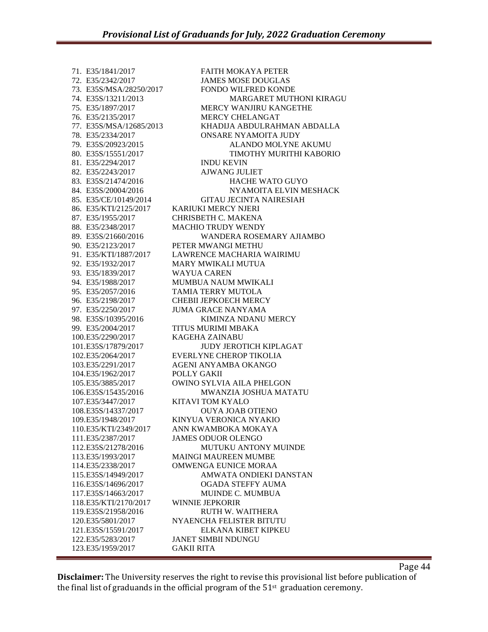71. E35/1841/2017 FAITH MOKAYA PETER 72. E35/2342/2017 JAMES MOSE DOUGLAS 73. E35S/MSA/28250/2017 FONDO WILFRED KONDE 74. E35S/13211/2013 MARGARET MUTHONI KIRAGU 75. E35/1897/2017 MERCY WANJIRU KANGETHE 76. E35/2135/2017 MERCY CHELANGAT 77. E35S/MSA/12685/2013 KHADIJA ABDULRAHMAN ABDALLA 78. E35/2334/2017 ONSARE NYAMOITA JUDY 79. E35S/20923/2015 ALANDO MOLYNE AKUMU 80. E35S/15551/2017 TIMOTHY MURITHI KABORIO 81. E35/2294/2017 INDU KEVIN 82. E35/2243/2017 AJWANG JULIET 83. E35S/21474/2016 HACHE WATO GUYO 84. E35S/20004/2016 NYAMOITA ELVIN MESHACK 85. E35/CE/10149/2014 GITAU JECINTA NAIRESIAH 86. E35/KTI/2125/2017 KARIUKI MERCY NJERI 87. E35/1955/2017 CHRISBETH C. MAKENA 88. E35/2348/2017 MACHIO TRUDY WENDY 89. E35S/21660/2016 WANDERA ROSEMARY AJIAMBO 90. E35/2123/2017 PETER MWANGI METHU 91. E35/KTI/1887/2017 LAWRENCE MACHARIA WAIRIMU 92. E35/1932/2017 MARY MWIKALI MUTUA 93. E35/1839/2017 WAYUA CAREN 94. E35/1988/2017 MUMBUA NAUM MWIKALI 95. E35/2057/2016 TAMIA TERRY MUTOLA 96. E35/2198/2017 CHEBII JEPKOECH MERCY 97. E35/2250/2017 JUMA GRACE NANYAMA<br>98. E35S/10395/2016 KIMINZA NDANU KIMINZA NDANU MERCY 99. E35/2004/2017 TITUS MURIMI MBAKA 100.E35/2290/2017 KAGEHA ZAINABU 101.E35S/17879/2017 JUDY JEROTICH KIPLAGAT 102.E35/2064/2017 EVERLYNE CHEROP TIKOLIA 103.E35/2291/2017 AGENI ANYAMBA OKANGO 104.E35/1962/2017 POLLY GAKII 105.E35/3885/2017 OWINO SYLVIA AILA PHELGON 106.E35S/15435/2016 MWANZIA JOSHUA MATATU 107.E35/3447/2017 KITAVI TOM KYALO 108.E35S/14337/2017 OUYA JOAB OTIENO 109.E35/1948/2017 KINYUA VERONICA NYAKIO 110.E35/KTI/2349/2017 ANN KWAMBOKA MOKAYA 111.E35/2387/2017 JAMES ODUOR OLENGO 112.E35S/21278/2016 MUTUKU ANTONY MUINDE 113.E35/1993/2017 MAINGI MAUREEN MUMBE 114.E35/2338/2017 OMWENGA EUNICE MORAA 115.E35S/14949/2017 AMWATA ONDIEKI DANSTAN 116.E35S/14696/2017 OGADA STEFFY AUMA 117.E35S/14663/2017 MUINDE C. MUMBUA 118.E35/KTI/2170/2017 WINNIE JEPKORIR 119.E35S/21958/2016 RUTH W. WAITHERA 120.E35/5801/2017 NYAENCHA FELISTER BITUTU 121.E35S/15591/2017 ELKANA KIBET KIPKEU 122.E35/5283/2017 JANET SIMBII NDUNGU 123.E35/1959/2017 GAKII RITA

**Disclaimer:** The University reserves the right to revise this provisional list before publication of the final list of graduands in the official program of the  $51<sup>st</sup>$  graduation ceremony.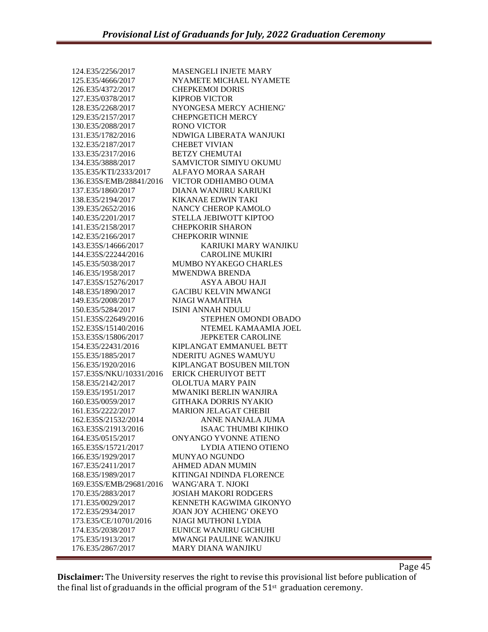| 124.E35/2256/2017                      | <b>MASENGELI INJETE MARY</b>   |
|----------------------------------------|--------------------------------|
| 125.E35/4666/2017                      | NYAMETE MICHAEL NYAMETE        |
|                                        |                                |
| 126.E35/4372/2017                      | <b>CHEPKEMOI DORIS</b>         |
| 127.E35/0378/2017                      | <b>KIPROB VICTOR</b>           |
| 128.E35/2268/2017                      | NYONGESA MERCY ACHIENG'        |
| 129.E35/2157/2017                      | <b>CHEPNGETICH MERCY</b>       |
| 130.E35/2088/2017                      | <b>RONO VICTOR</b>             |
| 131.E35/1782/2016                      | NDWIGA LIBERATA WANJUKI        |
| 132.E35/2187/2017                      | <b>CHEBET VIVIAN</b>           |
| 133.E35/2317/2016                      | <b>BETZY CHEMUTAI</b>          |
| 134.E35/3888/2017                      | SAMVICTOR SIMIYU OKUMU         |
| 135.E35/KTI/2333/2017                  | ALFAYO MORAA SARAH             |
| 136.E35S/EMB/28841/2016                | VICTOR ODHIAMBO OUMA           |
| 137.E35/1860/2017                      | DIANA WANJIRU KARIUKI          |
| 138.E35/2194/2017                      | <b>KIKANAE EDWIN TAKI</b>      |
| 139.E35/2652/2016                      | NANCY CHEROP KAMOLO            |
| 140.E35/2201/2017                      | STELLA JEBIWOTT KIPTOO         |
| 141.E35/2158/2017                      | <b>CHEPKORIR SHARON</b>        |
| 142.E35/2166/2017                      | <b>CHEPKORIR WINNIE</b>        |
| 143.E35S/14666/2017                    | KARIUKI MARY WANJIKU           |
| 144.E35S/22244/2016                    | <b>CAROLINE MUKIRI</b>         |
| 145.E35/5038/2017                      | <b>MUMBO NYAKEGO CHARLES</b>   |
| 146.E35/1958/2017                      | <b>MWENDWA BRENDA</b>          |
| 147.E35S/15276/2017                    | ASYA ABOU HAJI                 |
| 148.E35/1890/2017                      | <b>GACIBU KELVIN MWANGI</b>    |
| 149.E35/2008/2017                      | <b>NJAGI WAMAITHA</b>          |
| 150.E35/5284/2017                      | ISINI ANNAH NDULU              |
| 151.E35S/22649/2016                    | STEPHEN OMONDI OBADO           |
| 152.E35S/15140/2016                    | NTEMEL KAMAAMIA JOEL           |
| 153.E35S/15806/2017                    | <b>JEPKETER CAROLINE</b>       |
| 154.E35/22431/2016                     | KIPLANGAT EMMANUEL BETT        |
| 155.E35/1885/2017                      | NDERITU AGNES WAMUYU           |
| 156.E35/1920/2016                      | KIPLANGAT BOSUBEN MILTON       |
| 157.E35S/NKU/10331/2016                | <b>ERICK CHERUIYOT BETT</b>    |
| 158.E35/2142/2017                      | <b>OLOLTUA MARY PAIN</b>       |
| 159.E35/1951/2017                      | MWANIKI BERLIN WANJIRA         |
|                                        |                                |
| 160.E35/0059/2017                      | <b>GITHAKA DORRIS NYAKIO</b>   |
| 161.E35/2222/2017                      | <b>MARION JELAGAT CHEBII</b>   |
| 162.E35S/21532/2014                    | ANNE NANJALA JUMA              |
| 163.E35S/21913/2016                    | <b>ISAAC THUMBI KIHIKO</b>     |
| 164.E35/0515/2017                      | ONYANGO YVONNE ATIENO          |
| 165.E35S/15721/2017                    |                                |
| 166.E35/1929/2017                      | <b>LYDIA ATIENO OTIENO</b>     |
|                                        | MUNYAO NGUNDO                  |
| 167.E35/2411/2017                      | <b>AHMED ADAN MUMIN</b>        |
| 168.E35/1989/2017                      | KITINGAI NDINDA FLORENCE       |
| 169.E35S/EMB/29681/2016                | <b>WANG'ARA T. NJOKI</b>       |
| 170.E35/2883/2017                      | <b>JOSIAH MAKORI RODGERS</b>   |
| 171.E35/0029/2017                      | KENNETH KAGWIMA GIKONYO        |
| 172.E35/2934/2017                      | <b>JOAN JOY ACHIENG' OKEYO</b> |
| 173.E35/CE/10701/2016                  | NJAGI MUTHONI LYDIA            |
| 174.E35/2038/2017                      | EUNICE WANJIRU GICHUHI         |
| 175.E35/1913/2017<br>176.E35/2867/2017 | MWANGI PAULINE WANJIKU         |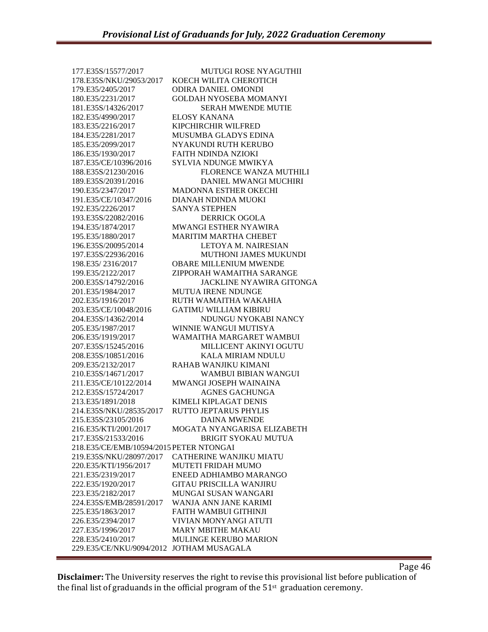177.E35S/15577/2017 MUTUGI ROSE NYAGUTHII 178.E35S/NKU/29053/2017 KOECH WILITA CHEROTICH 179.E35/2405/2017 ODIRA DANIEL OMONDI 180.E35/2231/2017 GOLDAH NYOSEBA MOMANYI 181.E35S/14326/2017 SERAH MWENDE MUTIE 182.E35/4990/2017 ELOSY KANANA 183.E35/2216/2017 KIPCHIRCHIR WILFRED 184.E35/2281/2017 MUSUMBA GLADYS EDINA 185.E35/2099/2017 NYAKUNDI RUTH KERUBO 186.E35/1930/2017 FAITH NDINDA NZIOKI 187.E35/CE/10396/2016 SYLVIA NDUNGE MWIKYA 188.E35S/21230/2016 FLORENCE WANZA MUTHILI 189.E35S/20391/2016 DANIEL MWANGI MUCHIRI 190.E35/2347/2017 MADONNA ESTHER OKECHI 191.E35/CE/10347/2016 DIANAH NDINDA MUOKI 192.E35/2226/2017 SANYA STEPHEN 193.E35S/22082/2016 DERRICK OGOLA 194.E35/1874/2017 MWANGI ESTHER NYAWIRA 195.E35/1880/2017 MARITIM MARTHA CHEBET 196.E35S/20095/2014 LETOYA M. NAIRESIAN 197.E35S/22936/2016 MUTHONI JAMES MUKUNDI 198.E35/ 2316/2017 OBARE MILLENIUM MWENDE 199.E35/2122/2017 ZIPPORAH WAMAITHA SARANGE 200.E35S/14792/2016 JACKLINE NYAWIRA GITONGA 201.E35/1984/2017 MUTUA IRENE NDUNGE 202.E35/1916/2017 RUTH WAMAITHA WAKAHIA 203.E35/CE/10048/2016 GATIMU WILLIAM KIBIRU 204.E35S/14362/2014 NDUNGU NYOKABI NANCY 205.E35/1987/2017 WINNIE WANGUI MUTISYA 206.E35/1919/2017 WAMAITHA MARGARET WAMBUI 207.E35S/15245/2016 MILLICENT AKINYI OGUTU 208.E35S/10851/2016 KALA MIRIAM NDULU 209.E35/2132/2017 RAHAB WANJIKU KIMANI 210.E35S/14671/2017 WAMBUI BIBIAN WANGUI 211.E35/CE/10122/2014 MWANGI JOSEPH WAINAINA 212.E35S/15724/2017 AGNES GACHUNGA 213.E35/1891/2018 KIMELI KIPLAGAT DENIS 214.E35S/NKU/28535/2017 RUTTO JEPTARUS PHYLIS 215.E35S/23105/2016 DAINA MWENDE 216.E35/KTI/2001/2017 MOGATA NYANGARISA ELIZABETH 217.E35S/21533/2016 BRIGIT SYOKAU MUTUA 218.E35/CE/EMB/10594/2015 PETER NTONGAI 219.E35S/NKU/28097/2017 CATHERINE WANJIKU MIATU 220.E35/KTI/1956/2017 MUTETI FRIDAH MUMO 221.E35/2319/2017 ENEED ADHIAMBO MARANGO 222.E35/1920/2017 GITAU PRISCILLA WANJIRU 223.E35/2182/2017 MUNGAI SUSAN WANGARI 224.E35S/EMB/28591/2017 WANJA ANN JANE KARIMI 225.E35/1863/2017 FAITH WAMBUI GITHINJI 226.E35/2394/2017 VIVIAN MONYANGI ATUTI 227.E35/1996/2017 MARY MBITHE MAKAU 228.E35/2410/2017 MULINGE KERUBO MARION 229.E35/CE/NKU/9094/2012 JOTHAM MUSAGALA

**Disclaimer:** The University reserves the right to revise this provisional list before publication of the final list of graduands in the official program of the  $51<sup>st</sup>$  graduation ceremony.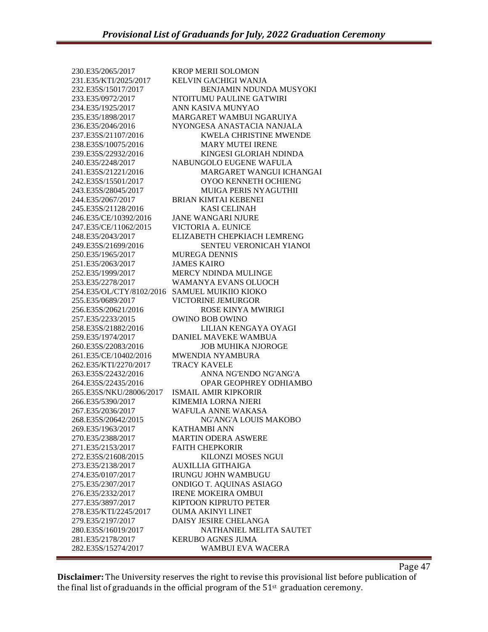230.E35/2065/2017 KROP MERII SOLOMON 231.E35/KTI/2025/2017 KELVIN GACHIGI WANJA 232.E35S/15017/2017 BENJAMIN NDUNDA MUSYOKI 233.E35/0972/2017 NTOITUMU PAULINE GATWIRI 234.E35/1925/2017 ANN KASIVA MUNYAO 235.E35/1898/2017 MARGARET WAMBUI NGARUIYA 236.E35/2046/2016 NYONGESA ANASTACIA NANJALA 237.E35S/21107/2016 KWELA CHRISTINE MWENDE 238.E35S/10075/2016 MARY MUTEI IRENE 239.E35S/22932/2016 KINGESI GLORIAH NDINDA 240.E35/2248/2017 NABUNGOLO EUGENE WAFULA 241.E35S/21221/2016 MARGARET WANGUI ICHANGAI 242.E35S/15501/2017 OYOO KENNETH OCHIENG 243.E35S/28045/2017 MUIGA PERIS NYAGUTHII 244.E35/2067/2017 BRIAN KIMTAI KEBENEI 245.E35S/21128/2016 KASI CELINAH 246.E35/CE/10392/2016 JANE WANGARI NJURE 247.E35/CE/11062/2015 VICTORIA A. EUNICE 248.E35/2043/2017 ELIZABETH CHEPKIACH LEMRENG 249.E35S/21699/2016 SENTEU VERONICAH YIANOI 250.E35/1965/2017 MUREGA DENNIS 251.E35/2063/2017 JAMES KAIRO 252.E35/1999/2017 MERCY NDINDA MULINGE 253.E35/2278/2017 WAMANYA EVANS OLUOCH 254.E35/OL/CTY/8102/2016 SAMUEL MUIKIIO KIOKO 255.E35/0689/2017 VICTORINE JEMURGOR 256.E35S/20621/2016 ROSE KINYA MWIRIGI 257.E35/2233/2015 OWINO BOB OWINO 258.E35S/21882/2016 LILIAN KENGAYA OYAGI 259.E35/1974/2017 DANIEL MAVEKE WAMBUA 260.E35S/22083/2016 JOB MUHIKA NJOROGE 261.E35/CE/10402/2016 MWENDIA NYAMBURA 262.E35/KTI/2270/2017 TRACY KAVELE 263.E35S/22432/2016 ANNA NG'ENDO NG'ANG'A 264.E35S/22435/2016 OPAR GEOPHREY ODHIAMBO 265.E35S/NKU/28006/2017 ISMAIL AMIR KIPKORIR 266.E35/5390/2017 KIMEMIA LORNA NJERI 267.E35/2036/2017 WAFULA ANNE WAKASA 268.E35S/20642/2015 NG'ANG'A LOUIS MAKOBO 269.E35/1963/2017 KATHAMBI ANN 270.E35/2388/2017 MARTIN ODERA ASWERE 271.E35/2153/2017 FAITH CHEPKORIR 272.E35S/21608/2015 KILONZI MOSES NGUI 273.E35/2138/2017 AUXILLIA GITHAIGA 274.E35/0107/2017 IRUNGU JOHN WAMBUGU 275.E35/2307/2017 ONDIGO T. AQUINAS ASIAGO 276.E35/2332/2017 IRENE MOKEIRA OMBUI 277.E35/3897/2017 KIPTOON KIPRUTO PETER 278.E35/KTI/2245/2017 OUMA AKINYI LINET 279.E35/2197/2017 DAISY JESIRE CHELANGA 280.E35S/16019/2017 NATHANIEL MELITA SAUTET 281.E35/2178/2017 KERUBO AGNES JUMA 282.E35S/15274/2017 WAMBUI EVA WACERA

Page 47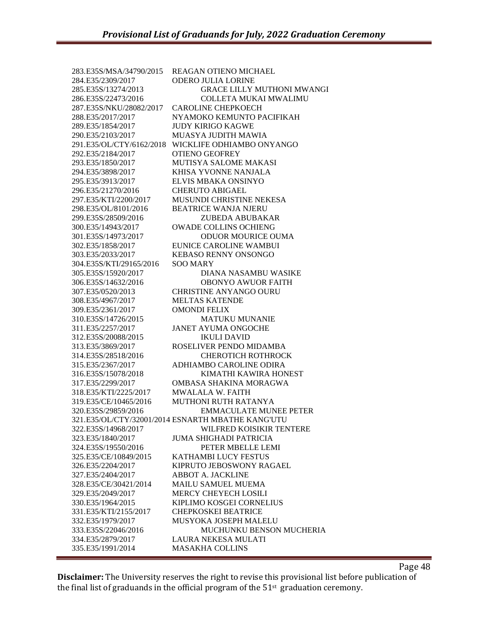| 283.E35S/MSA/34790/2015 | REAGAN OTIENO MICHAEL                              |
|-------------------------|----------------------------------------------------|
| 284.E35/2309/2017       | <b>ODERO JULIA LORINE</b>                          |
| 285.E35S/13274/2013     | <b>GRACE LILLY MUTHONI MWANGI</b>                  |
| 286.E35S/22473/2016     | <b>COLLETA MUKAI MWALIMU</b>                       |
| 287.E35S/NKU/28082/2017 | <b>CAROLINE CHEPKOECH</b>                          |
| 288.E35/2017/2017       | NYAMOKO KEMUNTO PACIFIKAH                          |
| 289.E35/1854/2017       | <b>JUDY KIRIGO KAGWE</b>                           |
| 290.E35/2103/2017       | MUASYA JUDITH MAWIA                                |
|                         | 291.E35/OL/CTY/6162/2018 WICKLIFE ODHIAMBO ONYANGO |
| 292.E35/2184/2017       | <b>OTIENO GEOFREY</b>                              |
| 293.E35/1850/2017       | MUTISYA SALOME MAKASI                              |
| 294.E35/3898/2017       | KHISA YVONNE NANJALA                               |
| 295.E35/3913/2017       | ELVIS MBAKA ONSINYO                                |
| 296.E35/21270/2016      | <b>CHERUTO ABIGAEL</b>                             |
| 297.E35/KTI/2200/2017   | MUSUNDI CHRISTINE NEKESA                           |
| 298.E35/OL/8101/2016    | <b>BEATRICE WANJA NJERU</b>                        |
| 299.E35S/28509/2016     | ZUBEDA ABUBAKAR                                    |
| 300.E35/14943/2017      | <b>OWADE COLLINS OCHIENG</b>                       |
| 301.E35S/14973/2017     | ODUOR MOURICE OUMA                                 |
| 302.E35/1858/2017       | <b>EUNICE CAROLINE WAMBUI</b>                      |
| 303.E35/2033/2017       | <b>KEBASO RENNY ONSONGO</b>                        |
| 304.E35S/KTI/29165/2016 | <b>SOO MARY</b>                                    |
| 305.E35S/15920/2017     | DIANA NASAMBU WASIKE                               |
| 306.E35S/14632/2016     | <b>OBONYO AWUOR FAITH</b>                          |
| 307.E35/0520/2013       | <b>CHRISTINE ANYANGO OURU</b>                      |
| 308.E35/4967/2017       | <b>MELTAS KATENDE</b>                              |
| 309.E35/2361/2017       | <b>OMONDI FELIX</b>                                |
| 310.E35S/14726/2015     | <b>MATUKU MUNANIE</b>                              |
| 311.E35/2257/2017       | <b>JANET AYUMA ONGOCHE</b>                         |
| 312.E35S/20088/2015     | <b>IKULI DAVID</b>                                 |
| 313.E35/3869/2017       | ROSELIVER PENDO MIDAMBA                            |
| 314.E35S/28518/2016     | <b>CHEROTICH ROTHROCK</b>                          |
| 315.E35/2367/2017       | ADHIAMBO CAROLINE ODIRA                            |
| 316.E35S/15078/2018     | KIMATHI KAWIRA HONEST                              |
| 317.E35/2299/2017       | OMBASA SHAKINA MORAGWA                             |
| 318.E35/KTI/2225/2017   | <b>MWALALA W. FAITH</b>                            |
| 319.E35/CE/10465/2016   | <b>MUTHONI RUTH RATANYA</b>                        |
| 320.E35S/29859/2016     | <b>EMMACULATE MUNEE PETER</b>                      |
|                         | 321.E35/OL/CTY/32001/2014 ESNARTH MBATHE KANG'UTU  |
| 322.E35S/14968/2017     | WILFRED KOISIKIR TENTERE                           |
| 323.E35/1840/2017       | <b>JUMA SHIGHADI PATRICIA</b>                      |
| 324.E35S/19550/2016     | PETER MBELLE LEMI                                  |
| 325.E35/CE/10849/2015   | KATHAMBI LUCY FESTUS                               |
| 326.E35/2204/2017       | KIPRUTO JEBOSWONY RAGAEL                           |
| 327.E35/2404/2017       | <b>ABBOT A. JACKLINE</b>                           |
|                         | MAILU SAMUEL MUEMA                                 |
| 328.E35/CE/30421/2014   |                                                    |
| 329.E35/2049/2017       | MERCY CHEYECH LOSILI                               |
| 330.E35/1964/2015       | KIPLIMO KOSGEI CORNELIUS                           |
| 331.E35/KTI/2155/2017   | <b>CHEPKOSKEI BEATRICE</b>                         |
| 332.E35/1979/2017       | MUSYOKA JOSEPH MALELU                              |
| 333.E35S/22046/2016     | MUCHUNKU BENSON MUCHERIA                           |
| 334.E35/2879/2017       | LAURA NEKESA MULATI                                |
| 335.E35/1991/2014       | <b>MASAKHA COLLINS</b>                             |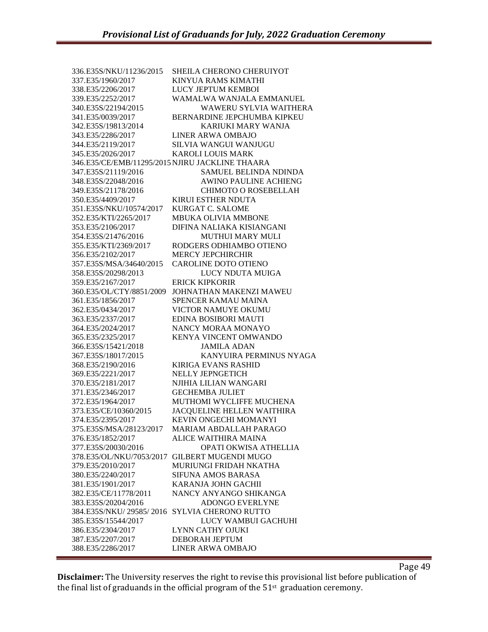| 337.E35/1960/2017<br>KINYUA RAMS KIMATHI<br>LUCY JEPTUM KEMBOI<br>338.E35/2206/2017<br>339.E35/2252/2017<br>WAMALWA WANJALA EMMANUEL<br>WAWERU SYLVIA WAITHERA<br>340.E35S/22194/2015<br>BERNARDINE JEPCHUMBA KIPKEU<br>341.E35/0039/2017<br>342.E35S/19813/2014<br>KARIUKI MARY WANJA<br>343.E35/2286/2017<br><b>LINER ARWA OMBAJO</b><br>344.E35/2119/2017<br>SILVIA WANGUI WANJUGU |  |
|---------------------------------------------------------------------------------------------------------------------------------------------------------------------------------------------------------------------------------------------------------------------------------------------------------------------------------------------------------------------------------------|--|
|                                                                                                                                                                                                                                                                                                                                                                                       |  |
|                                                                                                                                                                                                                                                                                                                                                                                       |  |
|                                                                                                                                                                                                                                                                                                                                                                                       |  |
|                                                                                                                                                                                                                                                                                                                                                                                       |  |
|                                                                                                                                                                                                                                                                                                                                                                                       |  |
|                                                                                                                                                                                                                                                                                                                                                                                       |  |
|                                                                                                                                                                                                                                                                                                                                                                                       |  |
|                                                                                                                                                                                                                                                                                                                                                                                       |  |
| 345.E35/2026/2017<br><b>KAROLI LOUIS MARK</b>                                                                                                                                                                                                                                                                                                                                         |  |
| 346.E35/CE/EMB/11295/2015 NJIRU JACKLINE THAARA                                                                                                                                                                                                                                                                                                                                       |  |
| 347.E35S/21119/2016<br>SAMUEL BELINDA NDINDA                                                                                                                                                                                                                                                                                                                                          |  |
| 348.E35S/22048/2016<br><b>AWINO PAULINE ACHIENG</b>                                                                                                                                                                                                                                                                                                                                   |  |
| 349.E35S/21178/2016<br>CHIMOTO O ROSEBELLAH                                                                                                                                                                                                                                                                                                                                           |  |
| 350.E35/4409/2017<br><b>KIRUI ESTHER NDUTA</b>                                                                                                                                                                                                                                                                                                                                        |  |
| <b>KURGAT C. SALOME</b><br>351.E35S/NKU/10574/2017                                                                                                                                                                                                                                                                                                                                    |  |
| 352.E35/KTI/2265/2017<br>MBUKA OLIVIA MMBONE                                                                                                                                                                                                                                                                                                                                          |  |
| 353.E35/2106/2017<br>DIFINA NALIAKA KISIANGANI                                                                                                                                                                                                                                                                                                                                        |  |
| 354.E35S/21476/2016<br><b>MUTHUI MARY MULI</b>                                                                                                                                                                                                                                                                                                                                        |  |
| 355.E35/KTI/2369/2017<br>RODGERS ODHIAMBO OTIENO                                                                                                                                                                                                                                                                                                                                      |  |
| <b>MERCY JEPCHIRCHIR</b><br>356.E35/2102/2017                                                                                                                                                                                                                                                                                                                                         |  |
| 357.E35S/MSA/34640/2015<br><b>CAROLINE DOTO OTIENO</b>                                                                                                                                                                                                                                                                                                                                |  |
| 358.E35S/20298/2013<br>LUCY NDUTA MUIGA                                                                                                                                                                                                                                                                                                                                               |  |
| 359.E35/2167/2017<br><b>ERICK KIPKORIR</b>                                                                                                                                                                                                                                                                                                                                            |  |
| 360.E35/OL/CTY/8851/2009<br>JOHNATHAN MAKENZI MAWEU                                                                                                                                                                                                                                                                                                                                   |  |
| SPENCER KAMAU MAINA<br>361.E35/1856/2017                                                                                                                                                                                                                                                                                                                                              |  |
| 362.E35/0434/2017<br><b>VICTOR NAMUYE OKUMU</b>                                                                                                                                                                                                                                                                                                                                       |  |
| 363.E35/2337/2017<br><b>EDINA BOSIBORI MAUTI</b>                                                                                                                                                                                                                                                                                                                                      |  |
| 364.E35/2024/2017<br>NANCY MORAA MONAYO                                                                                                                                                                                                                                                                                                                                               |  |
| 365.E35/2325/2017<br>KENYA VINCENT OMWANDO                                                                                                                                                                                                                                                                                                                                            |  |
| 366.E35S/15421/2018<br><b>JAMILA ADAN</b>                                                                                                                                                                                                                                                                                                                                             |  |
| KANYUIRA PERMINUS NYAGA<br>367.E35S/18017/2015                                                                                                                                                                                                                                                                                                                                        |  |
| 368.E35/2190/2016<br><b>KIRIGA EVANS RASHID</b>                                                                                                                                                                                                                                                                                                                                       |  |
| 369.E35/2221/2017<br><b>NELLY JEPNGETICH</b>                                                                                                                                                                                                                                                                                                                                          |  |
| 370.E35/2181/2017<br>NJIHIA LILIAN WANGARI                                                                                                                                                                                                                                                                                                                                            |  |
| 371.E35/2346/2017<br><b>GECHEMBA JULIET</b>                                                                                                                                                                                                                                                                                                                                           |  |
| 372.E35/1964/2017<br>MUTHOMI WYCLIFFE MUCHENA                                                                                                                                                                                                                                                                                                                                         |  |
| JACQUELINE HELLEN WAITHIRA<br>373.E35/CE/10360/2015                                                                                                                                                                                                                                                                                                                                   |  |
| KEVIN ONGECHI MOMANYI<br>374.E35/2395/2017                                                                                                                                                                                                                                                                                                                                            |  |
| 375.E35S/MSA/28123/2017<br>MARIAM ABDALLAH PARAGO                                                                                                                                                                                                                                                                                                                                     |  |
| 376.E35/1852/2017<br>ALICE WAITHIRA MAINA                                                                                                                                                                                                                                                                                                                                             |  |
| 377.E35S/20030/2016<br>OPATI OKWISA ATHELLIA                                                                                                                                                                                                                                                                                                                                          |  |
| 378.E35/OL/NKU/7053/2017<br><b>GILBERT MUGENDI MUGO</b>                                                                                                                                                                                                                                                                                                                               |  |
| 379.E35/2010/2017<br>MURIUNGI FRIDAH NKATHA                                                                                                                                                                                                                                                                                                                                           |  |
| 380.E35/2240/2017<br><b>SIFUNA AMOS BARASA</b>                                                                                                                                                                                                                                                                                                                                        |  |
| 381.E35/1901/2017<br>KARANJA JOHN GACHII                                                                                                                                                                                                                                                                                                                                              |  |
| 382.E35/CE/11778/2011<br>NANCY ANYANGO SHIKANGA                                                                                                                                                                                                                                                                                                                                       |  |
| 383.E35S/20204/2016<br><b>ADONGO EVERLYNE</b>                                                                                                                                                                                                                                                                                                                                         |  |
| SYLVIA CHERONO RUTTO<br>384.E35S/NKU/29585/2016                                                                                                                                                                                                                                                                                                                                       |  |
| LUCY WAMBUI GACHUHI<br>385.E35S/15544/2017                                                                                                                                                                                                                                                                                                                                            |  |
| <b>LYNN CATHY OJUKI</b><br>386.E35/2304/2017                                                                                                                                                                                                                                                                                                                                          |  |
| 387.E35/2207/2017<br>DEBORAH JEPTUM                                                                                                                                                                                                                                                                                                                                                   |  |
| 388.E35/2286/2017<br><b>LINER ARWA OMBAJO</b>                                                                                                                                                                                                                                                                                                                                         |  |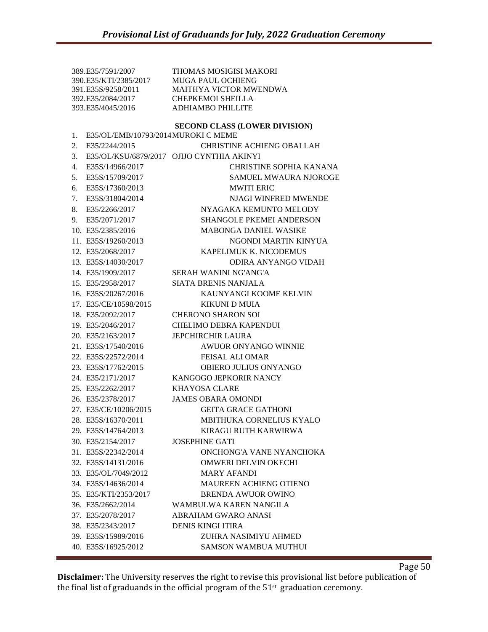389.E35/7591/2007 THOMAS MOSIGISI MAKORI 390.E35/KTI/2385/2017 MUGA PAUL OCHIENG 391.E35S/9258/2011 MAITHYA VICTOR MWENDWA 392.E35/2084/2017 CHEPKEMOI SHEILLA 393.E35/4045/2016 ADHIAMBO PHILLITE **SECOND CLASS (LOWER DIVISION)** 1. E35/OL/EMB/10793/2014MUROKI C MEME 2. E35/2244/2015 CHRISTINE ACHIENG OBALLAH 3. E35/OL/KSU/6879/2017 OJIJO CYNTHIA AKINYI 4. E35S/14966/2017 CHRISTINE SOPHIA KANANA 5. E35S/15709/2017 SAMUEL MWAURA NJOROGE 6. E35S/17360/2013 MWITI ERIC 7. E35S/31804/2014 NJAGI WINFRED MWENDE 8. E35/2266/2017 NYAGAKA KEMUNTO MELODY 9. E35/2071/2017 SHANGOLE PKEMEI ANDERSON 10. E35/2385/2016 MABONGA DANIEL WASIKE 11. E35S/19260/2013 NGONDI MARTIN KINYUA 12. E35/2068/2017 KAPELIMUK K. NICODEMUS 13. E35S/14030/2017 ODIRA ANYANGO VIDAH 14. E35/1909/2017 SERAH WANINI NG'ANG'A 15. E35/2958/2017 SIATA BRENIS NANJALA 16. E35S/20267/2016 KAUNYANGI KOOME KELVIN 17. E35/CE/10598/2015 KIKUNI D MUIA 18. E35/2092/2017 CHERONO SHARON SOI 19. E35/2046/2017 CHELIMO DEBRA KAPENDUI 20. E35/2163/2017 JEPCHIRCHIR LAURA 21. E35S/17540/2016 AWUOR ONYANGO WINNIE 22. E35S/22572/2014 FEISAL ALI OMAR 23. E35S/17762/2015 OBIERO JULIUS ONYANGO 24. E35/2171/2017 KANGOGO JEPKORIR NANCY 25. E35/2262/2017 KHAYOSA CLARE 26. E35/2378/2017 JAMES OBARA OMONDI 27. E35/CE/10206/2015 GEITA GRACE GATHONI 28. E35S/16370/2011 MBITHUKA CORNELIUS KYALO 29. E35S/14764/2013 KIRAGU RUTH KARWIRWA 30. E35/2154/2017 JOSEPHINE GATI 31. E35S/22342/2014 ONCHONG'A VANE NYANCHOKA 32. E35S/14131/2016 OMWERI DELVIN OKECHI 33. E35/OL/7049/2012 MARY AFANDI 34. E35S/14636/2014 MAUREEN ACHIENG OTIENO 35. E35/KTI/2353/2017 BRENDA AWUOR OWINO 36. E35/2662/2014 WAMBULWA KAREN NANGILA 37. E35/2078/2017 ABRAHAM GWARO ANASI 38. E35/2343/2017 DENIS KINGI ITIRA 39. E35S/15989/2016 ZUHRA NASIMIYU AHMED 40. E35S/16925/2012 SAMSON WAMBUA MUTHUI

**Disclaimer:** The University reserves the right to revise this provisional list before publication of the final list of graduands in the official program of the  $51<sup>st</sup>$  graduation ceremony.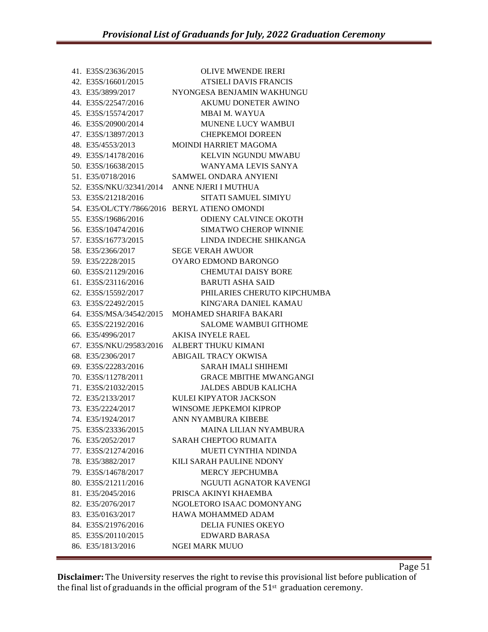| 41. E35S/23636/2015 | <b>OLIVE MWENDE IRERI</b>                      |
|---------------------|------------------------------------------------|
| 42. E35S/16601/2015 | <b>ATSIELI DAVIS FRANCIS</b>                   |
| 43. E35/3899/2017   | NYONGESA BENJAMIN WAKHUNGU                     |
| 44. E35S/22547/2016 | AKUMU DONETER AWINO                            |
| 45. E35S/15574/2017 | <b>MBAI M. WAYUA</b>                           |
| 46. E35S/20900/2014 | MUNENE LUCY WAMBUI                             |
| 47. E35S/13897/2013 | <b>CHEPKEMOI DOREEN</b>                        |
| 48. E35/4553/2013   | <b>MOINDI HARRIET MAGOMA</b>                   |
| 49. E35S/14178/2016 | <b>KELVIN NGUNDU MWABU</b>                     |
| 50. E35S/16638/2015 | WANYAMA LEVIS SANYA                            |
| 51. E35/0718/2016   | SAMWEL ONDARA ANYIENI                          |
|                     | 52. E35S/NKU/32341/2014 ANNE NJERI I MUTHUA    |
| 53. E35S/21218/2016 | <b>SITATI SAMUEL SIMIYU</b>                    |
|                     | 54. E35/OL/CTY/7866/2016 BERYL ATIENO OMONDI   |
| 55. E35S/19686/2016 | <b>ODIENY CALVINCE OKOTH</b>                   |
| 56. E35S/10474/2016 | <b>SIMATWO CHEROP WINNIE</b>                   |
| 57. E35S/16773/2015 | LINDA INDECHE SHIKANGA                         |
| 58. E35/2366/2017   | <b>SEGE VERAH AWUOR</b>                        |
| 59. E35/2228/2015   | OYARO EDMOND BARONGO                           |
| 60. E35S/21129/2016 | <b>CHEMUTAI DAISY BORE</b>                     |
| 61. E35S/23116/2016 | <b>BARUTI ASHA SAID</b>                        |
| 62. E35S/15592/2017 | PHILARIES CHERUTO KIPCHUMBA                    |
| 63. E35S/22492/2015 | KING'ARA DANIEL KAMAU                          |
|                     | 64. E35S/MSA/34542/2015 MOHAMED SHARIFA BAKARI |
| 65. E35S/22192/2016 | <b>SALOME WAMBUI GITHOME</b>                   |
| 66. E35/4996/2017   | AKISA INYELE RAEL                              |
|                     | 67. E35S/NKU/29583/2016 ALBERT THUKU KIMANI    |
| 68. E35/2306/2017   | <b>ABIGAIL TRACY OKWISA</b>                    |
| 69. E35S/22283/2016 | <b>SARAH IMALI SHIHEMI</b>                     |
| 70. E35S/11278/2011 | <b>GRACE MBITHE MWANGANGI</b>                  |
| 71. E35S/21032/2015 | <b>JALDES ABDUB KALICHA</b>                    |
| 72. E35/2133/2017   | KULEI KIPYATOR JACKSON                         |
| 73. E35/2224/2017   | WINSOME JEPKEMOI KIPROP                        |
| 74. E35/1924/2017   | ANN NYAMBURA KIBEBE                            |
| 75. E35S/23336/2015 | <b>MAINA LILIAN NYAMBURA</b>                   |
| 76. E35/2052/2017   | SARAH CHEPTOO RUMAITA                          |
| 77. E35S/21274/2016 | <b>MUETI CYNTHIA NDINDA</b>                    |
| 78. E35/3882/2017   | KILI SARAH PAULINE NDONY                       |
| 79. E35S/14678/2017 | <b>MERCY JEPCHUMBA</b>                         |
| 80. E35S/21211/2016 | NGUUTI AGNATOR KAVENGI                         |
| 81. E35/2045/2016   | PRISCA AKINYI KHAEMBA                          |
| 82. E35/2076/2017   | NGOLETORO ISAAC DOMONYANG                      |
| 83. E35/0163/2017   | <b>HAWA MOHAMMED ADAM</b>                      |
| 84. E35S/21976/2016 | <b>DELIA FUNIES OKEYO</b>                      |
| 85. E35S/20110/2015 | EDWARD BARASA                                  |
| 86. E35/1813/2016   | <b>NGEI MARK MUUO</b>                          |
|                     |                                                |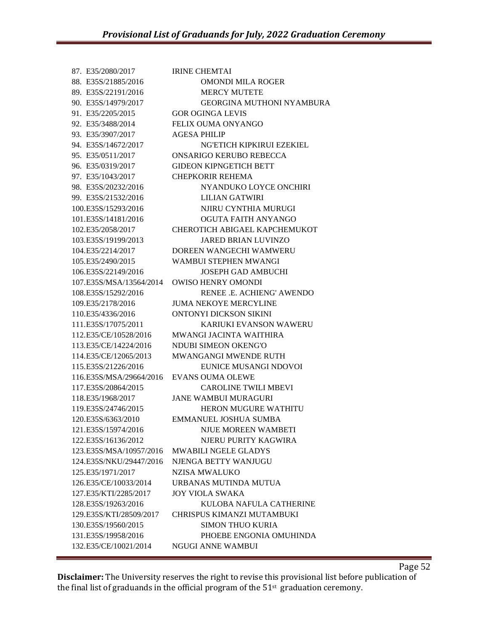| 87. E35/2080/2017       | <b>IRINE CHEMTAI</b>             |
|-------------------------|----------------------------------|
| 88. E35S/21885/2016     | <b>OMONDI MILA ROGER</b>         |
| 89. E35S/22191/2016     | <b>MERCY MUTETE</b>              |
| 90. E35S/14979/2017     | <b>GEORGINA MUTHONI NYAMBURA</b> |
| 91. E35/2205/2015       | <b>GOR OGINGA LEVIS</b>          |
| 92. E35/3488/2014       | <b>FELIX OUMA ONYANGO</b>        |
| 93. E35/3907/2017       | <b>AGESA PHILIP</b>              |
| 94. E35S/14672/2017     | NG'ETICH KIPKIRUI EZEKIEL        |
| 95. E35/0511/2017       | ONSARIGO KERUBO REBECCA          |
| 96. E35/0319/2017       | <b>GIDEON KIPNGETICH BETT</b>    |
| 97. E35/1043/2017       | <b>CHEPKORIR REHEMA</b>          |
| 98. E35S/20232/2016     | NYANDUKO LOYCE ONCHIRI           |
| 99. E35S/21532/2016     | <b>LILIAN GATWIRI</b>            |
| 100.E35S/15293/2016     | NJIRU CYNTHIA MURUGI             |
| 101.E35S/14181/2016     | OGUTA FAITH ANYANGO              |
| 102.E35/2058/2017       | CHEROTICH ABIGAEL KAPCHEMUKOT    |
| 103.E35S/19199/2013     | <b>JARED BRIAN LUVINZO</b>       |
| 104.E35/2214/2017       | DOREEN WANGECHI WAMWERU          |
| 105.E35/2490/2015       | WAMBUI STEPHEN MWANGI            |
| 106.E35S/22149/2016     | <b>JOSEPH GAD AMBUCHI</b>        |
| 107.E35S/MSA/13564/2014 | <b>OWISO HENRY OMONDI</b>        |
| 108.E35S/15292/2016     | RENEE .E. ACHIENG' AWENDO        |
| 109.E35/2178/2016       | <b>JUMA NEKOYE MERCYLINE</b>     |
| 110.E35/4336/2016       | ONTONYI DICKSON SIKINI           |
| 111.E35S/17075/2011     | <b>KARIUKI EVANSON WAWERU</b>    |
| 112.E35/CE/10528/2016   | <b>MWANGI JACINTA WAITHIRA</b>   |
| 113.E35/CE/14224/2016   | NDUBI SIMEON OKENG'O             |
| 114.E35/CE/12065/2013   | <b>MWANGANGI MWENDE RUTH</b>     |
| 115.E35S/21226/2016     | EUNICE MUSANGI NDOVOI            |
| 116.E35S/MSA/29664/2016 | <b>EVANS OUMA OLEWE</b>          |
| 117.E35S/20864/2015     | <b>CAROLINE TWILI MBEVI</b>      |
| 118.E35/1968/2017       | <b>JANE WAMBUI MURAGURI</b>      |
| 119.E35S/24746/2015     | <b>HERON MUGURE WATHITU</b>      |
| 120.E35S/6363/2010      | <b>EMMANUEL JOSHUA SUMBA</b>     |
| 121.E35S/15974/2016     | <b>NJUE MOREEN WAMBETI</b>       |
| 122.E35S/16136/2012     | NJERU PURITY KAGWIRA             |
| 123.E35S/MSA/10957/2016 | <b>MWABILI NGELE GLADYS</b>      |
| 124.E35S/NKU/29447/2016 | NJENGA BETTY WANJUGU             |
| 125.E35/1971/2017       | <b>NZISA MWALUKO</b>             |
| 126.E35/CE/10033/2014   | URBANAS MUTINDA MUTUA            |
| 127.E35/KTI/2285/2017   | <b>JOY VIOLA SWAKA</b>           |
| 128.E35S/19263/2016     | KULOBA NAFULA CATHERINE          |
| 129.E35S/KTI/28509/2017 | CHRISPUS KIMANZI MUTAMBUKI       |
| 130.E35S/19560/2015     | <b>SIMON THUO KURIA</b>          |
| 131.E35S/19958/2016     | PHOEBE ENGONIA OMUHINDA          |
| 132.E35/CE/10021/2014   | <b>NGUGI ANNE WAMBUI</b>         |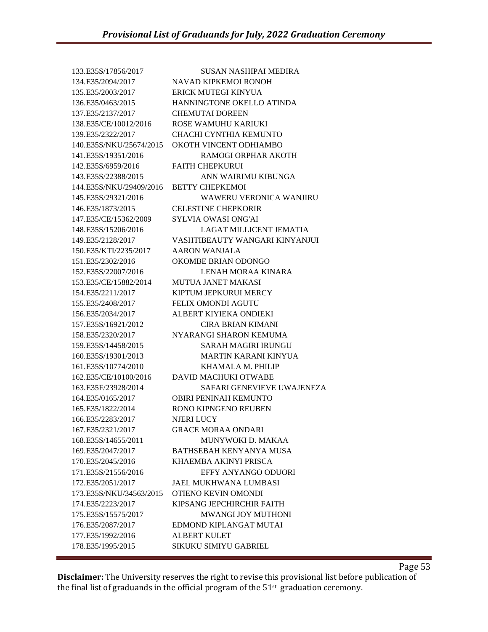133.E35S/17856/2017 SUSAN NASHIPAI MEDIRA 134.E35/2094/2017 NAVAD KIPKEMOI RONOH 135.E35/2003/2017 ERICK MUTEGI KINYUA 136.E35/0463/2015 HANNINGTONE OKELLO ATINDA 137.E35/2137/2017 CHEMUTAI DOREEN 138.E35/CE/10012/2016 ROSE WAMUHU KARIUKI 139.E35/2322/2017 CHACHI CYNTHIA KEMUNTO 140.E35S/NKU/25674/2015 OKOTH VINCENT ODHIAMBO 141.E35S/19351/2016 RAMOGI ORPHAR AKOTH 142.E35S/6959/2016 FAITH CHEPKURUI 143.E35S/22388/2015 ANN WAIRIMU KIBUNGA 144.E35S/NKU/29409/2016 BETTY CHEPKEMOI 145.E35S/29321/2016 WAWERU VERONICA WANJIRU 146.E35/1873/2015 CELESTINE CHEPKORIR 147.E35/CE/15362/2009 SYLVIA OWASI ONG'AI 148.E35S/15206/2016 LAGAT MILLICENT JEMATIA 149.E35/2128/2017 VASHTIBEAUTY WANGARI KINYANJUI 150.E35/KTI/2235/2017 AARON WANJALA 151.E35/2302/2016 OKOMBE BRIAN ODONGO 152.E35S/22007/2016 LENAH MORAA KINARA 153.E35/CE/15882/2014 MUTUA JANET MAKASI 154.E35/2211/2017 KIPTUM JEPKURUI MERCY 155.E35/2408/2017 FELIX OMONDI AGUTU 156.E35/2034/2017 ALBERT KIYIEKA ONDIEKI 157.E35S/16921/2012 CIRA BRIAN KIMANI 158.E35/2320/2017 NYARANGI SHARON KEMUMA 159.E35S/14458/2015 SARAH MAGIRI IRUNGU 160.E35S/19301/2013 MARTIN KARANI KINYUA 161.E35S/10774/2010 KHAMALA M. PHILIP 162.E35/CE/10100/2016 DAVID MACHUKI OTWABE 163.E35F/23928/2014 SAFARI GENEVIEVE UWAJENEZA 164.E35/0165/2017 OBIRI PENINAH KEMUNTO 165.E35/1822/2014 RONO KIPNGENO REUBEN 166.E35/2283/2017 NJERI LUCY 167.E35/2321/2017 GRACE MORAA ONDARI 168.E35S/14655/2011 MUNYWOKI D. MAKAA 169.E35/2047/2017 BATHSEBAH KENYANYA MUSA 170.E35/2045/2016 KHAEMBA AKINYI PRISCA 171.E35S/21556/2016 EFFY ANYANGO ODUORI 172.E35/2051/2017 JAEL MUKHWANA LUMBASI 173.E35S/NKU/34563/2015 OTIENO KEVIN OMONDI 174.E35/2223/2017 KIPSANG JEPCHIRCHIR FAITH 175.E35S/15575/2017 MWANGI JOY MUTHONI 176.E35/2087/2017 EDMOND KIPLANGAT MUTAI 177.E35/1992/2016 ALBERT KULET 178.E35/1995/2015 SIKUKU SIMIYU GABRIEL

**Disclaimer:** The University reserves the right to revise this provisional list before publication of the final list of graduands in the official program of the  $51<sup>st</sup>$  graduation ceremony.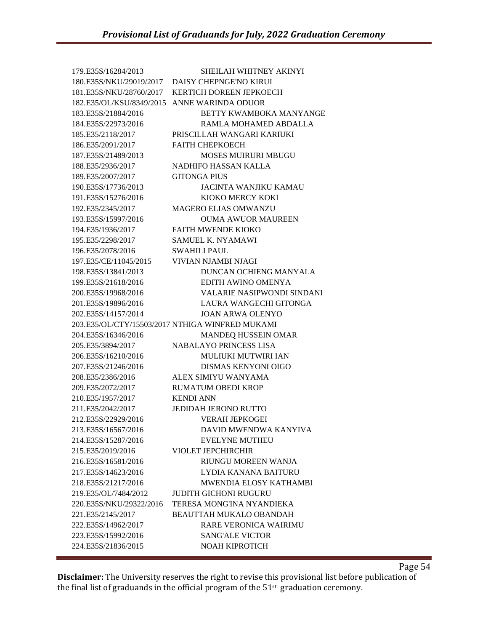| 179.E35S/16284/2013                         | <b>SHEILAH WHITNEY AKINYI</b>                   |
|---------------------------------------------|-------------------------------------------------|
| 180.E35S/NKU/29019/2017                     | DAISY CHEPNGE'NO KIRUI                          |
| 181.E35S/NKU/28760/2017                     | <b>KERTICH DOREEN JEPKOECH</b>                  |
| 182.E35/OL/KSU/8349/2015 ANNE WARINDA ODUOR |                                                 |
| 183.E35S/21884/2016                         | BETTY KWAMBOKA MANYANGE                         |
| 184.E35S/22973/2016                         | RAMLA MOHAMED ABDALLA                           |
| 185.E35/2118/2017                           | PRISCILLAH WANGARI KARIUKI                      |
| 186.E35/2091/2017                           | <b>FAITH CHEPKOECH</b>                          |
| 187.E35S/21489/2013                         | <b>MOSES MUIRURI MBUGU</b>                      |
| 188.E35/2936/2017                           | <b>NADHIFO HASSAN KALLA</b>                     |
| 189.E35/2007/2017                           | <b>GITONGA PIUS</b>                             |
| 190.E35S/17736/2013                         | <b>JACINTA WANJIKU KAMAU</b>                    |
| 191.E35S/15276/2016                         | KIOKO MERCY KOKI                                |
| 192.E35/2345/2017                           | <b>MAGERO ELIAS OMWANZU</b>                     |
| 193.E35S/15997/2016                         | <b>OUMA AWUOR MAUREEN</b>                       |
| 194.E35/1936/2017                           | <b>FAITH MWENDE KIOKO</b>                       |
| 195.E35/2298/2017                           | <b>SAMUEL K. NYAMAWI</b>                        |
| 196.E35/2078/2016                           | <b>SWAHILI PAUL</b>                             |
| 197.E35/CE/11045/2015                       | VIVIAN NJAMBI NJAGI                             |
| 198.E35S/13841/2013                         | DUNCAN OCHIENG MANYALA                          |
| 199.E35S/21618/2016                         | EDITH AWINO OMENYA                              |
| 200.E35S/19968/2016                         | VALARIE NASIPWONDI SINDANI                      |
| 201.E35S/19896/2016                         | LAURA WANGECHI GITONGA                          |
| 202.E35S/14157/2014                         | <b>JOAN ARWA OLENYO</b>                         |
|                                             | 203.E35/OL/CTY/15503/2017 NTHIGA WINFRED MUKAMI |
| 204.E35S/16346/2016                         | <b>MANDEQ HUSSEIN OMAR</b>                      |
| 205.E35/3894/2017                           | <b>NABALAYO PRINCESS LISA</b>                   |
| 206.E35S/16210/2016                         | <b>MULIUKI MUTWIRI IAN</b>                      |
| 207.E35S/21246/2016                         | <b>DISMAS KENYONI OIGO</b>                      |
| 208.E35/2386/2016                           | ALEX SIMIYU WANYAMA                             |
| 209.E35/2072/2017                           | <b>RUMATUM OBEDI KROP</b>                       |
| 210.E35/1957/2017                           | <b>KENDI ANN</b>                                |
| 211.E35/2042/2017                           | <b>JEDIDAH JERONO RUTTO</b>                     |
| 212.E35S/22929/2016                         | <b>VERAH JEPKOGEI</b>                           |
| 213.E35S/16567/2016                         | DAVID MWENDWA KANYIVA                           |
| 214.E35S/15287/2016                         | <b>EVELYNE MUTHEU</b>                           |
| 215.E35/2019/2016                           | <b>VIOLET JEPCHIRCHIR</b>                       |
| 216.E35S/16581/2016                         | RIUNGU MOREEN WANJA                             |
| 217.E35S/14623/2016                         | LYDIA KANANA BAITURU                            |
| 218.E35S/21217/2016                         | MWENDIA ELOSY KATHAMBI                          |
| 219.E35/OL/7484/2012                        | <b>JUDITH GICHONI RUGURU</b>                    |
| 220.E35S/NKU/29322/2016                     | TERESA MONG'INA NYANDIEKA                       |
| 221.E35/2145/2017                           | <b>BEAUTTAH MUKALO OBANDAH</b>                  |
| 222.E35S/14962/2017                         | <b>RARE VERONICA WAIRIMU</b>                    |
| 223.E35S/15992/2016                         | <b>SANG'ALE VICTOR</b>                          |
| 224.E35S/21836/2015                         | <b>NOAH KIPROTICH</b>                           |
|                                             |                                                 |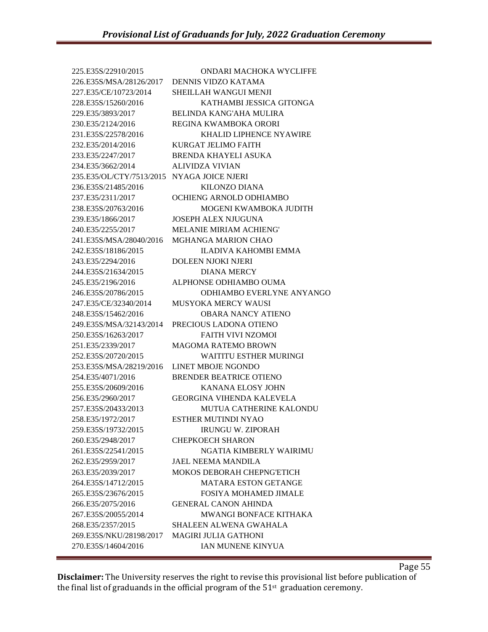225.E35S/22910/2015 ONDARI MACHOKA WYCLIFFE 226.E35S/MSA/28126/2017 DENNIS VIDZO KATAMA 227.E35/CE/10723/2014 SHEILLAH WANGUI MENJI 228.E35S/15260/2016 KATHAMBI JESSICA GITONGA 229.E35/3893/2017 BELINDA KANG'AHA MULIRA 230.E35/2124/2016 REGINA KWAMBOKA ORORI 231.E35S/22578/2016 KHALID LIPHENCE NYAWIRE 232.E35/2014/2016 KURGAT JELIMO FAITH 233.E35/2247/2017 BRENDA KHAYELI ASUKA 234.E35/3662/2014 ALIVIDZA VIVIAN 235.E35/OL/CTY/7513/2015 NYAGA JOICE NJERI 236.E35S/21485/2016 KILONZO DIANA 237.E35/2311/2017 OCHIENG ARNOLD ODHIAMBO 238.E35S/20763/2016 MOGENI KWAMBOKA JUDITH 239.E35/1866/2017 JOSEPH ALEX NJUGUNA 240.E35/2255/2017 MELANIE MIRIAM ACHIENG' 241.E35S/MSA/28040/2016 MGHANGA MARION CHAO 242.E35S/18186/2015 ILADIVA KAHOMBI EMMA 243.E35/2294/2016 DOLEEN NJOKI NJERI 244.E35S/21634/2015 DIANA MERCY 245.E35/2196/2016 ALPHONSE ODHIAMBO OUMA 246.E35S/20786/2015 ODHIAMBO EVERLYNE ANYANGO 247.E35/CE/32340/2014 MUSYOKA MERCY WAUSI 248.E35S/15462/2016 OBARA NANCY ATIENO 249.E35S/MSA/32143/2014 PRECIOUS LADONA OTIENO 250.E35S/16263/2017 FAITH VIVI NZOMOI 251.E35/2339/2017 MAGOMA RATEMO BROWN 252.E35S/20720/2015 WAITITU ESTHER MURINGI 253.E35S/MSA/28219/2016 LINET MBOJE NGONDO 254.E35/4071/2016 BRENDER BEATRICE OTIENO 255.E35S/20609/2016 KANANA ELOSY JOHN 256.E35/2960/2017 GEORGINA VIHENDA KALEVELA 257.E35S/20433/2013 MUTUA CATHERINE KALONDU 258.E35/1972/2017 ESTHER MUTINDI NYAO 259.E35S/19732/2015 IRUNGU W. ZIPORAH 260.E35/2948/2017 CHEPKOECH SHARON 261.E35S/22541/2015 NGATIA KIMBERLY WAIRIMU 262.E35/2959/2017 JAEL NEEMA MANDILA 263.E35/2039/2017 MOKOS DEBORAH CHEPNG'ETICH 264.E35S/14712/2015 MATARA ESTON GETANGE 265.E35S/23676/2015 FOSIYA MOHAMED JIMALE 266.E35/2075/2016 GENERAL CANON AHINDA 267.E35S/20055/2014 MWANGI BONFACE KITHAKA 268.E35/2357/2015 SHALEEN ALWENA GWAHALA 269.E35S/NKU/28198/2017 MAGIRI JULIA GATHONI 270.E35S/14604/2016 IAN MUNENE KINYUA

**Disclaimer:** The University reserves the right to revise this provisional list before publication of the final list of graduands in the official program of the  $51<sup>st</sup>$  graduation ceremony.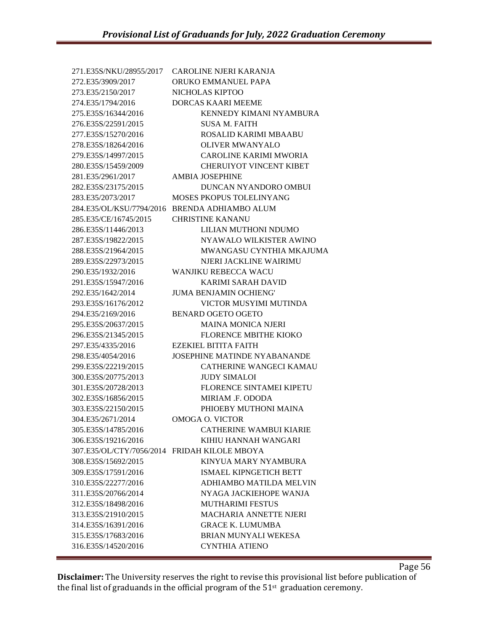| 271.E35S/NKU/28955/2017                      | <b>CAROLINE NJERI KARANJA</b>       |
|----------------------------------------------|-------------------------------------|
| 272.E35/3909/2017                            | ORUKO EMMANUEL PAPA                 |
| 273.E35/2150/2017                            | NICHOLAS KIPTOO                     |
| 274.E35/1794/2016                            | <b>DORCAS KAARI MEEME</b>           |
| 275.E35S/16344/2016                          | KENNEDY KIMANI NYAMBURA             |
| 276.E35S/22591/2015                          | <b>SUSA M. FAITH</b>                |
| 277.E35S/15270/2016                          | ROSALID KARIMI MBAABU               |
| 278.E35S/18264/2016                          | <b>OLIVER MWANYALO</b>              |
| 279.E35S/14997/2015                          | CAROLINE KARIMI MWORIA              |
| 280.E35S/15459/2009                          | <b>CHERUIYOT VINCENT KIBET</b>      |
| 281.E35/2961/2017                            | <b>AMBIA JOSEPHINE</b>              |
| 282.E35S/23175/2015                          | DUNCAN NYANDORO OMBUI               |
| 283.E35/2073/2017                            | <b>MOSES PKOPUS TOLELINYANG</b>     |
| 284.E35/OL/KSU/7794/2016                     | <b>BRENDA ADHIAMBO ALUM</b>         |
| 285.E35/CE/16745/2015                        | <b>CHRISTINE KANANU</b>             |
| 286.E35S/11446/2013                          | LILIAN MUTHONI NDUMO                |
| 287.E35S/19822/2015                          | NYAWALO WILKISTER AWINO             |
| 288.E35S/21964/2015                          | MWANGASU CYNTHIA MKAJUMA            |
| 289.E35S/22973/2015                          | NIERI JACKLINE WAIRIMU              |
| 290.E35/1932/2016                            | <b>WANJIKU REBECCA WACU</b>         |
| 291.E35S/15947/2016                          | <b>KARIMI SARAH DAVID</b>           |
| 292.E35/1642/2014                            | <b>JUMA BENJAMIN OCHIENG'</b>       |
| 293.E35S/16176/2012                          | VICTOR MUSYIMI MUTINDA              |
| 294.E35/2169/2016                            | <b>BENARD OGETO OGETO</b>           |
| 295.E35S/20637/2015                          | <b>MAINA MONICA NJERI</b>           |
| 296.E35S/21345/2015                          | <b>FLORENCE MBITHE KIOKO</b>        |
| 297.E35/4335/2016                            | EZEKIEL BITITA FAITH                |
| 298.E35/4054/2016                            | <b>JOSEPHINE MATINDE NYABANANDE</b> |
| 299.E35S/22219/2015                          | <b>CATHERINE WANGECI KAMAU</b>      |
| 300.E35S/20775/2013                          | <b>JUDY SIMALOI</b>                 |
| 301.E35S/20728/2013                          | <b>FLORENCE SINTAMEI KIPETU</b>     |
| 302.E35S/16856/2015                          | MIRIAM .F. ODODA                    |
| 303.E35S/22150/2015                          | PHIOEBY MUTHONI MAINA               |
| 304.E35/2671/2014                            | OMOGA O. VICTOR                     |
| 305.E35S/14785/2016                          | <b>CATHERINE WAMBUI KIARIE</b>      |
| 306.E35S/19216/2016                          | KIHIU HANNAH WANGARI                |
| 307.E35/OL/CTY/7056/2014 FRIDAH KILOLE MBOYA |                                     |
| 308.E35S/15692/2015                          | KINYUA MARY NYAMBURA                |
| 309.E35S/17591/2016                          | <b>ISMAEL KIPNGETICH BETT</b>       |
| 310.E35S/22277/2016                          | ADHIAMBO MATILDA MELVIN             |
| 311.E35S/20766/2014                          | NYAGA JACKIEHOPE WANJA              |
| 312.E35S/18498/2016                          | <b>MUTHARIMI FESTUS</b>             |
| 313.E35S/21910/2015                          | <b>MACHARIA ANNETTE NJERI</b>       |
| 314.E35S/16391/2016                          | <b>GRACE K. LUMUMBA</b>             |
| 315.E35S/17683/2016                          | <b>BRIAN MUNYALI WEKESA</b>         |
| 316.E35S/14520/2016                          | <b>CYNTHIA ATIENO</b>               |
|                                              |                                     |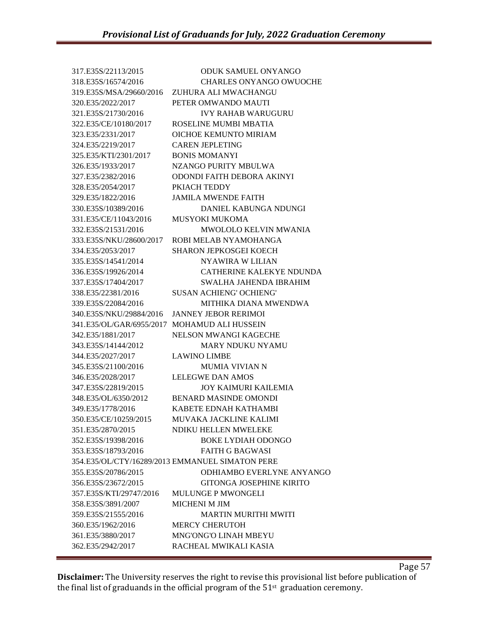317.E35S/22113/2015 ODUK SAMUEL ONYANGO 318.E35S/16574/2016 CHARLES ONYANGO OWUOCHE 319.E35S/MSA/29660/2016 ZUHURA ALI MWACHANGU 320.E35/2022/2017 PETER OMWANDO MAUTI 321.E35S/21730/2016 IVY RAHAB WARUGURU 322.E35/CE/10180/2017 ROSELINE MUMBI MBATIA 323.E35/2331/2017 OICHOE KEMUNTO MIRIAM 324.E35/2219/2017 CAREN JEPLETING 325.E35/KTI/2301/2017 BONIS MOMANYI 326.E35/1933/2017 NZANGO PURITY MBULWA 327.E35/2382/2016 ODONDI FAITH DEBORA AKINYI 328.E35/2054/2017 PKIACH TEDDY 329.E35/1822/2016 JAMILA MWENDE FAITH 330.E35S/10389/2016 DANIEL KABUNGA NDUNGI 331.E35/CE/11043/2016 MUSYOKI MUKOMA 332.E35S/21531/2016 MWOLOLO KELVIN MWANIA 333.E35S/NKU/28600/2017 ROBI MELAB NYAMOHANGA 334.E35/2053/2017 SHARON JEPKOSGEI KOECH 335.E35S/14541/2014 NYAWIRA W LILIAN 336.E35S/19926/2014 CATHERINE KALEKYE NDUNDA 337.E35S/17404/2017 SWALHA JAHENDA IBRAHIM 338.E35/22381/2016 SUSAN ACHIENG' OCHIENG' 339.E35S/22084/2016 MITHIKA DIANA MWENDWA 340.E35S/NKU/29884/2016 JANNEY JEBOR RERIMOI 341.E35/OL/GAR/6955/2017 MOHAMUD ALI HUSSEIN 342.E35/1881/2017 NELSON MWANGI KAGECHE 343.E35S/14144/2012 MARY NDUKU NYAMU 344.E35/2027/2017 LAWINO LIMBE 345.E35S/21100/2016 MUMIA VIVIAN N 346.E35/2028/2017 LELEGWE DAN AMOS 347.E35S/22819/2015 JOY KAIMURI KAILEMIA 348.E35/OL/6350/2012 BENARD MASINDE OMONDI 349.E35/1778/2016 KABETE EDNAH KATHAMBI 350.E35/CE/10259/2015 MUVAKA JACKLINE KALIMI 351.E35/2870/2015 NDIKU HELLEN MWELEKE 352.E35S/19398/2016 BOKE LYDIAH ODONGO 353.E35S/18793/2016 FAITH G BAGWASI 354.E35/OL/CTY/16289/2013 EMMANUEL SIMATON PERE 355.E35S/20786/2015 ODHIAMBO EVERLYNE ANYANGO 356.E35S/23672/2015 GITONGA JOSEPHINE KIRITO 357.E35S/KTI/29747/2016 MULUNGE P MWONGELI 358.E35S/3891/2007 MICHENI M JIM 359.E35S/21555/2016 MARTIN MURITHI MWITI 360.E35/1962/2016 MERCY CHERUTOH 361.E35/3880/2017 MNG'ONG'O LINAH MBEYU 362.E35/2942/2017 RACHEAL MWIKALI KASIA

**Disclaimer:** The University reserves the right to revise this provisional list before publication of the final list of graduands in the official program of the  $51<sup>st</sup>$  graduation ceremony.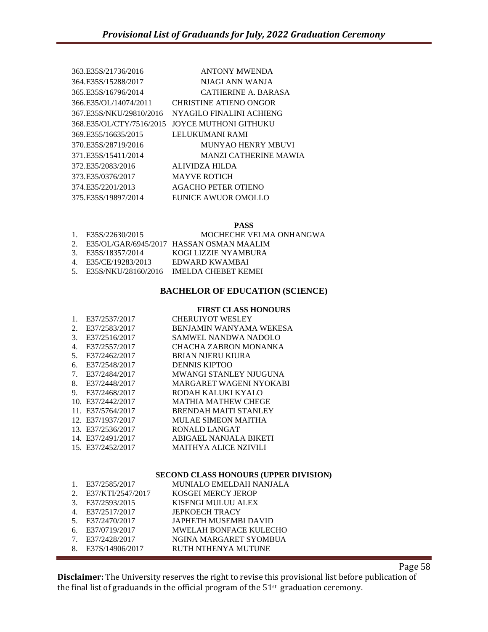| 363.E35S/21736/2016      | <b>ANTONY MWENDA</b>         |
|--------------------------|------------------------------|
| 364.E35S/15288/2017      | NIAGI ANN WANIA              |
| 365 E35S/16796/2014      | CATHERINE A. BARASA          |
| 366.E35/OL/14074/2011    | CHRISTINE ATIENO ONGOR       |
| 367.E35S/NKU/29810/2016  | NYAGILO FINALINI ACHIENG     |
| 368.E35/OL/CTY/7516/2015 | JOYCE MUTHONI GITHUKU        |
| 369.E355/16635/2015      | LELUKUMANI RAMI              |
| 370.E35S/28719/2016      | MUNYAO HENRY MBUVI           |
| 371.E35S/15411/2014      | <b>MANZI CATHERINE MAWIA</b> |
| 372.E35/2083/2016        | ALIVIDZA HILDA               |
| 373 E35/0376/2017        | <b>MAYVE ROTICH</b>          |
| 374 E35/2201/2013        | <b>AGACHO PETER OTIENO</b>   |
| 375.E35S/19897/2014      | EUNICE AWUOR OMOLLO          |
|                          |                              |

# **PASS**

| 1. E35S/22630/2015   | MOCHECHE VELMA ONHANGWA                     |
|----------------------|---------------------------------------------|
|                      | 2. E35/OL/GAR/6945/2017 HASSAN OSMAN MAALIM |
| 3. E35S/18357/2014   | KOGI LIZZIE NYAMBURA                        |
| 4. E35/CE/19283/2013 | EDWARD KWAMBAI                              |
|                      | 5. E35S/NKU/28160/2016 IMELDA CHEBET KEMEI  |
|                      |                                             |

# **BACHELOR OF EDUCATION (SCIENCE)**

#### **FIRST CLASS HONOURS**

| 1. | E37/2537/2017     | <b>CHERUIYOT WESLEY</b>      |
|----|-------------------|------------------------------|
| 2. | E37/2583/2017     | BENJAMIN WANYAMA WEKESA      |
| 3. | E37/2516/2017     | SAMWEL NANDWA NADOLO         |
| 4. | E37/2557/2017     | CHACHA ZABRON MONANKA        |
| 5. | E37/2462/2017     | <b>BRIAN NJERU KIURA</b>     |
| 6. | E37/2548/2017     | <b>DENNIS KIPTOO</b>         |
| 7. | E37/2484/2017     | MWANGI STANLEY NJUGUNA       |
| 8. | E37/2448/2017     | MARGARET WAGENI NYOKABI      |
| 9. | E37/2468/2017     | RODAH KALUKI KYALO           |
|    | 10. E37/2442/2017 | <b>MATHIA MATHEW CHEGE</b>   |
|    | 11. E37/5764/2017 | <b>BRENDAH MAITI STANLEY</b> |
|    | 12. E37/1937/2017 | MULAE SIMEON MAITHA          |
|    | 13. E37/2536/2017 | RONALD LANGAT                |
|    | 14. E37/2491/2017 | ABIGAEL NANJALA BIKETI       |
|    | 15. E37/2452/2017 | <b>MAITHYA ALICE NZIVILI</b> |

#### **SECOND CLASS HONOURS (UPPER DIVISION)**

| $1_{-}$                        | E37/2585/2017     | MUNIALO EMELDAH NANJALA       |
|--------------------------------|-------------------|-------------------------------|
| 2.                             | E37/KTI/2547/2017 | KOSGEI MERCY JEROP            |
|                                | 3. E37/2593/2015  | KISENGI MULUU ALEX            |
| 4.                             | E37/2517/2017     | <b>JEPKOECH TRACY</b>         |
|                                | 5. E37/2470/2017  | JAPHETH MUSEMBI DAVID         |
|                                | 6. E37/0719/2017  | <b>MWELAH BONFACE KULECHO</b> |
| $7_{\scriptscriptstyle{\sim}}$ | E37/2428/2017     | NGINA MARGARET SYOMBUA        |
| 8.                             | E37S/14906/2017   | RUTH NTHENYA MUTUNE           |
|                                |                   |                               |

**Disclaimer:** The University reserves the right to revise this provisional list before publication of the final list of graduands in the official program of the  $51<sup>st</sup>$  graduation ceremony.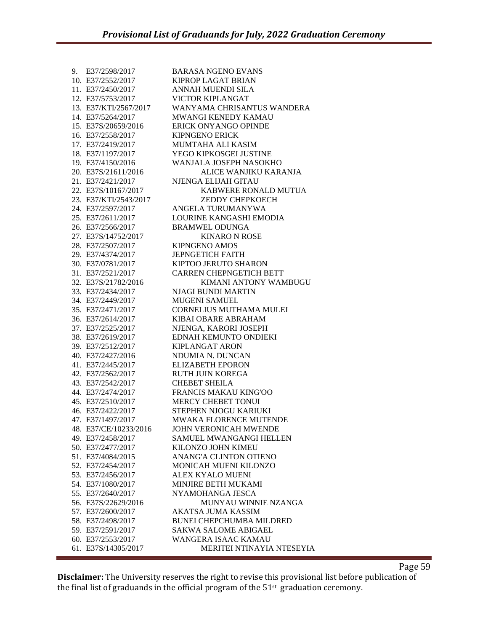| 9. | E37/2598/2017         | <b>BARASA NGENO EVANS</b>       |
|----|-----------------------|---------------------------------|
|    | 10. E37/2552/2017     | <b>KIPROP LAGAT BRIAN</b>       |
|    | 11. E37/2450/2017     | ANNAH MUENDI SILA               |
|    | 12. E37/5753/2017     | <b>VICTOR KIPLANGAT</b>         |
|    | 13. E37/KTI/2567/2017 | WANYAMA CHRISANTUS WANDERA      |
|    | 14. E37/5264/2017     | <b>MWANGI KENEDY KAMAU</b>      |
|    | 15. E37S/20659/2016   | ERICK ONYANGO OPINDE            |
|    | 16. E37/2558/2017     | <b>KIPNGENO ERICK</b>           |
|    | 17. E37/2419/2017     | <b>MUMTAHA ALI KASIM</b>        |
|    | 18. E37/1197/2017     | YEGO KIPKOSGEI JUSTINE          |
|    | 19. E37/4150/2016     | WANJALA JOSEPH NASOKHO          |
|    | 20. E37S/21611/2016   | ALICE WANJIKU KARANJA           |
|    | 21. E37/2421/2017     | NJENGA ELIJAH GITAU             |
|    | 22. E37S/10167/2017   | KABWERE RONALD MUTUA            |
|    | 23. E37/KTI/2543/2017 | <b>ZEDDY CHEPKOECH</b>          |
|    | 24. E37/2597/2017     | ANGELA TURUMANYWA               |
|    | 25. E37/2611/2017     | LOURINE KANGASHI EMODIA         |
|    | 26. E37/2566/2017     | <b>BRAMWEL ODUNGA</b>           |
|    | 27. E37S/14752/2017   | <b>KINARO N ROSE</b>            |
|    | 28. E37/2507/2017     | KIPNGENO AMOS                   |
|    | 29. E37/4374/2017     | <b>JEPNGETICH FAITH</b>         |
|    | 30. E37/0781/2017     | KIPTOO JERUTO SHARON            |
|    | 31. E37/2521/2017     | <b>CARREN CHEPNGETICH BETT</b>  |
|    | 32. E37S/21782/2016   | KIMANI ANTONY WAMBUGU           |
|    | 33. E37/2434/2017     | <b>NJAGI BUNDI MARTIN</b>       |
|    | 34. E37/2449/2017     | <b>MUGENI SAMUEL</b>            |
|    | 35. E37/2471/2017     | <b>CORNELIUS MUTHAMA MULEI</b>  |
|    | 36. E37/2614/2017     | KIBAI OBARE ABRAHAM             |
|    | 37. E37/2525/2017     | NJENGA, KARORI JOSEPH           |
|    | 38. E37/2619/2017     | EDNAH KEMUNTO ONDIEKI           |
|    | 39. E37/2512/2017     | <b>KIPLANGAT ARON</b>           |
|    | 40. E37/2427/2016     | NDUMIA N. DUNCAN                |
|    | 41. E37/2445/2017     | <b>ELIZABETH EPORON</b>         |
|    | 42. E37/2562/2017     | <b>RUTH JUIN KOREGA</b>         |
|    | 43. E37/2542/2017     | <b>CHEBET SHEILA</b>            |
|    | 44. E37/2474/2017     | FRANCIS MAKAU KING'OO           |
|    | 45. E37/2510/2017     | MERCY CHEBET TONUI              |
|    | 46. E37/2422/2017     | STEPHEN NJOGU KARIUKI           |
|    | 47. E37/1497/2017     | MWAKA FLORENCE MUTENDE          |
|    | 48. E37/CE/10233/2016 | <b>JOHN VERONICAH MWENDE</b>    |
|    | 49. E37/2458/2017     | SAMUEL MWANGANGI HELLEN         |
|    | 50. E37/2477/2017     | KILONZO JOHN KIMEU              |
|    | 51. E37/4084/2015     | ANANG'A CLINTON OTIENO          |
|    | 52. E37/2454/2017     | MONICAH MUENI KILONZO           |
|    | 53. E37/2456/2017     | ALEX KYALO MUENI                |
|    | 54. E37/1080/2017     | MINJIRE BETH MUKAMI             |
|    | 55. E37/2640/2017     | NYAMOHANGA JESCA                |
|    | 56. E37S/22629/2016   | MUNYAU WINNIE NZANGA            |
|    | 57. E37/2600/2017     | AKATSA JUMA KASSIM              |
|    | 58. E37/2498/2017     | <b>BUNEI CHEPCHUMBA MILDRED</b> |
|    | 59. E37/2591/2017     | <b>SAKWA SALOME ABIGAEL</b>     |
|    | 60. E37/2553/2017     | WANGERA ISAAC KAMAU             |
|    | 61. E37S/14305/2017   | MERITEI NTINAYIA NTESEYIA       |
|    |                       |                                 |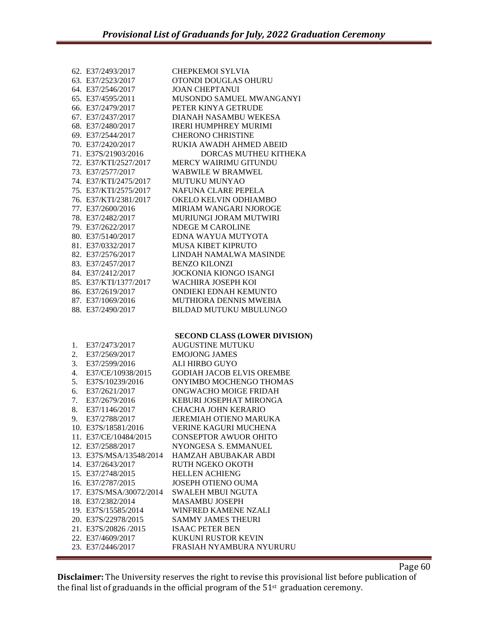|    | 62. E37/2493/2017                      | <b>CHEPKEMOI SYLVIA</b>                         |
|----|----------------------------------------|-------------------------------------------------|
|    | 63. E37/2523/2017                      | OTONDI DOUGLAS OHURU                            |
|    | 64. E37/2546/2017                      | <b>JOAN CHEPTANUI</b>                           |
|    | 65. E37/4595/2011                      | MUSONDO SAMUEL MWANGANYI                        |
|    | 66. E37/2479/2017                      | PETER KINYA GETRUDE                             |
|    | 67. E37/2437/2017                      | DIANAH NASAMBU WEKESA                           |
|    | 68. E37/2480/2017                      | <b>IRERI HUMPHREY MURIMI</b>                    |
|    | 69. E37/2544/2017                      | <b>CHERONO CHRISTINE</b>                        |
|    | 70. E37/2420/2017                      | RUKIA AWADH AHMED ABEID                         |
|    | 71. E37S/21903/2016                    | DORCAS MUTHEU KITHEKA                           |
|    | 72. E37/KTI/2527/2017                  | MERCY WAIRIMU GITUNDU                           |
|    | 73. E37/2577/2017                      | <b>WABWILE W BRAMWEL</b>                        |
|    | 74. E37/KTI/2475/2017                  | MUTUKU MUNYAO                                   |
|    | 75. E37/KTI/2575/2017                  | NAFUNA CLARE PEPELA                             |
|    | 76. E37/KTI/2381/2017                  | OKELO KELVIN ODHIAMBO                           |
|    | 77. E37/2600/2016                      | MIRIAM WANGARI NJOROGE                          |
|    | 78. E37/2482/2017                      | MURIUNGI JORAM MUTWIRI                          |
|    | 79. E37/2622/2017                      | NDEGE M CAROLINE                                |
|    | 80. E37/5140/2017                      | EDNA WAYUA MUTYOTA                              |
|    | 81. E37/0332/2017                      | <b>MUSA KIBET KIPRUTO</b>                       |
|    | 82. E37/2576/2017                      | LINDAH NAMALWA MASINDE                          |
|    | 83. E37/2457/2017                      | <b>BENZO KILONZI</b>                            |
|    | 84. E37/2412/2017                      | <b>JOCKONIA KIONGO ISANGI</b>                   |
|    | 85. E37/KTI/1377/2017                  | WACHIRA JOSEPH KOI                              |
|    | 86. E37/2619/2017                      | ONDIEKI EDNAH KEMUNTO                           |
|    | 87. E37/1069/2016                      | MUTHIORA DENNIS MWEBIA                          |
|    | 88. E37/2490/2017                      | BILDAD MUTUKU MBULUNGO                          |
|    |                                        |                                                 |
|    |                                        |                                                 |
|    |                                        |                                                 |
|    |                                        |                                                 |
|    |                                        | <b>SECOND CLASS (LOWER DIVISION)</b>            |
| 1. | E37/2473/2017                          | <b>AUGUSTINE MUTUKU</b>                         |
| 2. | E37/2569/2017                          | <b>EMOJONG JAMES</b>                            |
| 3. | E37/2599/2016                          | ALI HIRBO GUYO                                  |
| 4. | E37/CE/10938/2015                      | <b>GODIAH JACOB ELVIS OREMBE</b>                |
| 5. | E37S/10239/2016                        | ONYIMBO MOCHENGO THOMAS                         |
| 6. | E37/2621/2017                          | ONGWACHO MOIGE FRIDAH                           |
| 7. | E37/2679/2016                          | KEBURI JOSEPHAT MIRONGA                         |
| 8. | E37/1146/2017                          | CHACHA JOHN KERARIO                             |
| 9. | E37/2788/2017                          | <b>JEREMIAH OTIENO MARUKA</b>                   |
|    | 10. E37S/18581/2016                    | <b>VERINE KAGURI MUCHENA</b>                    |
|    | 11. E37/CE/10484/2015                  | <b>CONSEPTOR AWUOR OHITO</b>                    |
|    | 12. E37/2588/2017                      | NYONGESA S. EMMANUEL                            |
|    | 13. E37S/MSA/13548/2014                | <b>HAMZAH ABUBAKAR ABDI</b>                     |
|    | 14. E37/2643/2017                      | RUTH NGEKO OKOTH                                |
|    | 15. E37/2748/2015                      | <b>HELLEN ACHIENG</b>                           |
|    | 16. E37/2787/2015                      | <b>JOSEPH OTIENO OUMA</b>                       |
|    | 17. E37S/MSA/30072/2014                | <b>SWALEH MBUI NGUTA</b>                        |
|    | 18. E37/2382/2014                      | <b>MASAMBU JOSEPH</b>                           |
|    | 19. E37S/15585/2014                    | WINFRED KAMENE NZALI                            |
|    | 20. E37S/22978/2015                    | <b>SAMMY JAMES THEURI</b>                       |
|    | 21. E37S/20826 /2015                   | <b>ISAAC PETER BEN</b>                          |
|    | 22. E37/4609/2017<br>23. E37/2446/2017 | KUKUNI RUSTOR KEVIN<br>FRASIAH NYAMBURA NYURURU |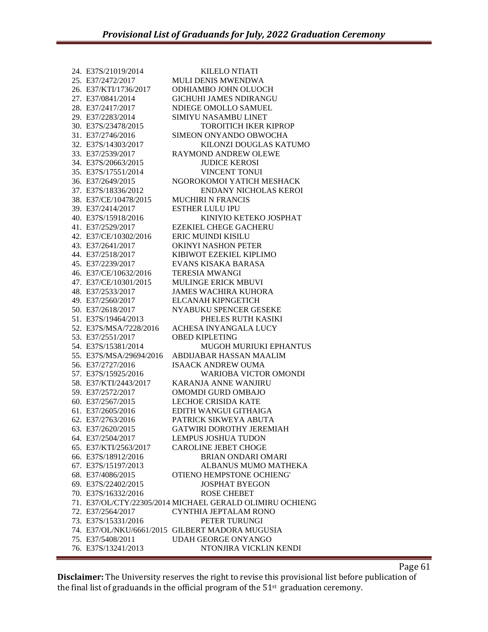| 24. E37S/21019/2014     | <b>KILELO NTIATI</b>                                     |
|-------------------------|----------------------------------------------------------|
| 25. E37/2472/2017       | MULI DENIS MWENDWA                                       |
| 26. E37/KTI/1736/2017   | <b>ODHIAMBO JOHN OLUOCH</b>                              |
| 27. E37/0841/2014       | <b>GICHUHI JAMES NDIRANGU</b>                            |
| 28. E37/2417/2017       | NDIEGE OMOLLO SAMUEL                                     |
| 29. E37/2283/2014       | SIMIYU NASAMBU LINET                                     |
| 30. E37S/23478/2015     | <b>TOROITICH IKER KIPROP</b>                             |
| 31. E37/2746/2016       | SIMEON ONYANDO OBWOCHA                                   |
| 32. E37S/14303/2017     | KILONZI DOUGLAS KATUMO                                   |
| 33. E37/2539/2017       | <b>RAYMOND ANDREW OLEWE</b>                              |
| 34. E37S/20663/2015     | <b>JUDICE KEROSI</b>                                     |
| 35. E37S/17551/2014     | <b>VINCENT TONUI</b>                                     |
| 36. E37/2649/2015       | NGOROKOMOI YATICH MESHACK                                |
| 37. E37S/18336/2012     | <b>ENDANY NICHOLAS KEROI</b>                             |
| 38. E37/CE/10478/2015   | <b>MUCHIRI N FRANCIS</b>                                 |
| 39. E37/2414/2017       | <b>ESTHER LULU IPU</b>                                   |
| 40. E37S/15918/2016     | KINIYIO KETEKO JOSPHAT                                   |
| 41. E37/2529/2017       | <b>EZEKIEL CHEGE GACHERU</b>                             |
| 42. E37/CE/10302/2016   | ERIC MUINDI KISILU                                       |
| 43. E37/2641/2017       | <b>OKINYI NASHON PETER</b>                               |
| 44. E37/2518/2017       | KIBIWOT EZEKIEL KIPLIMO                                  |
| 45. E37/2239/2017       | EVANS KISAKA BARASA                                      |
| 46. E37/CE/10632/2016   | <b>TERESIA MWANGI</b>                                    |
| 47. E37/CE/10301/2015   | <b>MULINGE ERICK MBUVI</b>                               |
| 48. E37/2533/2017       | <b>JAMES WACHIRA KUHORA</b>                              |
| 49. E37/2560/2017       | ELCANAH KIPNGETICH                                       |
| 50. E37/2618/2017       | NYABUKU SPENCER GESEKE                                   |
| 51. E37S/19464/2013     | PHELES RUTH KASIKI                                       |
| 52. E37S/MSA/7228/2016  | ACHESA INYANGALA LUCY                                    |
| 53. E37/2551/2017       | <b>OBED KIPLETING</b>                                    |
| 54. E37S/15381/2014     | <b>MUGOH MURIUKI EPHANTUS</b>                            |
| 55. E37S/MSA/29694/2016 | ABDIJABAR HASSAN MAALIM                                  |
| 56. E37/2727/2016       | <b>ISAACK ANDREW OUMA</b>                                |
| 57. E37S/15925/2016     | <b>WARIOBA VICTOR OMONDI</b>                             |
| 58. E37/KTI/2443/2017   | <b>KARANJA ANNE WANJIRU</b>                              |
| 59. E37/2572/2017       | OMOMDI GURD OMBAJO                                       |
| 60. E37/2567/2015       | <b>LECHOE CRISIDA KATE</b>                               |
| 61. E37/2605/2016       | EDITH WANGUI GITHAIGA                                    |
| 62. E37/2763/2016       | PATRICK SIKWEYA ABUTA                                    |
| 63. E37/2620/2015       | <b>GATWIRI DOROTHY JEREMIAH</b>                          |
| 64. E37/2504/2017       | <b>LEMPUS JOSHUA TUDON</b>                               |
| 65. E37/KTI/2563/2017   | <b>CAROLINE JEBET CHOGE</b>                              |
| 66. E37S/18912/2016     | <b>BRIAN ONDARI OMARI</b>                                |
| 67. E37S/15197/2013     | ALBANUS MUMO MATHEKA                                     |
| 68. E37/4086/2015       | OTIENO HEMPSTONE OCHIENG'                                |
| 69. E37S/22402/2015     | <b>JOSPHAT BYEGON</b>                                    |
| 70. E37S/16332/2016     | <b>ROSE CHEBET</b>                                       |
|                         | 71. E37/OL/CTY/22305/2014 MICHAEL GERALD OLIMIRU OCHIENG |
| 72. E37/2564/2017       | CYNTHIA JEPTALAM RONO                                    |
| 73. E37S/15331/2016     | PETER TURUNGI                                            |
|                         | 74. E37/OL/NKU/6661/2015 GILBERT MADORA MUGUSIA          |
| 75. E37/5408/2011       | UDAH GEORGE ONYANGO                                      |
| 76. E37S/13241/2013     | NTONJIRA VICKLIN KENDI                                   |
|                         |                                                          |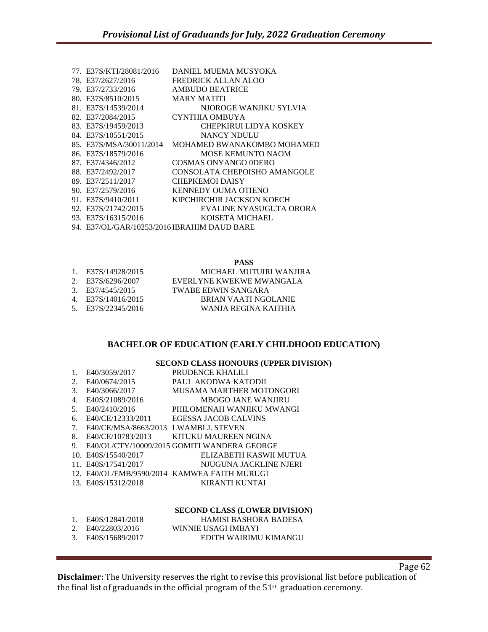| 77. E37S/KTI/28081/2016 | DANIEL MUEMA MUSYOKA                        |
|-------------------------|---------------------------------------------|
| 78. E37/2627/2016       | <b>FREDRICK ALLAN ALOO</b>                  |
| 79. E37/2733/2016       | AMBUDO BEATRICE                             |
| 80. E37S/8510/2015      | MARY MATITI                                 |
| 81. E37S/14539/2014     | NJOROGE WANJIKU SYLVIA                      |
| 82. E37/2084/2015       | CYNTHIA OMBUYA                              |
| 83. E37S/19459/2013     | CHEPKIRUI LIDYA KOSKEY                      |
| 84. E37S/10551/2015     | NANCY NDULU                                 |
| 85. E37S/MSA/30011/2014 | MOHAMED BWANAKOMBO MOHAMED                  |
| 86. E37S/18579/2016     | <b>MOSE KEMUNTO NAOM</b>                    |
| 87. E37/4346/2012       | COSMAS ONYANGO ODERO                        |
| 88. E37/2492/2017       | CONSOLATA CHEPOISHO AMANGOLE                |
| 89. E37/2511/2017       | <b>CHEPKEMOI DAISY</b>                      |
| 90. E37/2579/2016       | <b>KENNEDY OUMA OTIENO</b>                  |
| 91. E37S/9410/2011      | KIPCHIRCHIR JACKSON KOECH                   |
| 92. E37S/21742/2015     | EVALINE NYASUGUTA ORORA                     |
| 93. E37S/16315/2016     | KOISETA MICHAEL                             |
|                         | 94. E37/OL/GAR/10253/2016 IBRAHIM DAUD BARE |
|                         |                                             |

**PASS**

| 1. E37S/14928/2015 | MICHAEL MUTUIRI WANJIRA  |
|--------------------|--------------------------|
| 2. E37S/6296/2007  | EVERLYNE KWEKWE MWANGALA |
| 3. E37/4545/2015   | TWABE EDWIN SANGARA      |
| 4. E37S/14016/2015 | BRIAN VAATI NGOLANIE     |
| 5. E37S/22345/2016 | WANIA REGINA KAITHIA     |

# **BACHELOR OF EDUCATION (EARLY CHILDHOOD EDUCATION)**

# **SECOND CLASS HONOURS (UPPER DIVISION)**

| 1. | E40/3059/2017                         | PRUDENCE KHALILI                             |
|----|---------------------------------------|----------------------------------------------|
| 2. | E40/0674/2015                         | PAUL AKODWA KATODII                          |
| 3. | E40/3066/2017                         | MUSAMA MARTHER MOTONGORI                     |
| 4. | E40S/21089/2016                       | <b>MBOGO JANE WANJIRU</b>                    |
| 5. | E40/2410/2016                         | PHILOMENAH WANJIKU MWANGI                    |
| 6. | E40/CE/12333/2011                     | EGESSA JACOB CALVINS                         |
| 7. | E40/CE/MSA/8663/2013 LWAMBI J. STEVEN |                                              |
| 8. |                                       | E40/CE/10783/2013 KITUKU MAUREEN NGINA       |
| 9. |                                       | E40/OL/CTY/10009/2015 GOMITI WANDERA GEORGE  |
|    | 10. E40S/15540/2017                   | ELIZABETH KASWII MUTUA                       |
|    | 11. E40S/17541/2017                   | NJUGUNA JACKLINE NJERI                       |
|    |                                       | 12. E40/OL/EMB/9590/2014 KAMWEA FAITH MURUGI |
|    | 13. E40S/15312/2018                   | KIRANTI KUNTAI                               |
|    |                                       |                                              |
|    |                                       |                                              |

# **SECOND CLASS (LOWER DIVISION)**

| 1. E40S/12841/2018 | HAMISI BASHORA BADESA |
|--------------------|-----------------------|
| 2. E40/22803/2016  | WINNIE USAGI IMBAYI   |
| 3. E40S/15689/2017 | EDITH WAIRIMU KIMANGU |

**Disclaimer:** The University reserves the right to revise this provisional list before publication of the final list of graduands in the official program of the  $51<sup>st</sup>$  graduation ceremony.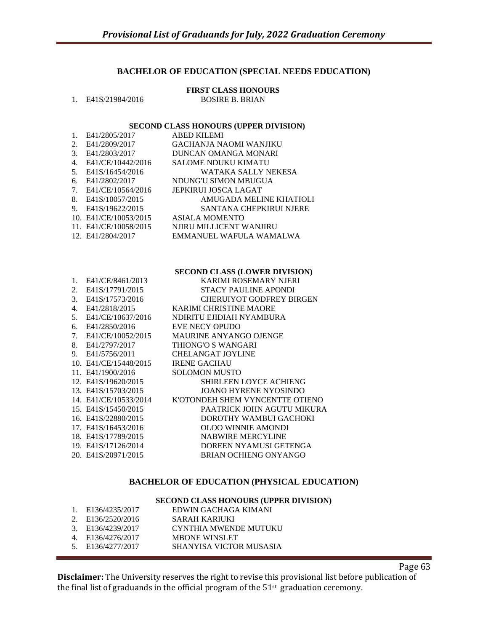# **BACHELOR OF EDUCATION (SPECIAL NEEDS EDUCATION)**

#### **FIRST CLASS HONOURS** 1. E41S/21984/2016 BOSIRE B. BRIAN

#### **SECOND CLASS HONOURS (UPPER DIVISION)**

|    | E41/2805/2017         | ABED KILEMI             |
|----|-----------------------|-------------------------|
| 2. | E41/2809/2017         | GACHANJA NAOMI WANJIKU  |
| 3. | E41/2803/2017         | DUNCAN OMANGA MONARI    |
| 4. | E41/CE/10442/2016     | SALOME NDUKU KIMATU     |
| 5. | E41S/16454/2016       | WATAKA SALLY NEKESA     |
| 6. | E41/2802/2017         | NDUNG'U SIMON MBUGUA    |
| 7. | E41/CE/10564/2016     | JEPKIRUI JOSCA LAGAT    |
| 8. | E41S/10057/2015       | AMUGADA MELINE KHATIOLI |
| 9. | E41S/19622/2015       | SANTANA CHEPKIRUI NJERE |
|    | 10. E41/CE/10053/2015 | ASIALA MOMENTO          |
|    | 11. E41/CE/10058/2015 | NJIRU MILLICENT WANJIRU |
|    | 12. E41/2804/2017     | EMMANUEL WAFULA WAMALWA |
|    |                       |                         |

#### **SECOND CLASS (LOWER DIVISION)**

| 1. | E41/CE/8461/2013      | KARIMI ROSEMARY NJERI           |
|----|-----------------------|---------------------------------|
| 2. | E41S/17791/2015       | STACY PAULINE APONDI            |
| 3. | E41S/17573/2016       | <b>CHERUIYOT GODFREY BIRGEN</b> |
| 4. | E41/2818/2015         | <b>KARIMI CHRISTINE MAORE</b>   |
| 5. | E41/CE/10637/2016     | NDIRITU EJIDIAH NYAMBURA        |
| 6. | E41/2850/2016         | EVE NECY OPUDO                  |
| 7. | E41/CE/10052/2015     | MAURINE ANYANGO OJENGE          |
| 8. | E41/2797/2017         | THIONG'O S WANGARI              |
| 9. | E41/5756/2011         | <b>CHELANGAT JOYLINE</b>        |
|    | 10. E41/CE/15448/2015 | <b>IRENE GACHAU</b>             |
|    | 11. E41/1900/2016     | <b>SOLOMON MUSTO</b>            |
|    | 12. E41S/19620/2015   | SHIRLEEN LOYCE ACHIENG          |
|    | 13. E41S/15703/2015   | JOANO HYRENE NYOSINDO           |
|    | 14. E41/CE/10533/2014 | K'OTONDEH SHEM VYNCENTTE OTIENO |
|    | 15. E41S/15450/2015   | PAATRICK JOHN AGUTU MIKURA      |
|    | 16. E41S/22880/2015   | DOROTHY WAMBUI GACHOKI          |
|    | 17. E41S/16453/2016   | OLOO WINNIE AMONDI              |
|    | 18. E41S/17789/2015   | <b>NABWIRE MERCYLINE</b>        |
|    | 19. E41S/17126/2014   | DOREEN NYAMUSI GETENGA          |
|    | 20. E41S/20971/2015   | <b>BRIAN OCHIENG ONYANGO</b>    |
|    |                       |                                 |

# **BACHELOR OF EDUCATION (PHYSICAL EDUCATION)**

# **SECOND CLASS HONOURS (UPPER DIVISION)**

| 1. E136/4235/2017 | EDWIN GACHAGA KIMANI    |
|-------------------|-------------------------|
| 2. E136/2520/2016 | SARAH KARIUKI           |
| 3. E136/4239/2017 | CYNTHIA MWENDE MUTUKU   |
| 4. E136/4276/2017 | <b>MBONE WINSLET</b>    |
| 5. E136/4277/2017 | SHANYISA VICTOR MUSASIA |
|                   |                         |

**Disclaimer:** The University reserves the right to revise this provisional list before publication of the final list of graduands in the official program of the  $51<sup>st</sup>$  graduation ceremony.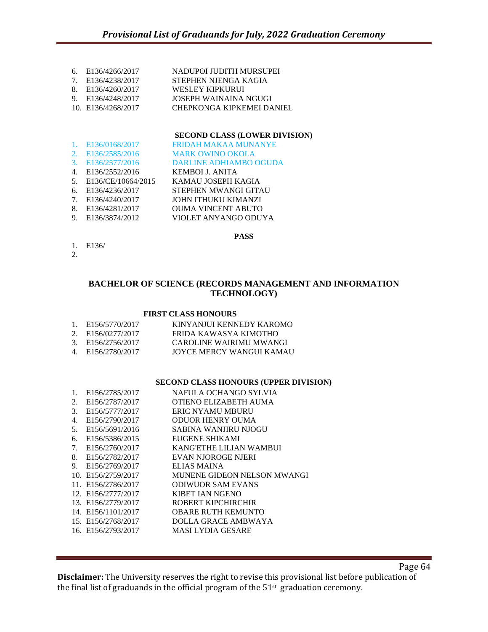- 6. E136/4266/2017 NADUPOI JUDITH MURSUPEI
- 7. E136/4238/2017 STEPHEN NJENGA KAGIA
- 8. E136/4260/2017 WESLEY KIPKURUI
- 9. E136/4248/2017 JOSEPH WAINAINA NGUGI
- 10. E136/4268/2017 CHEPKONGA KIPKEMEI DANIEL

# **SECOND CLASS (LOWER DIVISION)**

- 1. E136/0168/2017 FRIDAH MAKAA MUNANYE
- 2. E136/2585/2016 MARK OWINO OKOLA

## 3. E136/2577/2016 DARLINE ADHIAMBO OGUDA

- 4. E136/2552/2016 KEMBOI J. ANITA
- 5. E136/CE/10664/2015 KAMAU JOSEPH KAGIA
- 6. E136/4236/2017 STEPHEN MWANGI GITAU
- 7. E136/4240/2017 JOHN ITHUKU KIMANZI
- 8. E136/4281/2017 OUMA VINCENT ABUTO
- 9. E136/3874/2012 VIOLET ANYANGO ODUYA
- 1. E136/
- 2.

# **BACHELOR OF SCIENCE (RECORDS MANAGEMENT AND INFORMATION TECHNOLOGY)**

**PASS**

## **FIRST CLASS HONOURS**

| 1. E156/5770/2017 | KINYANJUI KENNEDY KAROMO |
|-------------------|--------------------------|
| 2. E156/0277/2017 | FRIDA KAWASYA KIMOTHO    |
| 3. E156/2756/2017 | CAROLINE WAIRIMU MWANGI  |
| 4. E156/2780/2017 | JOYCE MERCY WANGUI KAMAU |

# **SECOND CLASS HONOURS (UPPER DIVISION)**

| 1. | E156/2785/2017              | NAFULA OCHANGO SYLVIA       |
|----|-----------------------------|-----------------------------|
| 2. | E156/2787/2017              | OTIENO ELIZABETH AUMA       |
| 3. | E156/5777/2017              | ERIC NYAMU MBURU            |
| 4. | E156/2790/2017              | <b>ODUOR HENRY OUMA</b>     |
| 5. | E156/5691/2016              | SABINA WANJIRU NJOGU        |
| 6. | E <sub>156</sub> /5386/2015 | EUGENE SHIKAMI              |
| 7. | E156/2760/2017              | KANG'ETHE LILIAN WAMBUI     |
| 8. | E156/2782/2017              | EVAN NJOROGE NJERI          |
| 9. | E156/2769/2017              | ELIAS MAINA                 |
|    | 10. E156/2759/2017          | MUNENE GIDEON NELSON MWANGI |
|    | 11. E156/2786/2017          | <b>ODIWUOR SAM EVANS</b>    |
|    | 12. E156/2777/2017          | <b>KIBET IAN NGENO</b>      |
|    | 13. E156/2779/2017          | ROBERT KIPCHIRCHIR          |
|    | 14. E156/1101/2017          | <b>OBARE RUTH KEMUNTO</b>   |
|    | 15. E156/2768/2017          | DOLLA GRACE AMBWAYA         |
|    | 16. E156/2793/2017          | MASI LYDIA GESARE           |
|    |                             |                             |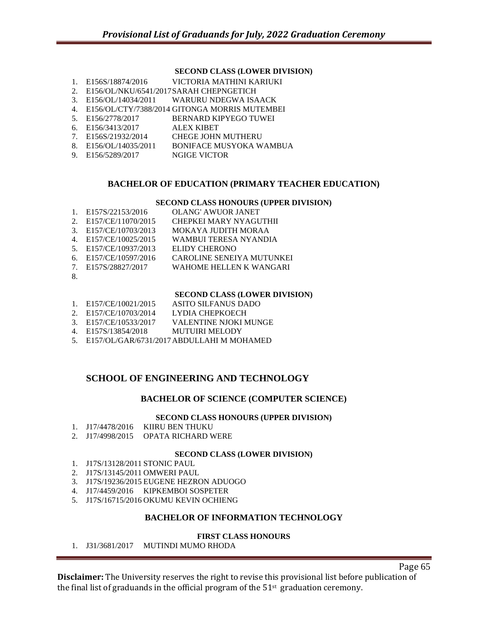## **SECOND CLASS (LOWER DIVISION)**

- 1. E156S/18874/2016 VICTORIA MATHINI KARIUKI
- 2. E156/OL/NKU/6541/2017SARAH CHEPNGETICH
- 3. E156/OL/14034/2011 WARURU NDEGWA ISAACK
- 4. E156/OL/CTY/7388/2014 GITONGA MORRIS MUTEMBEI<br>5. E156/2778/2017 BERNARD KIPYEGO TUWEI
- **BERNARD KIPYEGO TUWEI**
- 6. E156/3413/2017 ALEX KIBET
- 7. E156S/21932/2014 CHEGE JOHN MUTHERU
- 8. E156/OL/14035/2011 BONIFACE MUSYOKA WAMBUA
- 9. E156/5289/2017 NGIGE VICTOR

# **BACHELOR OF EDUCATION (PRIMARY TEACHER EDUCATION)**

#### **SECOND CLASS HONOURS (UPPER DIVISION)**

|                | 1. E157S/22153/2016 | <b>OLANG' AWUOR JANET</b>        |
|----------------|---------------------|----------------------------------|
| 2.             | E157/CE/11070/2015  | <b>CHEPKEI MARY NYAGUTHII</b>    |
| $\mathcal{E}$  | E157/CE/10703/2013  | MOKAYA JUDITH MORAA              |
| $\overline{4}$ | E157/CE/10025/2015  | WAMBUI TERESA NYANDIA            |
| 5 <sub>1</sub> | E157/CE/10937/2013  | ELIDY CHERONO                    |
| б.             | E157/CE/10597/2016  | <b>CAROLINE SENEIYA MUTUNKEI</b> |
| 7              | E157S/28827/2017    | WAHOME HELLEN K WANGARI          |
| 8.             |                     |                                  |

#### **SECOND CLASS (LOWER DIVISION)**

- 1. E157/CE/10021/2015 ASITO SILFANUS DADO
- 2. E157/CE/10703/2014 LYDIA CHEPKOECH
- 3. E157/CE/10533/2017 VALENTINE NJOKI MUNGE
- 4. E157S/13854/2018 MUTUIRI MELODY
- 5. E157/OL/GAR/6731/2017ABDULLAHI M MOHAMED

# **SCHOOL OF ENGINEERING AND TECHNOLOGY**

# **BACHELOR OF SCIENCE (COMPUTER SCIENCE)**

## **SECOND CLASS HONOURS (UPPER DIVISION)**

- 1. J17/4478/2016 KIIRU BEN THUKU
- 2. J17/4998/2015 OPATA RICHARD WERE

## **SECOND CLASS (LOWER DIVISION)**

- 1. J17S/13128/2011 STONIC PAUL
- 2. J17S/13145/2011 OMWERI PAUL
- 3. J17S/19236/2015 EUGENE HEZRON ADUOGO
- 4. J17/4459/2016 KIPKEMBOI SOSPETER
- 5. J17S/16715/2016 OKUMU KEVIN OCHIENG

# **BACHELOR OF INFORMATION TECHNOLOGY**

#### **FIRST CLASS HONOURS**

1. J31/3681/2017 MUTINDI MUMO RHODA

Page 65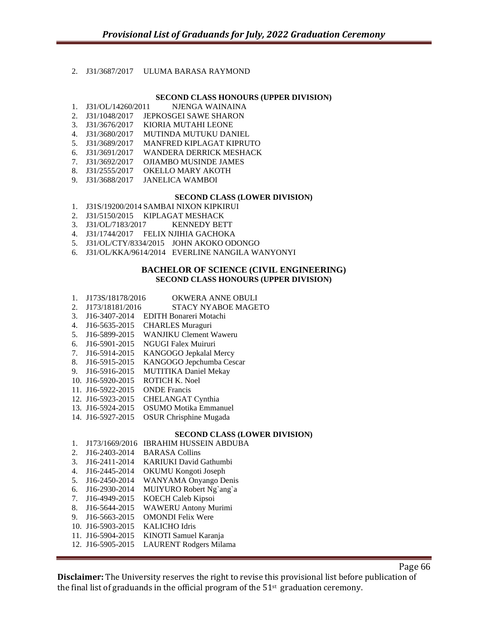## 2. J31/3687/2017 ULUMA BARASA RAYMOND

#### **SECOND CLASS HONOURS (UPPER DIVISION)**

- 1. J31/OL/14260/2011 NJENGA WAINAINA
- 2. J31/1048/2017 JEPKOSGEI SAWE SHARON
- 3. J31/3676/2017 KIORIA MUTAHI LEONE
- 4. J31/3680/2017 MUTINDA MUTUKU DANIEL
- 5. J31/3689/2017 MANFRED KIPLAGAT KIPRUTO
- 6. J31/3691/2017 WANDERA DERRICK MESHACK
- 7. J31/3692/2017 OJIAMBO MUSINDE JAMES
- 8. J31/2555/2017 OKELLO MARY AKOTH
- 9. J31/3688/2017 JANELICA WAMBOI

#### **SECOND CLASS (LOWER DIVISION)**

- 1. J31S/19200/2014 SAMBAI NIXON KIPKIRUI
- 2. J31/5150/2015 KIPLAGAT MESHACK
- 3. J31/OL/7183/2017 KENNEDY BETT
- 4. J31/1744/2017 FELIX NJIHIA GACHOKA
- 5. J31/OL/CTY/8334/2015 JOHN AKOKO ODONGO
- 6. J31/OL/KKA/9614/2014 EVERLINE NANGILA WANYONYI

#### **BACHELOR OF SCIENCE (CIVIL ENGINEERING) SECOND CLASS HONOURS (UPPER DIVISION)**

- 1. J173S/18178/2016 OKWERA ANNE OBULI
- 2. J173/18181/2016 STACY NYABOE MAGETO
- 3. J16-3407-2014 EDITH Bonareri Motachi
- 4. J16-5635-2015 CHARLES Muraguri
- 5. J16-5899-2015 WANJIKU Clement Waweru
- 6. J16-5901-2015 NGUGI Falex Muiruri
- 7. J16-5914-2015 KANGOGO Jepkalal Mercy
- 8. J16-5915-2015 KANGOGO Jepchumba Cescar
- 9. J16-5916-2015 MUTITIKA Daniel Mekay
- 10. J16-5920-2015 ROTICH K. Noel
- 11. J16-5922-2015 ONDE Francis
- 12. J16-5923-2015 CHELANGAT Cynthia
- 13. J16-5924-2015 OSUMO Motika Emmanuel
- 14. J16-5927-2015 OSUR Chrisphine Mugada

## **SECOND CLASS (LOWER DIVISION)**

- 1. J173/1669/2016 IBRAHIM HUSSEIN ABDUBA
- 2. J16-2403-2014 BARASA Collins
- 3. J16-2411-2014 KARIUKI David Gathumbi
- 4. J16-2445-2014 OKUMU Kongoti Joseph
- 5. J16-2450-2014 WANYAMA Onyango Denis
- 6. J16-2930-2014 MUIYURO Robert Ng`ang`a
- 7. J16-4949-2015 KOECH Caleb Kipsoi
- 8. J16-5644-2015 WAWERU Antony Murimi
- 9. J16-5663-2015 OMONDI Felix Were
- 10. J16-5903-2015 KALICHO Idris
- 11. J16-5904-2015 KINOTI Samuel Karanja
- 12. J16-5905-2015 LAURENT Rodgers Milama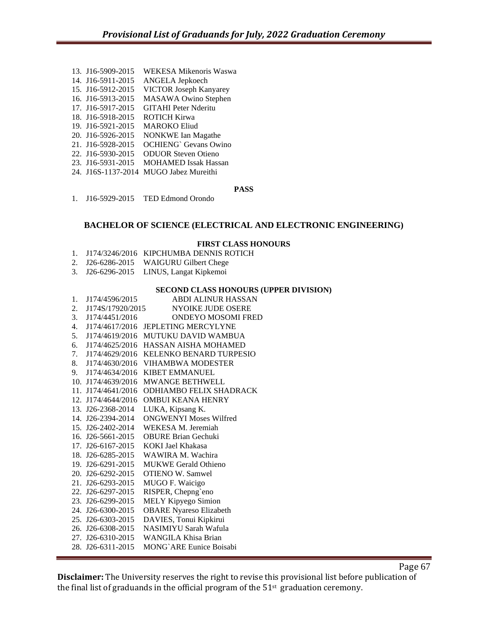- 13. J16-5909-2015 WEKESA Mikenoris Waswa
- 14. J16-5911-2015 ANGELA Jepkoech
- 15. J16-5912-2015 VICTOR Joseph Kanyarey
- 16. J16-5913-2015 MASAWA Owino Stephen
- 17. J16-5917-2015 GITAHI Peter Nderitu
- 18. J16-5918-2015 ROTICH Kirwa
- 19. J16-5921-2015 MAROKO Eliud
- 20. J16-5926-2015 NONKWE Ian Magathe 21. J16-5928-2015 OCHIENG` Gevans Owino
- 
- 22. J16-5930-2015 ODUOR Steven Otieno
- 23. J16-5931-2015 MOHAMED Issak Hassan
- 24. J16S-1137-2014 MUGO Jabez Mureithi

## **PASS**

1. J16-5929-2015 TED Edmond Orondo

# **BACHELOR OF SCIENCE (ELECTRICAL AND ELECTRONIC ENGINEERING)**

## **FIRST CLASS HONOURS**

- 1. J174/3246/2016 KIPCHUMBA DENNIS ROTICH
- 2. J26-6286-2015 WAIGURU Gilbert Chege
- 3. J26-6296-2015 LINUS, Langat Kipkemoi

## **SECOND CLASS HONOURS (UPPER DIVISION)**

- 1. J174/4596/2015 ABDI ALINUR HASSAN
- 2. J174S/17920/2015 NYOIKE JUDE OSERE
- 3. J174/4451/2016 ONDEYO MOSOMI FRED
- 4. J174/4617/2016 JEPLETING MERCYLYNE
- 5. J174/4619/2016 MUTUKU DAVID WAMBUA
- 6. J174/4625/2016 HASSAN AISHA MOHAMED
- 7. J174/4629/2016 KELENKO BENARD TURPESIO
- 8. J174/4630/2016 VIHAMBWA MODESTER
- 9. J174/4634/2016 KIBET EMMANUEL
- 10. J174/4639/2016 MWANGE BETHWELL
- 11. J174/4641/2016 ODHIAMBO FELIX SHADRACK
- 12. J174/4644/2016 OMBUI KEANA HENRY
- 13. J26-2368-2014 LUKA, Kipsang K.
- 14. J26-2394-2014 ONGWENYI Moses Wilfred
- 15. J26-2402-2014 WEKESA M. Jeremiah
- 16. J26-5661-2015 OBURE Brian Gechuki
- 17. J26-6167-2015 KOKI Jael Khakasa
- 18. J26-6285-2015 WAWIRA M. Wachira
- 19. J26-6291-2015 MUKWE Gerald Othieno
- 20. J26-6292-2015 OTIENO W. Samwel
- 21. J26-6293-2015 MUGO F. Waicigo
- 22. J26-6297-2015 RISPER, Chepng`eno
- 23. J26-6299-2015 MELY Kipyego Simion 24. J26-6300-2015 OBARE Nyareso Elizabeth
- 25. J26-6303-2015 DAVIES, Tonui Kipkirui
- 26. J26-6308-2015 NASIMIYU Sarah Wafula
- 27. J26-6310-2015 WANGILA Khisa Brian
- 
- 28. J26-6311-2015 MONG`ARE Eunice Boisabi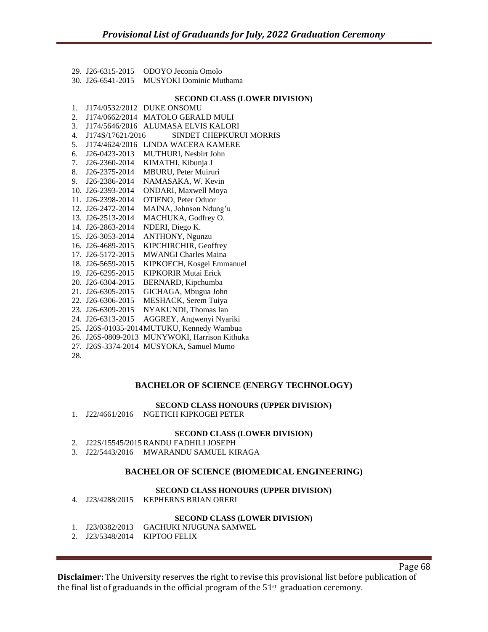|  | 29. I26-6315-2015 ODOYO Jeconia Omolo     |
|--|-------------------------------------------|
|  | 30. J26-6541-2015 MUSYOKI Dominic Muthama |

#### **SECOND CLASS (LOWER DIVISION)**

| 1.  |                   | J174/0532/2012 DUKE ONSOMU                    |
|-----|-------------------|-----------------------------------------------|
| 2.  |                   | J174/0662/2014 MATOLO GERALD MULI             |
| 3.  |                   | J174/5646/2016 ALUMASA ELVIS KALORI           |
| 4.  | J174S/17621/2016  | SINDET CHEPKURUI MORRIS                       |
| 5.  | J174/4624/2016    | LINDA WACERA KAMERE                           |
| б.  | J26-0423-2013     | <b>MUTHURI, Nesbirt John</b>                  |
| 7.  | J26-2360-2014     | KIMATHI, Kibunja J                            |
| 8.  | J26-2375-2014     | MBURU, Peter Muiruri                          |
| 9.  | J26-2386-2014     | NAMASAKA, W. Kevin                            |
|     | 10. J26-2393-2014 | ONDARI, Maxwell Moya                          |
|     | 11. J26-2398-2014 | OTIENO, Peter Oduor                           |
|     | 12. J26-2472-2014 | MAINA, Johnson Ndung'u                        |
|     | 13. J26-2513-2014 | MACHUKA, Godfrey O.                           |
|     | 14. J26-2863-2014 | NDERI, Diego K.                               |
|     | 15. J26-3053-2014 | ANTHONY, Ngunzu                               |
|     | 16. J26-4689-2015 | KIPCHIRCHIR, Geoffrey                         |
|     | 17. J26-5172-2015 | <b>MWANGI Charles Maina</b>                   |
|     | 18. J26-5659-2015 | KIPKOECH, Kosgei Emmanuel                     |
|     | 19. J26-6295-2015 | <b>KIPKORIR Mutai Erick</b>                   |
|     | 20. J26-6304-2015 | BERNARD, Kipchumba                            |
|     | 21. J26-6305-2015 | GICHAGA, Mbugua John                          |
|     | 22. J26-6306-2015 | MESHACK, Serem Tuiya                          |
|     | 23. J26-6309-2015 | NYAKUNDI, Thomas Ian                          |
|     | 24. J26-6313-2015 | AGGREY, Angwenyi Nyariki                      |
|     |                   | 25. J26S-01035-2014MUTUKU, Kennedy Wambua     |
|     |                   | 26. J26S-0809-2013 MUNYWOKI, Harrison Kithuka |
|     |                   | 27. J26S-3374-2014 MUSYOKA, Samuel Mumo       |
| 28. |                   |                                               |

## **BACHELOR OF SCIENCE (ENERGY TECHNOLOGY)**

#### **SECOND CLASS HONOURS (UPPER DIVISION)**

1. J22/4661/2016 NGETICH KIPKOGEI PETER

#### **SECOND CLASS (LOWER DIVISION)**

- 2. J22S/15545/2015 RANDU FADHILI JOSEPH
- 3. J22/5443/2016 MWARANDU SAMUEL KIRAGA

## **BACHELOR OF SCIENCE (BIOMEDICAL ENGINEERING)**

#### **SECOND CLASS HONOURS (UPPER DIVISION)**

4. J23/4288/2015 KEPHERNS BRIAN ORERI

# **SECOND CLASS (LOWER DIVISION)**

- 1. J23/0382/2013 GACHUKI NJUGUNA SAMWEL
- 2. J23/5348/2014 KIPTOO FELIX

**Disclaimer:** The University reserves the right to revise this provisional list before publication of the final list of graduands in the official program of the  $51<sup>st</sup>$  graduation ceremony.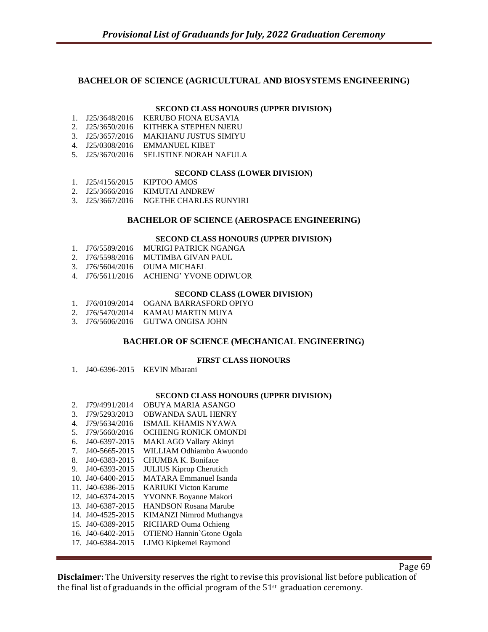# **BACHELOR OF SCIENCE (AGRICULTURAL AND BIOSYSTEMS ENGINEERING)**

#### **SECOND CLASS HONOURS (UPPER DIVISION)**

- 1. J25/3648/2016 KERUBO FIONA EUSAVIA
- 2. J25/3650/2016 KITHEKA STEPHEN NJERU
- 3. J25/3657/2016 MAKHANU JUSTUS SIMIYU
- 4. J25/0308/2016 EMMANUEL KIBET
- 5. J25/3670/2016 SELISTINE NORAH NAFULA

#### **SECOND CLASS (LOWER DIVISION)**

- 1. J25/4156/2015 KIPTOO AMOS
- 2. J25/3666/2016 KIMUTAI ANDREW
- 3. J25/3667/2016 NGETHE CHARLES RUNYIRI

## **BACHELOR OF SCIENCE (AEROSPACE ENGINEERING)**

#### **SECOND CLASS HONOURS (UPPER DIVISION)**

- 1. J76/5589/2016 MURIGI PATRICK NGANGA
- 2. J76/5598/2016 MUTIMBA GIVAN PAUL
- 3. J76/5604/2016 OUMA MICHAEL
- 4. J76/5611/2016 ACHIENG' YVONE ODIWUOR

#### **SECOND CLASS (LOWER DIVISION)**

- 1. J76/0109/2014 OGANA BARRASFORD OPIYO
- 2. J76/5470/2014 KAMAU MARTIN MUYA
- 3. J76/5606/2016 GUTWA ONGISA JOHN

## **BACHELOR OF SCIENCE (MECHANICAL ENGINEERING)**

#### **FIRST CLASS HONOURS**

1. J40-6396-2015 KEVIN Mbarani

#### **SECOND CLASS HONOURS (UPPER DIVISION)**

- 2. J79/4991/2014 OBUYA MARIA ASANGO
- 3. J79/5293/2013 OBWANDA SAUL HENRY
- 4. J79/5634/2016 ISMAIL KHAMIS NYAWA
- 5. J79/5660/2016 OCHIENG RONICK OMONDI
- 6. J40-6397-2015 MAKLAGO Vallary Akinyi
- 7. J40-5665-2015 WILLIAM Odhiambo Awuondo
- 8. J40-6383-2015 CHUMBA K. Boniface
- 9. J40-6393-2015 JULIUS Kiprop Cherutich
- 10. J40-6400-2015 MATARA Emmanuel Isanda
- 11. J40-6386-2015 KARIUKI Victon Karume
- 12. J40-6374-2015 YVONNE Boyanne Makori
- 13. J40-6387-2015 HANDSON Rosana Marube
- 14. J40-4525-2015 KIMANZI Nimrod Muthangya
- 15. J40-6389-2015 RICHARD Ouma Ochieng
- 16. J40-6402-2015 OTIENO Hannin`Gtone Ogola
- 17. J40-6384-2015 LIMO Kipkemei Raymond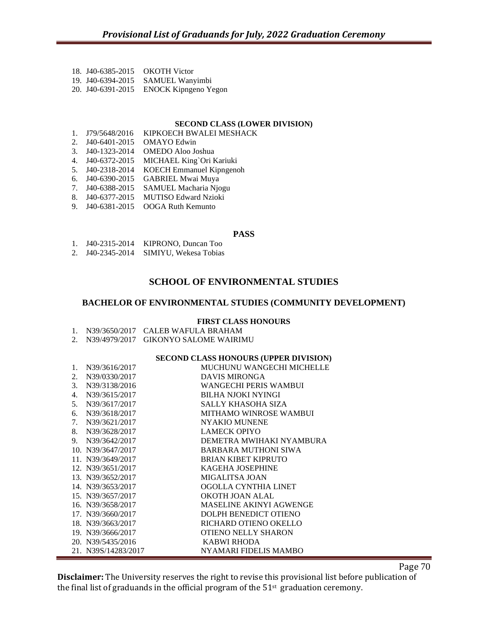|  | 18. J40-6385-2015 OKOTH Victor |
|--|--------------------------------|
|  |                                |

19. J40-6394-2015 SAMUEL Wanyimbi

20. J40-6391-2015 ENOCK Kipngeno Yegon

#### **SECOND CLASS (LOWER DIVISION)**

- 1. J79/5648/2016 KIPKOECH BWALEI MESHACK
- 2. J40-6401-2015 OMAYO Edwin
- 3. J40-1323-2014 OMEDO Aloo Joshua
- 4. J40-6372-2015 MICHAEL King`Ori Kariuki
- 5. J40-2318-2014 KOECH Emmanuel Kipngenoh
- 6. J40-6390-2015 GABRIEL Mwai Muya
- 7. J40-6388-2015 SAMUEL Macharia Njogu
- 8. J40-6377-2015 MUTISO Edward Nzioki
- 9. J40-6381-2015 OOGA Ruth Kemunto

#### **PASS**

- 1. J40-2315-2014 KIPRONO, Duncan Too
- 2. J40-2345-2014 SIMIYU, Wekesa Tobias

# **SCHOOL OF ENVIRONMENTAL STUDIES**

#### **BACHELOR OF ENVIRONMENTAL STUDIES (COMMUNITY DEVELOPMENT)**

#### **FIRST CLASS HONOURS**

1. N39/3650/2017 CALEB WAFULA BRAHAM

2. N39/4979/2017 GIKONYO SALOME WAIRIMU

## **SECOND CLASS HONOURS (UPPER DIVISION)**

| 1. | N39/3616/2017       | MUCHUNU WANGECHI MICHELLE     |
|----|---------------------|-------------------------------|
| 2. | N39/0330/2017       | DAVIS MIRONGA                 |
| 3. | N39/3138/2016       | WANGECHI PERIS WAMBUI         |
| 4. | N39/3615/2017       | <b>BILHA NJOKI NYINGI</b>     |
| 5. | N39/3617/2017       | SALLY KHASOHA SIZA            |
| 6. | N39/3618/2017       | <b>MITHAMO WINROSE WAMBUI</b> |
| 7. | N39/3621/2017       | <b>NYAKIO MUNENE</b>          |
| 8. | N39/3628/2017       | <b>LAMECK OPIYO</b>           |
|    | 9. N39/3642/2017    | DEMETRA MWIHAKI NYAMBURA      |
|    | 10. N39/3647/2017   | BARBARA MUTHONI SIWA          |
|    | 11. N39/3649/2017   | <b>BRIAN KIBET KIPRUTO</b>    |
|    | 12. N39/3651/2017   | <b>KAGEHA JOSEPHINE</b>       |
|    | 13. N39/3652/2017   | MIGALITSA JOAN                |
|    | 14. N39/3653/2017   | OGOLLA CYNTHIA LINET          |
|    | 15. N39/3657/2017   | OKOTH JOAN ALAL               |
|    | 16. N39/3658/2017   | MASELINE AKINYI AGWENGE       |
|    | 17. N39/3660/2017   | DOLPH BENEDICT OTIENO         |
|    | 18. N39/3663/2017   | RICHARD OTIENO OKELLO         |
|    | 19. N39/3666/2017   | <b>OTIENO NELLY SHARON</b>    |
|    | 20. N39/5435/2016   | KABWI RHODA                   |
|    | 21. N39S/14283/2017 | NYAMARI FIDELIS MAMBO         |

Page 70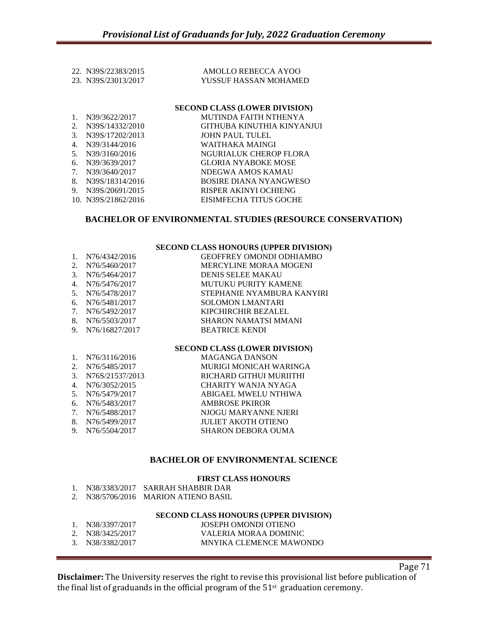|                                            | <b>SECOND CLASS (LOWER DIVISION)</b>         |
|--------------------------------------------|----------------------------------------------|
| 22. N39S/22383/2015<br>23. N39S/23013/2017 | AMOLLO REBECCA AYOO<br>YUSSUF HASSAN MOHAMED |
|                                            |                                              |

## 1. N39/3622/2017 MUTINDA FAITH NTHENYA 2. N39S/14332/2010 GITHUBA KINUTHIA KINYANJUI 3. N39S/17202/2013 JOHN PAUL TULEL 4. N39/3144/2016 WAITHAKA MAINGI 5. N39/3160/2016 NGURIALUK CHEROP FLORA 6. N39/3639/2017 GLORIA NYABOKE MOSE<br>7. N39/3640/2017 NDEGWA AMOS KAMAU 7. N39/3640/2017 NDEGWA AMOS KAMAU 8. N39S/18314/2016 BOSIRE DIANA NYANGWESO 9. N39S/20691/2015 RISPER AKINYI OCHIENG 10. N39S/21862/2016 EISIMFECHA TITUS GOCHE

# **BACHELOR OF ENVIRONMENTAL STUDIES (RESOURCE CONSERVATION)**

#### **SECOND CLASS HONOURS (UPPER DIVISION)**

| 1. N76/4342/2016  | <b>GEOFFREY OMONDI ODHIAMBO</b> |
|-------------------|---------------------------------|
| 2. N76/5460/2017  | <b>MERCYLINE MORAA MOGENI</b>   |
| 3. N76/5464/2017  | <b>DENIS SELEE MAKAU</b>        |
| 4. N76/5476/2017  | MUTUKU PURITY KAMENE            |
| 5. N76/5478/2017  | STEPHANIE NYAMBURA KANYIRI      |
| 6. N76/5481/2017  | <b>SOLOMON LMANTARI</b>         |
| 7. N76/5492/2017  | KIPCHIRCHIR BEZALEL             |
| 8. N76/5503/2017  | <b>SHARON NAMATSI MMANI</b>     |
| 9. N76/16827/2017 | <b>BEATRICE KENDI</b>           |

## **SECOND CLASS (LOWER DIVISION)**

| <b>MAGANGA DANSON</b>                                                                                                                                                       |
|-----------------------------------------------------------------------------------------------------------------------------------------------------------------------------|
| MURIGI MONICAH WARINGA                                                                                                                                                      |
| RICHARD GITHUI MURIITHI                                                                                                                                                     |
| CHARITY WANJA NYAGA                                                                                                                                                         |
| ABIGAEL MWELU NTHIWA                                                                                                                                                        |
| <b>AMBROSE PKIROR</b>                                                                                                                                                       |
| NJOGU MARYANNE NJERI                                                                                                                                                        |
| <b>JULIET AKOTH OTIENO</b>                                                                                                                                                  |
| <b>SHARON DEBORA OUMA</b>                                                                                                                                                   |
| 1. $N76/3116/2016$<br>N76/5485/2017<br>3. N76S/21537/2013<br>N76/3052/2015<br>5. N76/5479/2017<br>6. N76/5483/2017<br>7. N76/5488/2017<br>N76/5499/2017<br>9. N76/5504/2017 |

## **BACHELOR OF ENVIRONMENTAL SCIENCE**

## **FIRST CLASS HONOURS**

|  | N38/3383/2017 SARRAH SHABBIR DAR                                                                                                                                                                                                                                                                                 |
|--|------------------------------------------------------------------------------------------------------------------------------------------------------------------------------------------------------------------------------------------------------------------------------------------------------------------|
|  | $\frac{100}{5}$ N <sub>120</sub> $\frac{100}{100}$ n $\frac{1}{2}$ n $\frac{1}{2}$ n $\frac{1}{2}$ n $\frac{1}{2}$ n $\frac{1}{2}$ n $\frac{1}{2}$ n $\frac{1}{2}$ n $\frac{1}{2}$ n $\frac{1}{2}$ n $\frac{1}{2}$ n $\frac{1}{2}$ n $\frac{1}{2}$ n $\frac{1}{2}$ n $\frac{1}{2}$ n $\frac{1}{2}$ n $\frac{1}{$ |

| N38/5706/2016 MARION ATIENO BASIL<br>2. |  |
|-----------------------------------------|--|
|-----------------------------------------|--|

# **SECOND CLASS HONOURS (UPPER DIVISION)**

| 1. N38/3397/2017 | JOSEPH OMONDI OTIENO    |
|------------------|-------------------------|
| 2. N38/3425/2017 | VALERIA MORAA DOMINIC   |
| 3. N38/3382/2017 | MNYIKA CLEMENCE MAWONDO |

**Disclaimer:** The University reserves the right to revise this provisional list before publication of the final list of graduands in the official program of the  $51<sup>st</sup>$  graduation ceremony.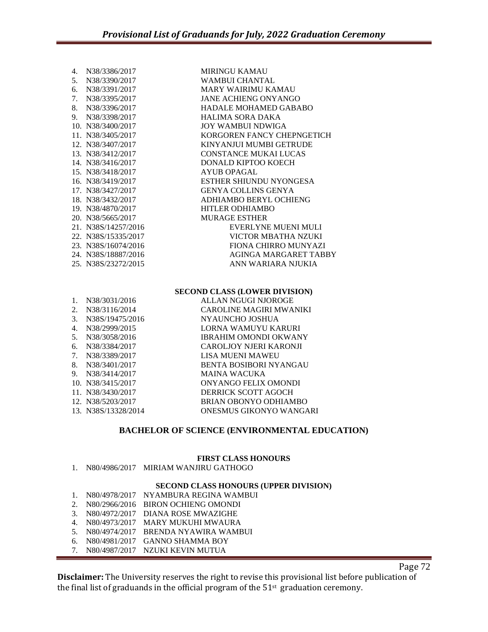| 4 <sup>1</sup> | N38/3386/2017       | <b>MIRINGU KAMAU</b>       |
|----------------|---------------------|----------------------------|
| 5.             | N38/3390/2017       | WAMBUI CHANTAL             |
| б.             | N38/3391/2017       | <b>MARY WAIRIMU KAMAU</b>  |
| 7.             | N38/3395/2017       | JANE ACHIENG ONYANGO       |
| 8.             | N38/3396/2017       | HADALE MOHAMED GABABO      |
|                | 9. N38/3398/2017    | HALIMA SORA DAKA           |
|                | 10. N38/3400/2017   | JOY WAMBUI NDWIGA          |
|                | 11. N38/3405/2017   | KORGOREN FANCY CHEPNGETICH |
|                | 12. N38/3407/2017   | KINYANJUI MUMBI GETRUDE    |
|                | 13. N38/3412/2017   | CONSTANCE MUKAI LUCAS      |
|                | 14. N38/3416/2017   | DONALD KIPTOO KOECH        |
|                | 15. N38/3418/2017   | AYUB OPAGAL                |
|                | 16. N38/3419/2017   | ESTHER SHIUNDU NYONGESA    |
|                | 17. N38/3427/2017   | GENYA COLLINS GENYA        |
|                | 18. N38/3432/2017   | ADHIAMBO BERYL OCHIENG     |
|                | 19. N38/4870/2017   | HITLER ODHIAMBO            |
|                | 20. N38/5665/2017   | <b>MURAGE ESTHER</b>       |
|                | 21. N38S/14257/2016 | EVERLYNE MUENI MULI        |
|                | 22. N38S/15335/2017 | VICTOR MBATHA NZUKI        |
|                | 23. N38S/16074/2016 | FIONA CHIRRO MUNYAZI       |
|                | 24. N38S/18887/2016 | AGINGA MARGARET TABBY      |
|                | 25. N38S/23272/2015 | ANN WARIARA NJUKIA         |

#### **SECOND CLASS (LOWER DIVISION)**

|             | N38/3031/2016       | ALLAN NGUGI NJOROGE          |
|-------------|---------------------|------------------------------|
| $2_{\cdot}$ | N38/3116/2014       | CAROLINE MAGIRI MWANIKI      |
| 3.          | N38S/19475/2016     | NYAUNCHO JOSHUA              |
| 4.          | N38/2999/2015       | LORNA WAMUYU KARURI          |
| 5.          | N38/3058/2016       | <b>IBRAHIM OMONDI OKWANY</b> |
| 6.          | N38/3384/2017       | CAROLJOY NJERI KARONJI       |
| 7.          | N38/3389/2017       | LISA MUENI MAWEU             |
| 8.          | N38/3401/2017       | BENTA BOSIBORI NYANGAU       |
| 9.          | N38/3414/2017       | <b>MAINA WACUKA</b>          |
|             | 10. N38/3415/2017   | ONYANGO FELIX OMONDI         |
|             | 11. N38/3430/2017   | DERRICK SCOTT AGOCH          |
|             | 12. N38/5203/2017   | <b>BRIAN OBONYO ODHIAMBO</b> |
|             | 13. N38S/13328/2014 | ONESMUS GIKONYO WANGARI      |
|             |                     |                              |

# **BACHELOR OF SCIENCE (ENVIRONMENTAL EDUCATION)**

# **FIRST CLASS HONOURS**

|  | N80/4986/2017 MIRIAM WANJIRU GATHOGO |
|--|--------------------------------------|
|  |                                      |

# **SECOND CLASS HONOURS (UPPER DIVISION)**

- 1. N80/4978/2017 NYAMBURA REGINA WAMBUI
- 2. N80/2966/2016 BIRON OCHIENG OMONDI
- 3. N80/4972/2017 DIANA ROSE MWAZIGHE
- 4. N80/4973/2017 MARY MUKUHI MWAURA
- 5. N80/4974/2017 BRENDA NYAWIRA WAMBUI
- 6. N80/4981/2017 GANNO SHAMMA BOY
- 7. N80/4987/2017 NZUKI KEVIN MUTUA

Page 72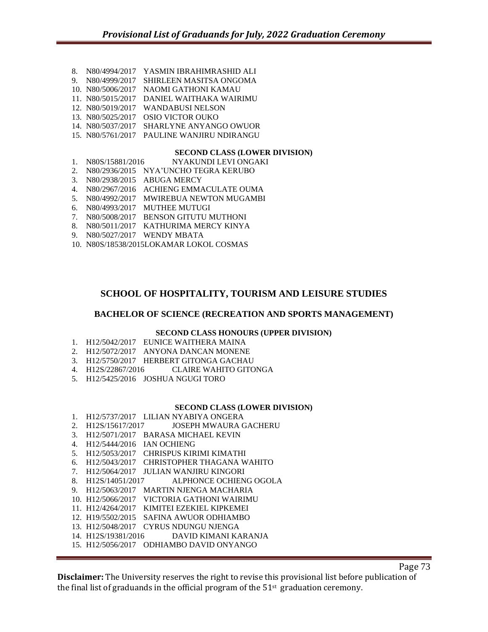8. N80/4994/2017 YASMIN IBRAHIMRASHID ALI 9. N80/4999/2017 SHIRLEEN MASITSA ONGOMA 10. N80/5006/2017 NAOMI GATHONI KAMAU 11. N80/5015/2017 DANIEL WAITHAKA WAIRIMU 12. N80/5019/2017 WANDABUSI NELSON 13. N80/5025/2017 OSIO VICTOR OUKO 14. N80/5037/2017 SHARLYNE ANYANGO OWUOR 15. N80/5761/2017 PAULINE WANJIRU NDIRANGU

#### **SECOND CLASS (LOWER DIVISION)**

- 1. N80S/15881/2016 NYAKUNDI LEVI ONGAKI
- 2. N80/2936/2015 NYA'UNCHO TEGRA KERUBO
- 3. N80/2938/2015 ABUGA MERCY
- 4. N80/2967/2016 ACHIENG EMMACULATE OUMA
- 5. N80/4992/2017 MWIREBUA NEWTON MUGAMBI
- 6. N80/4993/2017 MUTHEE MUTUGI
- 7. N80/5008/2017 BENSON GITUTU MUTHONI
- 8. N80/5011/2017 KATHURIMA MERCY KINYA
- 9. N80/5027/2017 WENDY MBATA
- 10. N80S/18538/2015LOKAMAR LOKOL COSMAS

# **SCHOOL OF HOSPITALITY, TOURISM AND LEISURE STUDIES**

#### **BACHELOR OF SCIENCE (RECREATION AND SPORTS MANAGEMENT)**

#### **SECOND CLASS HONOURS (UPPER DIVISION)**

- 1. H12/5042/2017 EUNICE WAITHERA MAINA
- 2. H12/5072/2017 ANYONA DANCAN MONENE
- 3. H12/5750/2017 HERBERT GITONGA GACHAU
- 4. H12S/22867/2016 CLAIRE WAHITO GITONGA
- 5. H12/5425/2016 JOSHUA NGUGI TORO

#### **SECOND CLASS (LOWER DIVISION)**

1. H12/5737/2017 LILIAN NYABIYA ONGERA 2. H12S/15617/2017 JOSEPH MWAURA GACHERU 3. H12/5071/2017 BARASA MICHAEL KEVIN 4. H12/5444/2016 IAN OCHIENG 5. H12/5053/2017 CHRISPUS KIRIMI KIMATHI 6. H12/5043/2017 CHRISTOPHER THAGANA WAHITO 7. H12/5064/2017 JULIAN WANJIRU KINGORI ALPHONCE OCHIENG OGOLA 9. H12/5063/2017 MARTIN NJENGA MACHARIA 10. H12/5066/2017 VICTORIA GATHONI WAIRIMU 11. H12/4264/2017 KIMITEI EZEKIEL KIPKEMEI 12. H19/5502/2015 SAFINA AWUOR ODHIAMBO 13. H12/5048/2017 CYRUS NDUNGU NJENGA 14. H12S/19381/2016 DAVID KIMANI KARANJA 15. H12/5056/2017 ODHIAMBO DAVID ONYANGO

Page 73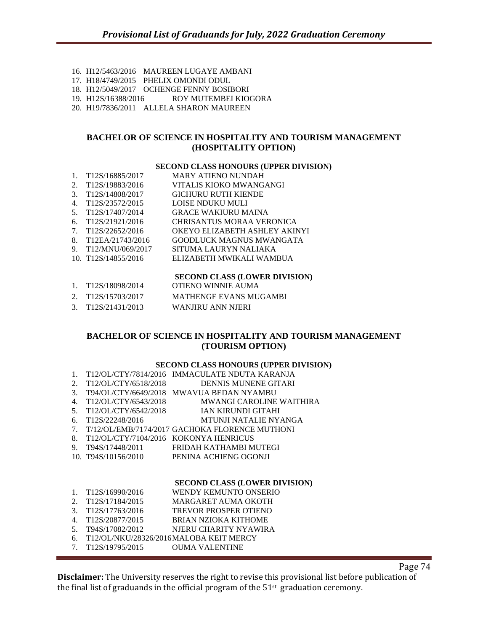- 16. H12/5463/2016 MAUREEN LUGAYE AMBANI 17. H18/4749/2015 PHELIX OMONDI ODUL 18. H12/5049/2017 OCHENGE FENNY BOSIBORI
- 19. H12S/16388/2016 ROY MUTEMBEI KIOGORA
- 20. H19/7836/2011 ALLELA SHARON MAUREEN

# **BACHELOR OF SCIENCE IN HOSPITALITY AND TOURISM MANAGEMENT (HOSPITALITY OPTION)**

#### **SECOND CLASS HONOURS (UPPER DIVISION)**

- 1. T12S/16885/2017 MARY ATIENO NUNDAH<br>2. T12S/19883/2016 VITALIS KIOKO MWANG. VITALIS KIOKO MWANGANGI 3. T12S/14808/2017 GICHURU RUTH KIENDE 4. T12S/23572/2015 LOISE NDUKU MULI 5. T12S/17407/2014 GRACE WAKIURU MAINA 6. T12S/21921/2016 CHRISANTUS MORAA VERONICA 7. T12S/22652/2016 OKEYO ELIZABETH ASHLEY AKIN OKEYO ELIZABETH ASHLEY AKINYI 8. T12EA/21743/2016 GOODLUCK MAGNUS MWANGATA 9. T12/MNU/069/2017 SITUMA LAURYN NALIAKA 10. T12S/14855/2016 ELIZABETH MWIKALI WAMBUA **SECOND CLASS (LOWER DIVISION)**
- 1. T12S/18098/2014 OTIENO WINNIE AUMA 2. T12S/15703/2017 MATHENGE EVANS MUGAMBI 3. T12S/21431/2013 WANJIRU ANN NJERI

# **BACHELOR OF SCIENCE IN HOSPITALITY AND TOURISM MANAGEMENT (TOURISM OPTION)**

## **SECOND CLASS HONOURS (UPPER DIVISION)**

| $\mathbf{1}$ . |                                       | T12/OL/CTY/7814/2016 IMMACULATE NDUTA KARANJA  |
|----------------|---------------------------------------|------------------------------------------------|
| 2.             | T12/OL/CTY/6518/2018                  | DENNIS MUNENE GITARI                           |
| 3.             | T94/OL/CTY/6649/2018                  | <b>MWAVUA BEDAN NYAMBU</b>                     |
| 4.             | T <sub>12</sub> /OL/CTY/6543/2018     | <b>MWANGI CAROLINE WAITHIRA</b>                |
| 5.             | T12/OL/CTY/6542/2018                  | IAN KIRUNDI GITAHI                             |
| 6.             | T <sub>12</sub> S/22248/2016          | MTUNJI NATALIE NYANGA                          |
| 7.             |                                       | T/12/OL/EMB/7174/2017 GACHOKA FLORENCE MUTHONI |
| 8.             | T12/OL/CTY/7104/2016 KOKONYA HENRICUS |                                                |
| 9.             | T94S/17448/2011                       | FRIDAH KATHAMBI MUTEGI                         |
|                | 10. T94S/10156/2010                   | PENINA ACHIENG OGONJI                          |
|                |                                       |                                                |
|                |                                       | SECOND CLASS (LOWER DIVISION)                  |
| 1.             | T <sub>12S</sub> /16990/2016          | WENDY KEMUNTO ONSERIO                          |
| 2.             | T <sub>12</sub> S/17184/2015          | MARGARET AUMA OKOTH                            |
| 3.             | T <sub>12</sub> S/17763/2016          | TREVOR PROSPER OTIENO                          |
| 4.             | T <sub>12</sub> S/20877/2015          | BRIAN NZIOKA KITHOME                           |
| 5.             | T94S/17082/2012                       | NJERU CHARITY NYAWIRA                          |

- 6. T12/OL/NKU/28326/2016MALOBA KEIT MERCY
- 7. T12S/19795/2015 OUMA VALENTINE

Page 74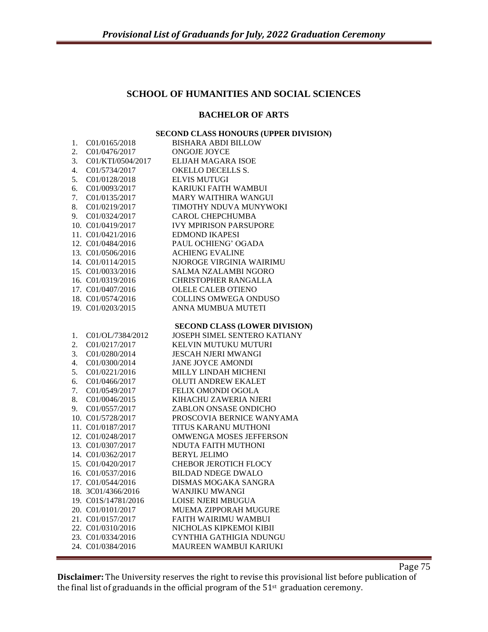# **SCHOOL OF HUMANITIES AND SOCIAL SCIENCES**

# **BACHELOR OF ARTS**

# **SECOND CLASS HONOURS (UPPER DIVISION)**

| 1. | C01/0165/2018       | <b>BISHARA ABDI BILLOW</b>           |
|----|---------------------|--------------------------------------|
| 2. | C01/0476/2017       | <b>ONGOJE JOYCE</b>                  |
| 3. | C01/KTI/0504/2017   | ELIJAH MAGARA ISOE                   |
| 4. | C01/5734/2017       | <b>OKELLO DECELLS S.</b>             |
| 5. | C01/0128/2018       | <b>ELVIS MUTUGI</b>                  |
| 6. | C01/0093/2017       | KARIUKI FAITH WAMBUI                 |
| 7. | C01/0135/2017       | MARY WAITHIRA WANGUI                 |
| 8. | C01/0219/2017       | TIMOTHY NDUVA MUNYWOKI               |
| 9. | C01/0324/2017       | <b>CAROL CHEPCHUMBA</b>              |
|    | 10. C01/0419/2017   | <b>IVY MPIRISON PARSUPORE</b>        |
|    | 11. C01/0421/2016   | <b>EDMOND IKAPESI</b>                |
|    | 12. C01/0484/2016   | PAUL OCHIENG' OGADA                  |
|    | 13. C01/0506/2016   | <b>ACHIENG EVALINE</b>               |
|    | 14. C01/0114/2015   | NJOROGE VIRGINIA WAIRIMU             |
|    | 15. C01/0033/2016   | <b>SALMA NZALAMBI NGORO</b>          |
|    | 16. C01/0319/2016   | <b>CHRISTOPHER RANGALLA</b>          |
|    | 17. C01/0407/2016   | <b>OLELE CALEB OTIENO</b>            |
|    | 18. C01/0574/2016   | <b>COLLINS OMWEGA ONDUSO</b>         |
|    | 19. C01/0203/2015   | ANNA MUMBUA MUTETI                   |
|    |                     |                                      |
|    |                     | <b>SECOND CLASS (LOWER DIVISION)</b> |
| 1. | C01/OL/7384/2012    | JOSEPH SIMEL SENTERO KATIANY         |
| 2. | C01/0217/2017       | KELVIN MUTUKU MUTURI                 |
| 3. | C01/0280/2014       | <b>JESCAH NJERI MWANGI</b>           |
| 4. | C01/0300/2014       | <b>JANE JOYCE AMONDI</b>             |
| 5. | C01/0221/2016       | <b>MILLY LINDAH MICHENI</b>          |
| 6. | C01/0466/2017       | <b>OLUTI ANDREW EKALET</b>           |
| 7. | C01/0549/2017       | <b>FELIX OMONDI OGOLA</b>            |
| 8. | C01/0046/2015       | KIHACHU ZAWERIA NJERI                |
| 9. | C01/0557/2017       | ZABLON ONSASE ONDICHO                |
|    | 10. C01/5728/2017   | PROSCOVIA BERNICE WANYAMA            |
|    | 11. C01/0187/2017   | TITUS KARANU MUTHONI                 |
|    | 12. C01/0248/2017   | <b>OMWENGA MOSES JEFFERSON</b>       |
|    | 13. C01/0307/2017   | NDUTA FAITH MUTHONI                  |
|    | 14. C01/0362/2017   | <b>BERYL JELIMO</b>                  |
|    | 15. C01/0420/2017   | <b>CHEBOR JEROTICH FLOCY</b>         |
|    | 16. C01/0537/2016   | <b>BILDAD NDEGE DWALO</b>            |
|    | 17. C01/0544/2016   | DISMAS MOGAKA SANGRA                 |
|    | 18. 3C01/4366/2016  | WANJIKU MWANGI                       |
|    | 19. C01S/14781/2016 | <b>LOISE NJERI MBUGUA</b>            |
|    | 20. C01/0101/2017   | MUEMA ZIPPORAH MUGURE                |
|    | 21. C01/0157/2017   | FAITH WAIRIMU WAMBUI                 |
|    | 22. C01/0310/2016   | NICHOLAS KIPKEMOI KIBII              |
|    | 23. C01/0334/2016   | CYNTHIA GATHIGIA NDUNGU              |
|    | 24. C01/0384/2016   | <b>MAUREEN WAMBUI KARIUKI</b>        |
|    |                     |                                      |

**Disclaimer:** The University reserves the right to revise this provisional list before publication of the final list of graduands in the official program of the  $51<sup>st</sup>$  graduation ceremony.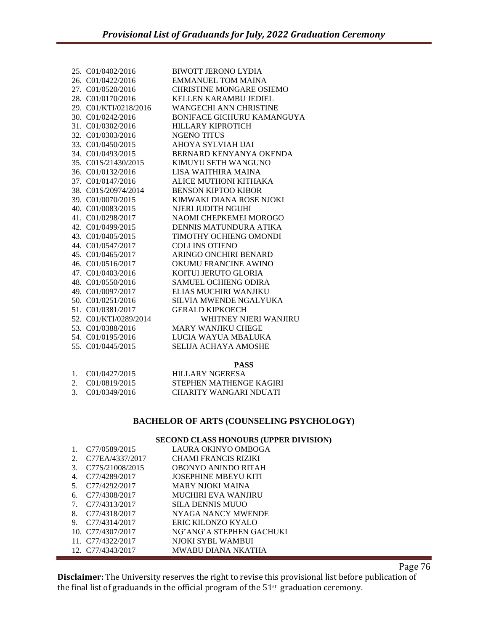| 25. C01/0402/2016              | <b>BIWOTT JERONO LYDIA</b>      |
|--------------------------------|---------------------------------|
| 26. C01/0422/2016              | <b>EMMANUEL TOM MAINA</b>       |
| 27. C01/0520/2016              | <b>CHRISTINE MONGARE OSIEMO</b> |
| 28. C01/0170/2016              | <b>KELLEN KARAMBU JEDIEL</b>    |
| 29. C01/KTI/0218/2016          | <b>WANGECHI ANN CHRISTINE</b>   |
| 30. C01/0242/2016              | BONIFACE GICHURU KAMANGUYA      |
| 31. C01/0302/2016              | <b>HILLARY KIPROTICH</b>        |
| 32. C01/0303/2016              | <b>NGENO TITUS</b>              |
| 33. C01/0450/2015              | AHOYA SYLVIAH IJAI              |
| 34. C01/0493/2015              | BERNARD KENYANYA OKENDA         |
| 35. C01S/21430/2015            | KIMUYU SETH WANGUNO             |
| 36. C01/0132/2016              | LISA WAITHIRA MAINA             |
| 37. C01/0147/2016              | ALICE MUTHONI KITHAKA           |
| 38. C01S/20974/2014            | <b>BENSON KIPTOO KIBOR</b>      |
| 39. C01/0070/2015              | KIMWAKI DIANA ROSE NJOKI        |
| 40. C01/0083/2015              | NJERI JUDITH NGUHI              |
| 41. C01/0298/2017              | NAOMI CHEPKEMEI MOROGO          |
| 42. C01/0499/2015              | DENNIS MATUNDURA ATIKA          |
| 43. C <sub>01</sub> /0405/2015 | TIMOTHY OCHIENG OMONDI          |
| 44. C01/0547/2017              | <b>COLLINS OTIENO</b>           |
| 45. C01/0465/2017              | ARINGO ONCHIRI BENARD           |
| 46. C01/0516/2017              | OKUMU FRANCINE AWINO            |
| 47. C01/0403/2016              | KOITUI JERUTO GLORIA            |
| 48. C01/0550/2016              | <b>SAMUEL OCHIENG ODIRA</b>     |
| 49. C01/0097/2017              | ELIAS MUCHIRI WANJIKU           |
| 50. C01/0251/2016              | SILVIA MWENDE NGALYUKA          |
| 51. C01/0381/2017              | <b>GERALD KIPKOECH</b>          |
| 52. C01/KTI/0289/2014          | WHITNEY NJERI WANJIRU           |
| 53. C01/0388/2016              | <b>MARY WANJIKU CHEGE</b>       |
| 54. C01/0195/2016              | LUCIA WAYUA MBALUKA             |
| 55. C <sub>01</sub> /0445/2015 | <b>SELIJA ACHAYA AMOSHE</b>     |
|                                |                                 |

# **PASS**

| 1. C01/0427/2015 | HILLARY NGERESA         |
|------------------|-------------------------|
| 2. C01/0819/2015 | STEPHEN MATHENGE KAGIRI |
| 3. C01/0349/2016 | CHARITY WANGARI NDUATI  |

# **BACHELOR OF ARTS (COUNSELING PSYCHOLOGY)**

# **SECOND CLASS HONOURS (UPPER DIVISION)**

|    | C <sub>77</sub> /0589/2015 | LAURA OKINYO OMBOGA         |
|----|----------------------------|-----------------------------|
| 2. | C77EA/4337/2017            | <b>CHAMI FRANCIS RIZIKI</b> |
| 3. | C77S/21008/2015            | OBONYO ANINDO RITAH         |
| 4. | C77/4289/2017              | <b>JOSEPHINE MBEYU KITI</b> |
| 5. | C77/4292/2017              | MARY NJOKI MAINA            |
| 6. | C77/4308/2017              | MUCHIRI EVA WANJIRU         |
| 7. | C <sub>77</sub> /4313/2017 | SILA DENNIS MUUO            |
| 8. | C77/4318/2017              | NYAGA NANCY MWENDE          |
| 9. | C77/4314/2017              | ERIC KILONZO KYALO          |
|    | 10. C77/4307/2017          | NG'ANG'A STEPHEN GACHUKI    |
|    | 11. C77/4322/2017          | NJOKI SYBL WAMBUI           |
|    | 12. C77/4343/2017          | MWABU DIANA NKATHA          |

Page 76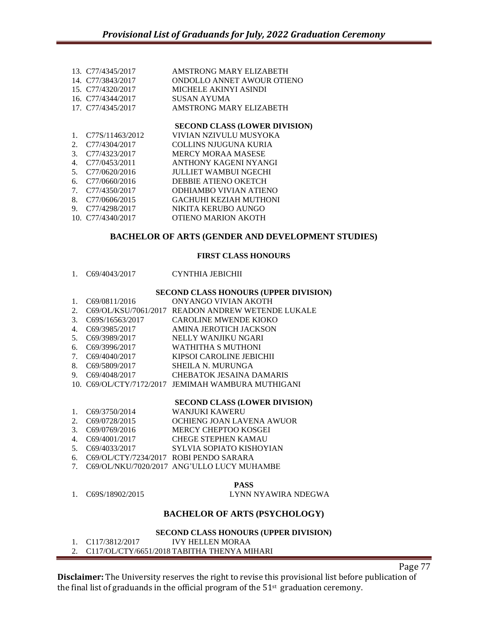|                              | AMSTRONG MARY ELIZABETH                                                                                                                     |
|------------------------------|---------------------------------------------------------------------------------------------------------------------------------------------|
|                              | ONDOLLO ANNET AWOUR OTIENO                                                                                                                  |
|                              | MICHELE AKINYI ASINDI                                                                                                                       |
|                              | SUSAN AYUMA                                                                                                                                 |
|                              | AMSTRONG MARY ELIZABETH                                                                                                                     |
|                              | <b>SECOND CLASS (LOWER DIVISION)</b>                                                                                                        |
| C <sub>77</sub> S/11463/2012 | VIVIAN NZIVULU MUSYOKA                                                                                                                      |
| C77/4304/2017                | COLLINS NJUGUNA KURIA                                                                                                                       |
| C <sub>77</sub> /4323/2017   | <b>MERCY MORAA MASESE</b>                                                                                                                   |
| C <sub>77</sub> /0453/2011   | ANTHONY KAGENI NYANGI                                                                                                                       |
| C <sub>77</sub> /0620/2016   | JULLIET WAMBUI NGECHI                                                                                                                       |
| C77/0660/2016                | DEBBIE ATIENO OKETCH                                                                                                                        |
|                              | ODHIAMBO VIVIAN ATIENO                                                                                                                      |
| C <sub>77</sub> /0606/2015   | <b>GACHUHI KEZIAH MUTHONI</b>                                                                                                               |
| C <sub>77</sub> /4298/2017   | NIKITA KERUBO AUNGO                                                                                                                         |
|                              | OTIENO MARION AKOTH                                                                                                                         |
|                              | 13. C77/4345/2017<br>14. C77/3843/2017<br>15. C77/4320/2017<br>16. C77/4344/2017<br>17. C77/4345/2017<br>C77/4350/2017<br>10. C77/4340/2017 |

# **BACHELOR OF ARTS (GENDER AND DEVELOPMENT STUDIES)**

## **FIRST CLASS HONOURS**

1. C69/4043/2017 CYNTHIA JEBICHII

#### **SECOND CLASS HONOURS (UPPER DIVISION)**

1. C69/0811/2016 ONYANGO VIVIAN AKOTH 2. C69/OL/KSU/7061/2017 READON ANDREW WETENDE LUKALE 3. C69S/16563/2017 CAROLINE MWENDE KIOKO 4. C69/3985/2017 AMINA JEROTICH JACKSON 5. C69/3989/2017 NELLY WANJIKU NGARI 6. C69/3996/2017 WATHITHA S MUTHONI 7. C69/4040/2017 KIPSOI CAROLINE JEBICHII 8. C69/5809/2017 SHEILA N. MURUNGA 9. C69/4048/2017 CHEBATOK JESAINA DAMARIS 10. C69/OL/CTY/7172/2017 JEMIMAH WAMBURA MUTHIGANI

#### **SECOND CLASS (LOWER DIVISION)**

- 1. C69/3750/2014 WANJUKI KAWERU
- 2. C69/0728/2015 OCHIENG JOAN LAVENA AWUOR<br>3. C69/0769/2016 MERCY CHEPTOO KOSGEI
- MERCY CHEPTOO KOSGEI
- 4. C69/4001/2017 CHEGE STEPHEN KAMAU
- 5. C69/4033/2017 SYLVIA SOPIATO KISHOYIAN
- 6. C69/OL/CTY/7234/2017 ROBI PENDO SARARA
- 7. C69/OL/NKU/7020/2017 ANG'ULLO LUCY MUHAMBE

# **PASS**

1. C69S/18902/2015 LYNN NYAWIRA NDEGWA

# **BACHELOR OF ARTS (PSYCHOLOGY)**

## **SECOND CLASS HONOURS (UPPER DIVISION)**

1. C117/3812/2017 IVY HELLEN MORAA 2. C117/OL/CTY/6651/2018 TABITHA THENYA MIHARI

**Disclaimer:** The University reserves the right to revise this provisional list before publication of the final list of graduands in the official program of the  $51<sup>st</sup>$  graduation ceremony.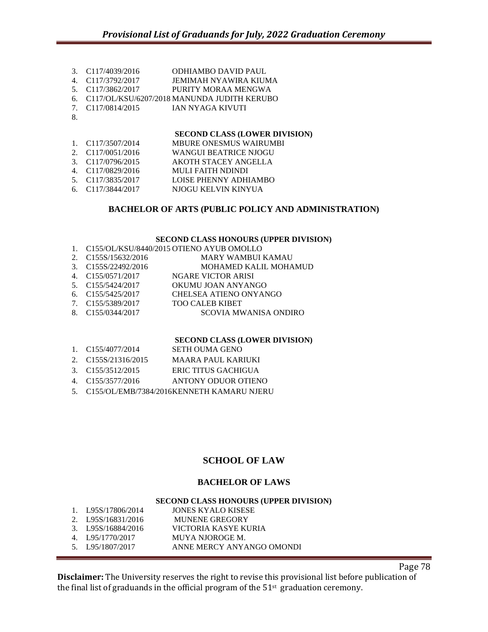- 3. C117/4039/2016 ODHIAMBO DAVID PAUL
- 4. C117/3792/2017 JEMIMAH NYAWIRA KIUMA
- 5. C117/3862/2017 PURITY MORAA MENGWA
- 6. C117/OL/KSU/6207/2018 MANUNDA JUDITH KERUBO
- 7. C117/0814/2015 IAN NYAGA KIVUTI
- 8.

| 1. C117/3507/2014 | <b>MBURE ONESMUS WAIRUMBI</b> |
|-------------------|-------------------------------|
| 2. C117/0051/2016 | <b>WANGUI BEATRICE NJOGU</b>  |
| 3. C117/0796/2015 | AKOTH STACEY ANGELLA          |
| 4. C117/0829/2016 | <b>MULI FAITH NDINDI</b>      |
| 5. C117/3835/2017 | LOISE PHENNY ADHIAMBO         |
| 6. C117/3844/2017 | NJOGU KELVIN KINYUA           |
|                   |                               |

# **BACHELOR OF ARTS (PUBLIC POLICY AND ADMINISTRATION)**

## **SECOND CLASS HONOURS (UPPER DIVISION)**

|                     | 1. C155/OL/KSU/8440/2015 OTIENO AYUB OMOLLO |
|---------------------|---------------------------------------------|
| 2. C155S/15632/2016 | <b>MARY WAMBUI KAMAU</b>                    |
| 3. C155S/22492/2016 | <b>MOHAMED KALIL MOHAMUD</b>                |
| 4. C155/0571/2017   | <b>NGARE VICTOR ARISI</b>                   |
| 5. C155/5424/2017   | OKUMU JOAN ANYANGO                          |
| 6. C155/5425/2017   | CHELSEA ATIENO ONYANGO                      |
| 7. C155/5389/2017   | <b>TOO CALEB KIBET</b>                      |
| 8. C155/0344/2017   | <b>SCOVIA MWANISA ONDIRO</b>                |
|                     |                                             |

## **SECOND CLASS (LOWER DIVISION)**

| 1. C155/4077/2014   | SETH OUMA GENO      |
|---------------------|---------------------|
| 2. C155S/21316/2015 | MAARA PAUL KARIUKI  |
| 3. C155/3512/2015   | ERIC TITUS GACHIGUA |
| 4. C155/3577/2016   | ANTONY ODUOR OTIENO |
|                     |                     |

5. C155/OL/EMB/7384/2016KENNETH KAMARU NJERU

# **SCHOOL OF LAW**

# **BACHELOR OF LAWS**

## **SECOND CLASS HONOURS (UPPER DIVISION)**

1. L95S/17806/2014 JONES KYALO KISESE 2. L95S/16831/2016 MUNENE GREGORY 3. L95S/16884/2016 VICTORIA KASYE KURIA 4. L95/1770/2017 MUYA NJOROGE M. 5. L95/1807/2017 ANNE MERCY ANYANGO OMONDI

Page 78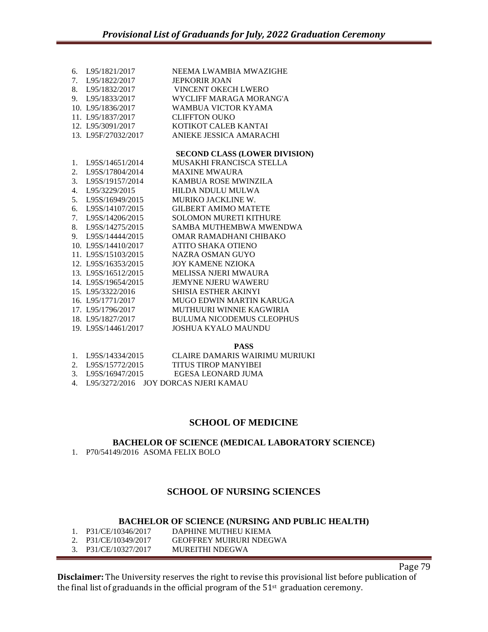| 6. | L95/1821/2017       | NEEMA LWAMBIA MWAZIGHE               |
|----|---------------------|--------------------------------------|
| 7. | L95/1822/2017       | <b>JEPKORIR JOAN</b>                 |
| 8. | L95/1832/2017       | VINCENT OKECH LWERO                  |
|    | 9. L95/1833/2017    | WYCLIFF MARAGA MORANG'A              |
|    | 10. L95/1836/2017   | WAMBUA VICTOR KYAMA                  |
|    | 11. L95/1837/2017   | <b>CLIFFTON OUKO</b>                 |
|    | 12. L95/3091/2017   | KOTIKOT CALEB KANTAI                 |
|    | 13. L95F/27032/2017 | ANIEKE JESSICA AMARACHI              |
|    |                     | <b>SECOND CLASS (LOWER DIVISION)</b> |
| 1. | L95S/14651/2014     | MUSAKHI FRANCISCA STELLA             |
| 2. | L95S/17804/2014     | <b>MAXINE MWAURA</b>                 |
| 3. | L95S/19157/2014     | KAMBUA ROSE MWINZILA                 |
| 4. | L95/3229/2015       | HILDA NDULU MULWA                    |
| 5. | L95S/16949/2015     | MURIKO JACKLINE W.                   |
| 6. | L95S/14107/2015     | <b>GILBERT AMIMO MATETE</b>          |
| 7. | L95S/14206/2015     | <b>SOLOMON MURETI KITHURE</b>        |
| 8. | L95S/14275/2015     | SAMBA MUTHEMBWA MWENDWA              |
| 9. | L95S/14444/2015     | OMAR RAMADHANI CHIBAKO               |
|    | 10. L95S/14410/2017 | ATITO SHAKA OTIENO                   |
|    | 11. L95S/15103/2015 | NAZRA OSMAN GUYO                     |
|    | 12. L95S/16353/2015 | JOY KAMENE NZIOKA                    |
|    | 13. L95S/16512/2015 | <b>MELISSA NJERI MWAURA</b>          |
|    | 14. L95S/19654/2015 | <b>JEMYNE NJERU WAWERU</b>           |
|    | 15. L95/3322/2016   | SHISIA ESTHER AKINYI                 |
|    | 16. L95/1771/2017   | MUGO EDWIN MARTIN KARUGA             |
|    | 17. L95/1796/2017   | MUTHUURI WINNIE KAGWIRIA             |
|    | 18. L95/1827/2017   | <b>BULUMA NICODEMUS CLEOPHUS</b>     |
|    | 19. L95S/14461/2017 | <b>JOSHUA KYALO MAUNDU</b>           |
|    |                     |                                      |

**PASS**

- 1. L95S/14334/2015 CLAIRE DAMARIS WAIRIMU MURIUKI
- 2. L95S/15772/2015 TITUS TIROP MANYIBEI<br>3. L95S/16947/2015 EGESA LEONARD JUMA EGESA LEONARD JUMA
- 4. L95/3272/2016 JOY DORCAS NJERI KAMAU

# **SCHOOL OF MEDICINE**

**BACHELOR OF SCIENCE (MEDICAL LABORATORY SCIENCE)** 1. P70/54149/2016 ASOMA FELIX BOLO

# **SCHOOL OF NURSING SCIENCES**

## **BACHELOR OF SCIENCE (NURSING AND PUBLIC HEALTH)**

| 1. P31/CE/10346/2017 | DAPHINE MUTHEU KIEMA           |
|----------------------|--------------------------------|
| 2. P31/CE/10349/2017 | <b>GEOFFREY MUIRURI NDEGWA</b> |
| 3. P31/CE/10327/2017 | MUREITHI NDEGWA                |

Page 79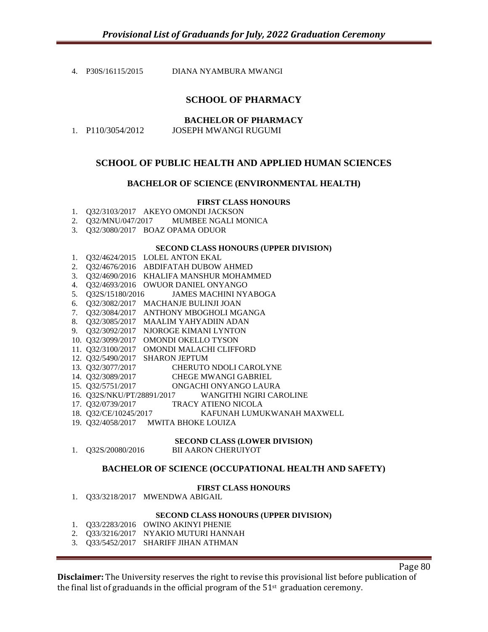4. P30S/16115/2015 DIANA NYAMBURA MWANGI

# **SCHOOL OF PHARMACY**

|                     | <b>BACHELOR OF PHARMACY</b> |
|---------------------|-----------------------------|
| 1. $P110/3054/2012$ | JOSEPH MWANGI RUGUMI        |

# **SCHOOL OF PUBLIC HEALTH AND APPLIED HUMAN SCIENCES**

# **BACHELOR OF SCIENCE (ENVIRONMENTAL HEALTH)**

# **FIRST CLASS HONOURS**

- 1. Q32/3103/2017 AKEYO OMONDI JACKSON
- 2. Q32/MNU/047/2017 MUMBEE NGALI MONICA
- 3. Q32/3080/2017 BOAZ OPAMA ODUOR

## **SECOND CLASS HONOURS (UPPER DIVISION)**

- 1. Q32/4624/2015 LOLEL ANTON EKAL
- 2. Q32/4676/2016 ABDIFATAH DUBOW AHMED
- 3. Q32/4690/2016 KHALIFA MANSHUR MOHAMMED
- 4. Q32/4693/2016 OWUOR DANIEL ONYANGO
- 5. Q32S/15180/2016 JAMES MACHINI NYABOGA
- 6. Q32/3082/2017 MACHANJE BULINJI JOAN
- 7. Q32/3084/2017 ANTHONY MBOGHOLI MGANGA
- 8. Q32/3085/2017 MAALIM YAHYADIIN ADAN
- 9. Q32/3092/2017 NJOROGE KIMANI LYNTON
- 10. Q32/3099/2017 OMONDI OKELLO TYSON
- 11. Q32/3100/2017 OMONDI MALACHI CLIFFORD
- 12. Q32/5490/2017 SHARON JEPTUM
- 13. Q32/3077/2017 CHERUTO NDOLI CAROLYNE
- 14. Q32/3089/2017 CHEGE MWANGI GABRIEL
- 15. Q32/5751/2017 ONGACHI ONYANGO LAURA
- 16. Q32S/NKU/PT/28891/2017 WANGITHI NGIRI CAROLINE
- 17. Q32/0739/2017 TRACY ATIENO NICOLA
- 18. Q32/CE/10245/2017 KAFUNAH LUMUKWANAH MAXWELL
- 19. Q32/4058/2017 MWITA BHOKE LOUIZA

## **SECOND CLASS (LOWER DIVISION)**

1. Q32S/20080/2016 BII AARON CHERUIYOT

## **BACHELOR OF SCIENCE (OCCUPATIONAL HEALTH AND SAFETY)**

## **FIRST CLASS HONOURS**

1. Q33/3218/2017 MWENDWA ABIGAIL

## **SECOND CLASS HONOURS (UPPER DIVISION)**

- 1. Q33/2283/2016 OWINO AKINYI PHENIE
- 2. Q33/3216/2017 NYAKIO MUTURI HANNAH
- 3. Q33/5452/2017 SHARIFF JIHAN ATHMAN

Page 80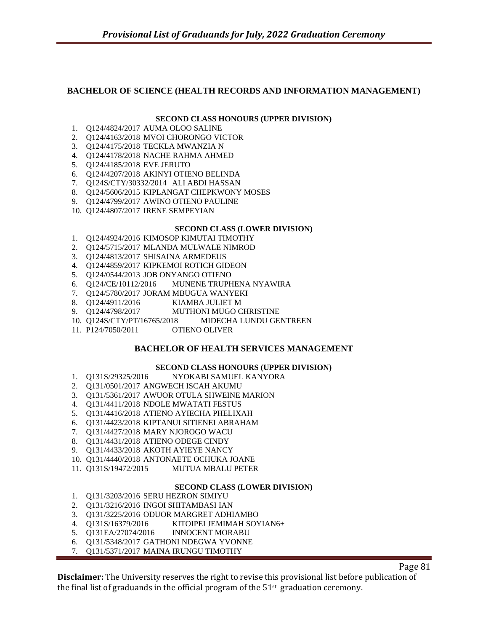# **BACHELOR OF SCIENCE (HEALTH RECORDS AND INFORMATION MANAGEMENT)**

# **SECOND CLASS HONOURS (UPPER DIVISION)**

- 1. Q124/4824/2017 AUMA OLOO SALINE
- 2. Q124/4163/2018 MVOI CHORONGO VICTOR
- 3. Q124/4175/2018 TECKLA MWANZIA N
- 4. Q124/4178/2018 NACHE RAHMA AHMED
- 5. Q124/4185/2018 EVE JERUTO
- 6. Q124/4207/2018 AKINYI OTIENO BELINDA
- 7. Q124S/CTY/30332/2014 ALI ABDI HASSAN
- 8. Q124/5606/2015 KIPLANGAT CHEPKWONY MOSES
- 9. Q124/4799/2017 AWINO OTIENO PAULINE
- 10. Q124/4807/2017 IRENE SEMPEYIAN

## **SECOND CLASS (LOWER DIVISION)**

- 1. Q124/4924/2016 KIMOSOP KIMUTAI TIMOTHY
- 2. Q124/5715/2017 MLANDA MULWALE NIMROD
- 3. Q124/4813/2017 SHISAINA ARMEDEUS
- 4. Q124/4859/2017 KIPKEMOI ROTICH GIDEON
- 5. Q124/0544/2013 JOB ONYANGO OTIENO
- 6. Q124/CE/10112/2016 MUNENE TRUPHENA NYAWIRA
- 7. Q124/5780/2017 JORAM MBUGUA WANYEKI<br>8. Q124/4911/2016 KIAMBA JULIET M
- 8. Q124/4911/2016 KIAMBA JULIET M
- MUTHONI MUGO CHRISTINE
- 10. Q124S/CTY/PT/16765/2018 MIDECHA LUNDU GENTREEN
- 11. P124/7050/2011 OTIENO OLIVER

# **BACHELOR OF HEALTH SERVICES MANAGEMENT**

## **SECOND CLASS HONOURS (UPPER DIVISION)**

- 1. Q131S/29325/2016 NYOKABI SAMUEL KANYORA
- 2. Q131/0501/2017 ANGWECH ISCAH AKUMU
- 3. Q131/5361/2017 AWUOR OTULA SHWEINE MARION
- 4. Q131/4411/2018 NDOLE MWATATI FESTUS
- 5. Q131/4416/2018 ATIENO AYIECHA PHELIXAH
- 6. Q131/4423/2018 KIPTANUI SITIENEI ABRAHAM
- 7. Q131/4427/2018 MARY NJOROGO WACU
- 8. Q131/4431/2018 ATIENO ODEGE CINDY
- 9. Q131/4433/2018 AKOTH AYIEYE NANCY
- 10. Q131/4440/2018 ANTONAETE OCHUKA JOANE
- 11. Q131S/19472/2015 MUTUA MBALU PETER

## **SECOND CLASS (LOWER DIVISION)**

- 1. Q131/3203/2016 SERU HEZRON SIMIYU
- 2. Q131/3216/2016 INGOI SHITAMBASI IAN
- 3. Q131/3225/2016 ODUOR MARGRET ADHIAMBO
- 4. Q131S/16379/2016 KITOIPEI JEMIMAH SOYIAN6+
- 5. Q131EA/27074/2016 INNOCENT MORABU
- 6. Q131/5348/2017 GATHONI NDEGWA YVONNE
- 7. Q131/5371/2017 MAINA IRUNGU TIMOTHY

Page 81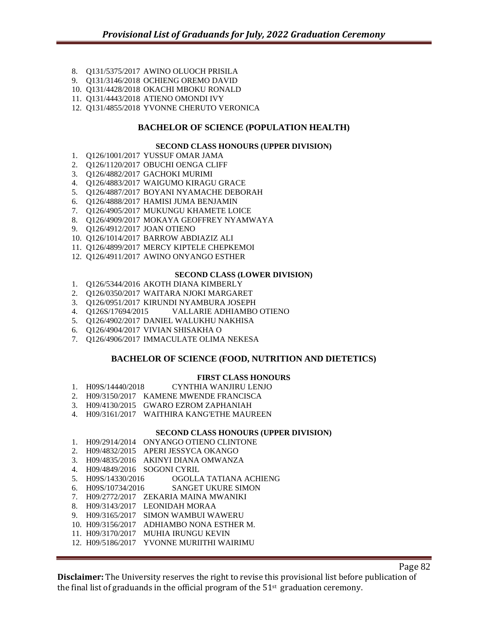- 8. Q131/5375/2017 AWINO OLUOCH PRISILA
- 9. Q131/3146/2018 OCHIENG OREMO DAVID
- 10. Q131/4428/2018 OKACHI MBOKU RONALD
- 11. Q131/4443/2018 ATIENO OMONDI IVY
- 12. Q131/4855/2018 YVONNE CHERUTO VERONICA

# **BACHELOR OF SCIENCE (POPULATION HEALTH)**

# **SECOND CLASS HONOURS (UPPER DIVISION)**

- 1. Q126/1001/2017 YUSSUF OMAR JAMA
- 2. Q126/1120/2017 OBUCHI OENGA CLIFF
- 3. Q126/4882/2017 GACHOKI MURIMI
- 4. Q126/4883/2017 WAIGUMO KIRAGU GRACE
- 5. Q126/4887/2017 BOYANI NYAMACHE DEBORAH
- 6. Q126/4888/2017 HAMISI JUMA BENJAMIN
- 7. Q126/4905/2017 MUKUNGU KHAMETE LOICE
- 8. Q126/4909/2017 MOKAYA GEOFFREY NYAMWAYA
- 9. Q126/4912/2017 JOAN OTIENO
- 10. Q126/1014/2017 BARROW ABDIAZIZ ALI
- 11. Q126/4899/2017 MERCY KIPTELE CHEPKEMOI
- 12. Q126/4911/2017 AWINO ONYANGO ESTHER

#### **SECOND CLASS (LOWER DIVISION)**

- 1. Q126/5344/2016 AKOTH DIANA KIMBERLY
- 2. Q126/0350/2017 WAITARA NJOKI MARGARET
- 3. Q126/0951/2017 KIRUNDI NYAMBURA JOSEPH
- 4. Q126S/17694/2015 VALLARIE ADHIAMBO OTIENO
- 5. Q126/4902/2017 DANIEL WALUKHU NAKHISA
- 6. Q126/4904/2017 VIVIAN SHISAKHA O
- 7. Q126/4906/2017 IMMACULATE OLIMA NEKESA

# **BACHELOR OF SCIENCE (FOOD, NUTRITION AND DIETETICS)**

## **FIRST CLASS HONOURS**

- 1. H09S/14440/2018 CYNTHIA WANJIRU LENJO
- 2. H09/3150/2017 KAMENE MWENDE FRANCISCA
- 3. H09/4130/2015 GWARO EZROM ZAPHANIAH
- 4. H09/3161/2017 WAITHIRA KANG'ETHE MAUREEN

## **SECOND CLASS HONOURS (UPPER DIVISION)**

- 1. H09/2914/2014 ONYANGO OTIENO CLINTONE
- 2. H09/4832/2015 APERI JESSYCA OKANGO
- 3. H09/4835/2016 AKINYI DIANA OMWANZA
- 4. H09/4849/2016 SOGONI CYRIL
- 5. H09S/14330/2016 OGOLLA TATIANA ACHIENG
- 6. H09S/10734/2016 SANGET UKURE SIMON
- 7. H09/2772/2017 ZEKARIA MAINA MWANIKI
- 8. H09/3143/2017 LEONIDAH MORAA
- 9. H09/3165/2017 SIMON WAMBUI WAWERU
- 10. H09/3156/2017 ADHIAMBO NONA ESTHER M.
- 11. H09/3170/2017 MUHIA IRUNGU KEVIN
- 12. H09/5186/2017 YVONNE MURIITHI WAIRIMU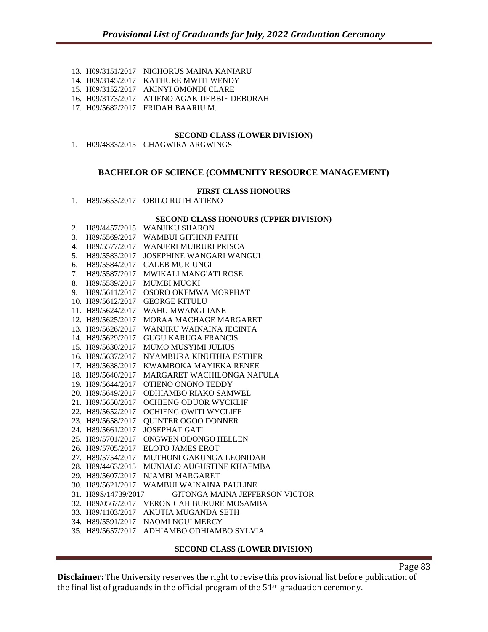- 13. H09/3151/2017 NICHORUS MAINA KANIARU
- 14. H09/3145/2017 KATHURE MWITI WENDY
- 15. H09/3152/2017 AKINYI OMONDI CLARE
- 16. H09/3173/2017 ATIENO AGAK DEBBIE DEBORAH
- 17. H09/5682/2017 FRIDAH BAARIU M.

1. H09/4833/2015 CHAGWIRA ARGWINGS

# **BACHELOR OF SCIENCE (COMMUNITY RESOURCE MANAGEMENT)**

#### **FIRST CLASS HONOURS**

1. H89/5653/2017 OBILO RUTH ATIENO

#### **SECOND CLASS HONOURS (UPPER DIVISION)**

| 2. | H89/4457/2015       | <b>WANJIKU SHARON</b>           |
|----|---------------------|---------------------------------|
| 3. | H89/5569/2017       | WAMBUI GITHINJI FAITH           |
| 4. | H89/5577/2017       | <b>WANJERI MUIRURI PRISCA</b>   |
| 5. | H89/5583/2017       | <b>JOSEPHINE WANGARI WANGUI</b> |
| 6. | H89/5584/2017       | <b>CALEB MURIUNGI</b>           |
| 7. | H89/5587/2017       | MWIKALI MANG'ATI ROSE           |
| 8. | H89/5589/2017       | <b>MUMBI MUOKI</b>              |
| 9. | H89/5611/2017       | OSORO OKEMWA MORPHAT            |
|    | 10. H89/5612/2017   | <b>GEORGE KITULU</b>            |
|    | 11. H89/5624/2017   | WAHU MWANGI JANE                |
|    | 12. H89/5625/2017   | MORAA MACHAGE MARGARET          |
|    | 13. H89/5626/2017   | WANJIRU WAINAINA JECINTA        |
|    | 14. H89/5629/2017   | <b>GUGU KARUGA FRANCIS</b>      |
|    | 15. H89/5630/2017   | MUMO MUSYIMI JULIUS             |
|    | 16. H89/5637/2017   | NYAMBURA KINUTHIA ESTHER        |
|    | 17. H89/5638/2017   | KWAMBOKA MAYIEKA RENEE          |
|    | 18. H89/5640/2017   | MARGARET WACHILONGA NAFULA      |
|    | 19. H89/5644/2017   | OTIENO ONONO TEDDY              |
|    | 20. H89/5649/2017   | ODHIAMBO RIAKO SAMWEL           |
|    | 21. H89/5650/2017   | <b>OCHIENG ODUOR WYCKLIF</b>    |
|    | 22. H89/5652/2017   | <b>OCHIENG OWITI WYCLIFF</b>    |
|    | 23. H89/5658/2017   | <b>QUINTER OGOO DONNER</b>      |
|    | 24. H89/5661/2017   | <b>JOSEPHAT GATI</b>            |
|    | 25. H89/5701/2017   | ONGWEN ODONGO HELLEN            |
|    | 26. H89/5705/2017   | <b>ELOTO JAMES EROT</b>         |
|    | 27. H89/5754/2017   | MUTHONI GAKUNGA LEONIDAR        |
|    | 28. H89/4463/2015   | MUNIALO AUGUSTINE KHAEMBA       |
|    | 29. H89/5607/2017   | <b>NJAMBI MARGARET</b>          |
|    | 30. H89/5621/2017   | WAMBUI WAINAINA PAULINE         |
|    | 31. H89S/14739/2017 | GITONGA MAINA JEFFERSON VICTOR  |
|    | 32. H89/0567/2017   | VERONICAH BURURE MOSAMBA        |
|    | 33. H89/1103/2017   | <b>AKUTIA MUGANDA SETH</b>      |
|    | 34. H89/5591/2017   | <b>NAOMI NGUI MERCY</b>         |
|    | 35. H89/5657/2017   | ADHIAMBO ODHIAMBO SYLVIA        |
|    |                     |                                 |

## **SECOND CLASS (LOWER DIVISION)**

Page 83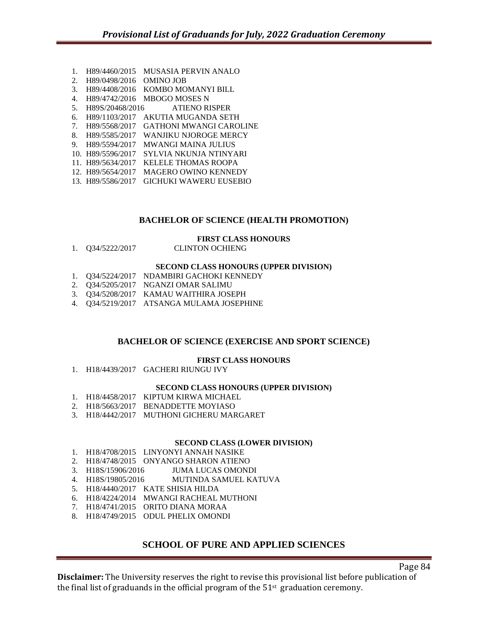1. H89/4460/2015 MUSASIA PERVIN ANALO 2. H89/0498/2016 OMINO JOB 3. H89/4408/2016 KOMBO MOMANYI BILL 4. H89/4742/2016 MBOGO MOSES N 5. H89S/20468/2016 ATIENO RISPER 6. H89/1103/2017 AKUTIA MUGANDA SETH 7. H89/5568/2017 GATHONI MWANGI CAROLINE 8. H89/5585/2017 WANJIKU NJOROGE MERCY 9. H89/5594/2017 MWANGI MAINA JULIUS 10. H89/5596/2017 SYLVIA NKUNJA NTINYARI 11. H89/5634/2017 KELELE THOMAS ROOPA 12. H89/5654/2017 MAGERO OWINO KENNEDY 13. H89/5586/2017 GICHUKI WAWERU EUSEBIO

## **BACHELOR OF SCIENCE (HEALTH PROMOTION)**

## **FIRST CLASS HONOURS**

| Q34/5222/2017 | <b>CLINTON OCHIENG</b> |
|---------------|------------------------|
|               |                        |

#### **SECOND CLASS HONOURS (UPPER DIVISION)**

- 1. Q34/5224/2017 NDAMBIRI GACHOKI KENNEDY
- 2. Q34/5205/2017 NGANZI OMAR SALIMU
- 3. Q34/5208/2017 KAMAU WAITHIRA JOSEPH
- 4. Q34/5219/2017 ATSANGA MULAMA JOSEPHINE

## **BACHELOR OF SCIENCE (EXERCISE AND SPORT SCIENCE)**

## **FIRST CLASS HONOURS**

1. H18/4439/2017 GACHERI RIUNGU IVY

#### **SECOND CLASS HONOURS (UPPER DIVISION)**

- 1. H18/4458/2017 KIPTUM KIRWA MICHAEL
- 2. H18/5663/2017 BENADDETTE MOYIASO
- 3. H18/4442/2017 MUTHONI GICHERU MARGARET

#### **SECOND CLASS (LOWER DIVISION)**

- 1. H18/4708/2015 LINYONYI ANNAH NASIKE
- 2. H18/4748/2015 ONYANGO SHARON ATIENO
- 3. H18S/15906/2016 JUMA LUCAS OMONDI
- 4. H18S/19805/2016 MUTINDA SAMUEL KATUVA
- 5. H18/4440/2017 KATE SHISIA HILDA
- 6. H18/4224/2014 MWANGI RACHEAL MUTHONI
- 7. H18/4741/2015 ORITO DIANA MORAA
- 8. H18/4749/2015 ODUL PHELIX OMONDI

# **SCHOOL OF PURE AND APPLIED SCIENCES**

Page 84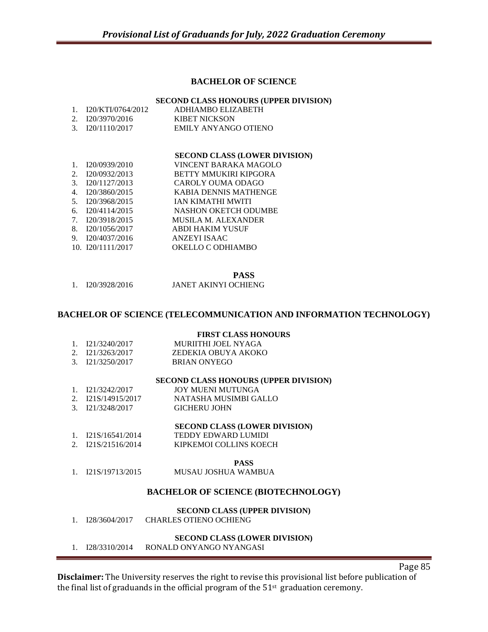# **BACHELOR OF SCIENCE**

## **SECOND CLASS HONOURS (UPPER DIVISION)**

| 1. $I20/KTI/0764/2012$ | ADHIAMBO ELIZABETH                                                                                                                                                                                                                                                                                                                                            |
|------------------------|---------------------------------------------------------------------------------------------------------------------------------------------------------------------------------------------------------------------------------------------------------------------------------------------------------------------------------------------------------------|
| 2. $I20/3970/2016$     | KIBET NICKSON                                                                                                                                                                                                                                                                                                                                                 |
| 3. $I20/1110/2017$     | EMILY ANYANGO OTIENO                                                                                                                                                                                                                                                                                                                                          |
|                        |                                                                                                                                                                                                                                                                                                                                                               |
|                        | $\alpha$ , $\alpha$ , $\alpha$ , $\alpha$ , $\alpha$ , $\alpha$ , $\alpha$ , $\alpha$ , $\alpha$ , $\alpha$ , $\alpha$ , $\alpha$ , $\alpha$ , $\alpha$ , $\alpha$ , $\alpha$ , $\alpha$ , $\alpha$ , $\alpha$ , $\alpha$ , $\alpha$ , $\alpha$ , $\alpha$ , $\alpha$ , $\alpha$ , $\alpha$ , $\alpha$ , $\alpha$ , $\alpha$ , $\alpha$ , $\alpha$ , $\alpha$ |

## **SECOND CLASS (LOWER DIVISION)**

| $1_{\cdot}$ | I20/0939/2010       | VINCENT BARAKA MAGOLO      |
|-------------|---------------------|----------------------------|
| $2^{1}$     | I20/0932/2013       | BETTY MMUKIRI KIPGORA      |
|             | 3. I20/1127/2013    | <b>CAROLY OUMA ODAGO</b>   |
| 4.          | I20/3860/2015       | KABIA DENNIS MATHENGE      |
| 5.          | I20/3968/2015       | <b>JAN KIMATHI MWITI</b>   |
|             | 6. $I20/4114/2015$  | NASHON OKETCH ODUMBE       |
|             | 7. I20/3918/2015    | <b>MUSILA M. ALEXANDER</b> |
| 8.          | I20/1056/2017       | <b>ABDI HAKIM YUSUF</b>    |
| 9.          | I20/4037/2016       | <b>ANZEYI ISAAC</b>        |
|             | 10. $I20/1111/2017$ | OKELLO C ODHIAMBO          |
|             |                     |                            |

**PASS**

1. I20/3928/2016 JANET AKINYI OCHIENG

# **BACHELOR OF SCIENCE (TELECOMMUNICATION AND INFORMATION TECHNOLOGY)**

## **FIRST CLASS HONOURS**

- 1. I21/3240/2017 MURIITHI JOEL NYAGA
- 2. I21/3263/2017 ZEDEKIA OBUYA AKOKO
- 3. I21/3250/2017 BRIAN ONYEGO

#### **SECOND CLASS HONOURS (UPPER DIVISION)**

- 1. I21/3242/2017 JOY MUENI MUTUNGA
- 2. I21S/14915/2017 NATASHA MUSIMBI GALLO
- 3. I21/3248/2017 GICHERU JOHN

## **SECOND CLASS (LOWER DIVISION)**

- 1. I21S/16541/2014 TEDDY EDWARD LUMIDI
- 2. I21S/21516/2014 KIPKEMOI COLLINS KOECH

## **PASS**

1. I21S/19713/2015 MUSAU JOSHUA WAMBUA

# **BACHELOR OF SCIENCE (BIOTECHNOLOGY)**

## **SECOND CLASS (UPPER DIVISION)**

1. I28/3604/2017 CHARLES OTIENO OCHIENG

# **SECOND CLASS (LOWER DIVISION)**

1. I28/3310/2014 RONALD ONYANGO NYANGASI

**Disclaimer:** The University reserves the right to revise this provisional list before publication of the final list of graduands in the official program of the  $51<sup>st</sup>$  graduation ceremony.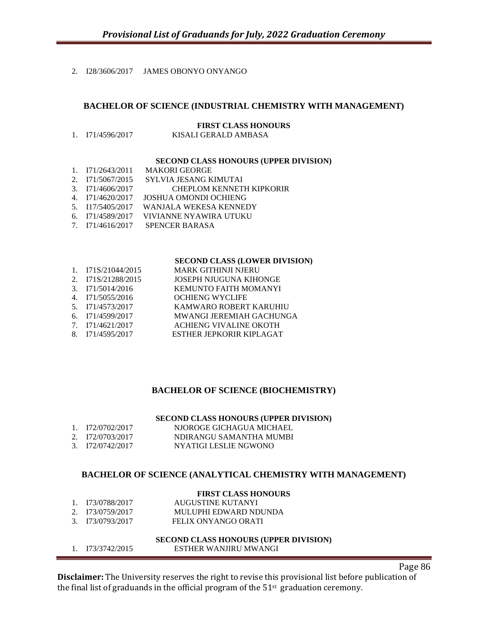# 2. I28/3606/2017 JAMES OBONYO ONYANGO

# **BACHELOR OF SCIENCE (INDUSTRIAL CHEMISTRY WITH MANAGEMENT)**

#### **FIRST CLASS HONOURS**

1. I71/4596/2017 KISALI GERALD AMBASA

#### **SECOND CLASS HONOURS (UPPER DIVISION)**

- 1. I71/2643/2011 MAKORI GEORGE 2. I71/5067/2015 SYLVIA JESANG KIMUTAI 3. I71/4606/2017 CHEPLOM KENNETH KIPKORIR<br>4. I71/4620/2017 JOSHUA OMONDI OCHIENG 4. I71/4620/2017 JOSHUA OMONDI OCHIENG WANJALA WEKESA KENNEDY 6. I71/4589/2017 VIVIANNE NYAWIRA UTUKU
- 7. I71/4616/2017 SPENCER BARASA

#### **SECOND CLASS (LOWER DIVISION)**

- 1. I71S/21044/2015 MARK GITHINJI NJERU
- 2. I71S/21288/2015 JOSEPH NJUGUNA KIHONGE
- 3. I71/5014/2016 KEMUNTO FAITH MOMANYI
- 4. I71/5055/2016 OCHIENG WYCLIFE
- 5. I71/4573/2017 KAMWARO ROBERT KARUHIU
- MWANGI JEREMIAH GACHUNGA
- 7. I71/4621/2017 ACHIENG VIVALINE OKOTH
- 8. I71/4595/2017 ESTHER JEPKORIR KIPLAGAT

# **BACHELOR OF SCIENCE (BIOCHEMISTRY)**

## **SECOND CLASS HONOURS (UPPER DIVISION)**

- 1. I72/0702/2017 NJOROGE GICHAGUA MICHAEL 2. I72/0703/2017 NDIRANGU SAMANTHA MUMBI
- 3. I72/0742/2017 NYATIGI LESLIE NGWONO

# **BACHELOR OF SCIENCE (ANALYTICAL CHEMISTRY WITH MANAGEMENT)**

## **FIRST CLASS HONOURS**

| 1. I73/0788/2017   | AUGUSTINE KUTANYI     |
|--------------------|-----------------------|
| 2. $173/0759/2017$ | MULUPHI EDWARD NDUNDA |
| 3. I73/0793/2017   | FELIX ONYANGO ORATI   |

## **SECOND CLASS HONOURS (UPPER DIVISION)** 1. I73/3742/2015 ESTHER WANJIRU MWANGI

**Disclaimer:** The University reserves the right to revise this provisional list before publication of the final list of graduands in the official program of the  $51<sup>st</sup>$  graduation ceremony.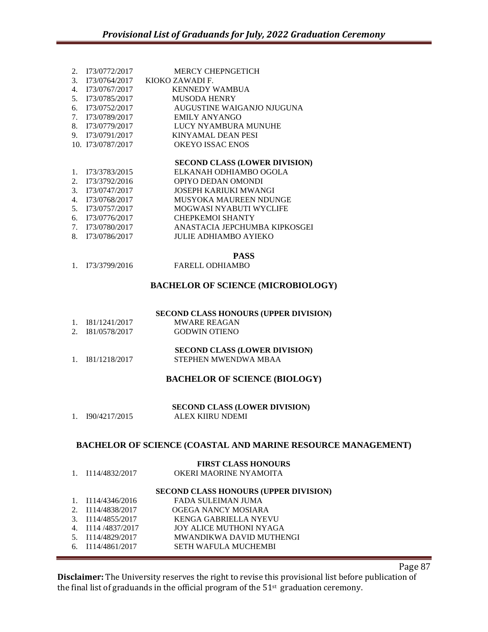|    | 2. I73/0772/2017  | <b>MERCY CHEPNGETICH</b>   |
|----|-------------------|----------------------------|
| 3. | 173/0764/2017     | KIOKO ZAWADI F.            |
|    | 173/0767/2017     | <b>KENNEDY WAMBUA</b>      |
| 5. | 173/0785/2017     | <b>MUSODA HENRY</b>        |
| б. | 173/0752/2017     | AUGUSTINE WAIGANJO NJUGUNA |
|    | 7. I73/0789/2017  | EMILY ANYANGO              |
| 8. | 173/0779/2017     | LUCY NYAMBURA MUNUHE       |
|    | 9. I73/0791/2017  | KINYAMAL DEAN PESI         |
|    | 10. I73/0787/2017 | <b>OKEYO ISSAC ENOS</b>    |
|    |                   |                            |

1. I73/3783/2015 ELKANAH ODHIAMBO OGOLA 2. I73/3792/2016 OPIYO DEDAN OMONDI 3. I73/0747/2017 JOSEPH KARIUKI MWANGI 4. I73/0768/2017 MUSYOKA MAUREEN NDUNGE 5. I73/0757/2017 MOGWASI NYABUTI WYCLIFE 6. I73/0776/2017 CHEPKEMOI SHANTY 7. I73/0780/2017 ANASTACIA JEPCHUMBA KIPKOSGEI 8. I73/0786/2017 JULIE ADHIAMBO AYIEKO

**PASS**

1. I73/3799/2016 FARELL ODHIAMBO

## **BACHELOR OF SCIENCE (MICROBIOLOGY)**

#### **SECOND CLASS HONOURS (UPPER DIVISION)**

- 1. I81/1241/2017 MWARE REAGAN 2. I81/0578/2017 GODWIN OTIENO
- **SECOND CLASS (LOWER DIVISION)** 1. I81/1218/2017 STEPHEN MWENDWA MBAA

#### **BACHELOR OF SCIENCE (BIOLOGY)**

**SECOND CLASS (LOWER DIVISION)** 1. I90/4217/2015 ALEX KIIRU NDEMI

#### **BACHELOR OF SCIENCE (COASTAL AND MARINE RESOURCE MANAGEMENT)**

|                   | <b>FIRST CLASS HONOURS</b>            |
|-------------------|---------------------------------------|
| 1. I114/4832/2017 | OKERI MAORINE NYAMOITA                |
|                   | SECOND CLASS HONOURS (UPPER DIVISION) |
| 1. I114/4346/2016 | FADA SULEIMAN JUMA                    |
| 2. I114/4838/2017 | OGEGA NANCY MOSIARA                   |
| 3. I114/4855/2017 | <b>KENGA GABRIELLA NYEVU</b>          |
| 4. I114/4837/2017 | JOY ALICE MUTHONI NYAGA               |
| 5. I114/4829/2017 | MWANDIKWA DAVID MUTHENGI              |
| 6. I114/4861/2017 | <b>SETH WAFULA MUCHEMBI</b>           |

Page 87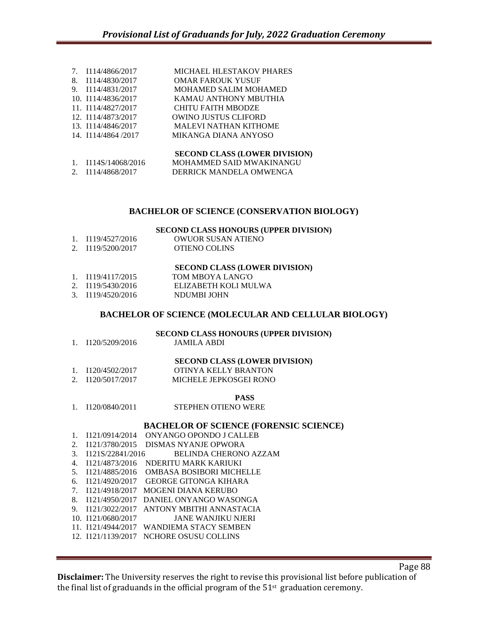|                | 7. I114/4866/2017   | <b>MICHAEL HLESTAKOV PHARES</b>      |
|----------------|---------------------|--------------------------------------|
| 8.             | I114/4830/2017      | <b>OMAR FAROUK YUSUF</b>             |
|                | 9. I114/4831/2017   | MOHAMED SALIM MOHAMED                |
|                | 10. I114/4836/2017  | KAMAU ANTHONY MBUTHIA                |
|                | 11. I114/4827/2017  | <b>CHITU FAITH MBODZE</b>            |
|                | 12. I114/4873/2017  | <b>OWINO JUSTUS CLIFORD</b>          |
|                | 13. I114/4846/2017  | <b>MALEVI NATHAN KITHOME</b>         |
|                | 14. I114/4864 /2017 | MIKANGA DIANA ANYOSO                 |
|                |                     | <b>SECOND CLASS (LOWER DIVISION)</b> |
| $\mathbf{1}$ . | I114S/14068/2016    | MOHAMMED SAID MWAKINANGU             |
| 2.             | I114/4868/2017      | DERRICK MANDELA OMWENGA              |

# **BACHELOR OF SCIENCE (CONSERVATION BIOLOGY)**

**SECOND CLASS HONOURS (UPPER DIVISION)**

| 1. I119/4527/2016 | OWUOR SUSAN ATIENO |
|-------------------|--------------------|
| 2. I119/5200/2017 | OTIENO COLINS      |

## **SECOND CLASS (LOWER DIVISION)**

| 1. I119/4117/2015 | TOM MBOYA LANG'O     |
|-------------------|----------------------|
| 2. I119/5430/2016 | ELIZABETH KOLI MULWA |
| 3. I119/4520/2016 | NDUMBL JOHN          |

#### **BACHELOR OF SCIENCE (MOLECULAR AND CELLULAR BIOLOGY)**

**SECOND CLASS HONOURS (UPPER DIVISION)**

| 1. I120/5209/2016   | JAMILA ABDI                          |
|---------------------|--------------------------------------|
|                     | <b>SECOND CLASS (LOWER DIVISION)</b> |
| 1. $I120/4502/2017$ | OTINYA KELLY BRANTON                 |
| 2. I120/5017/2017   | MICHELE JEPKOSGEI RONO               |

#### **PASS**

1. I120/0840/2011 STEPHEN OTIENO WERE

#### **BACHELOR OF SCIENCE (FORENSIC SCIENCE)**

1. I121/0914/2014 ONYANGO OPONDO J CALLEB 2. I121/3780/2015 DISMAS NYANJE OPWORA 3. I121S/22841/2016 BELINDA CHERONO AZZAM 4. I121/4873/2016 NDERITU MARK KARIUKI 5. I121/4885/2016 OMBASA BOSIBORI MICHELLE 6. I121/4920/2017 GEORGE GITONGA KIHARA 7. I121/4918/2017 MOGENI DIANA KERUBO 8. I121/4950/2017 DANIEL ONYANGO WASONGA 9. I121/3022/2017 ANTONY MBITHI ANNASTACIA 10. I121/0680/2017 JANE WANJIKU NJERI 11. I121/4944/2017 WANDIEMA STACY SEMBEN 12. I121/1139/2017 NCHORE OSUSU COLLINS

Page 88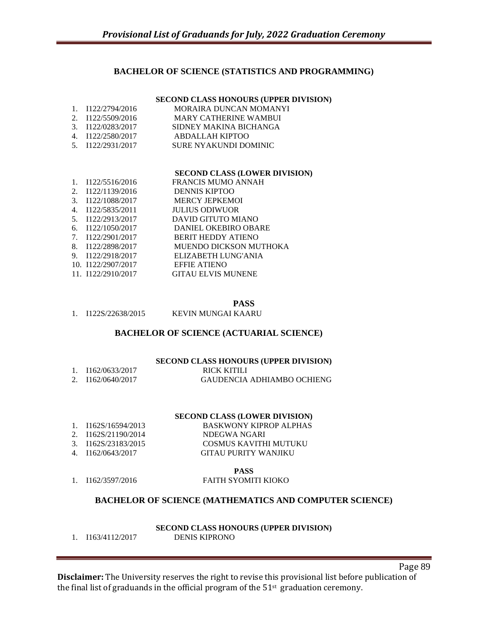# **BACHELOR OF SCIENCE (STATISTICS AND PROGRAMMING)**

#### **SECOND CLASS HONOURS (UPPER DIVISION)**

| 1. I122/2794/2016                      | MORAIRA DUNCAN MOMANYI                                 |
|----------------------------------------|--------------------------------------------------------|
| 2. I122/5509/2016<br>3. I122/0283/2017 | <b>MARY CATHERINE WAMBUI</b><br>SIDNEY MAKINA BICHANGA |
| 4. $I122/2580/2017$                    | ABDALLAH KIPTOO                                        |
| 5. $1122/2931/2017$                    | SURE NYAKUNDI DOMINIC                                  |

#### **SECOND CLASS (LOWER DIVISION)**

| $1_{-}$ | 1122/5516/2016      | <b>FRANCIS MUMO ANNAH</b>   |
|---------|---------------------|-----------------------------|
| 2.      | 1122/1139/2016      | <b>DENNIS KIPTOO</b>        |
| 3.      | I122/1088/2017      | <b>MERCY JEPKEMOI</b>       |
| 4.      | 1122/5835/2011      | <b>JULIUS ODIWUOR</b>       |
| 5.      | 1122/2913/2017      | DAVID GITUTO MIANO          |
| 6.      | 1122/1050/2017      | <b>DANIEL OKEBIRO OBARE</b> |
|         | 7. $I122/2901/2017$ | <b>BERIT HEDDY ATIENO</b>   |
| 8.      | 1122/2898/2017      | MUENDO DICKSON MUTHOKA      |
| 9.      | I122/2918/2017      | ELIZABETH LUNG'ANIA         |
|         | 10. I122/2907/2017  | <b>EFFIE ATIENO</b>         |
|         | 11. I122/2910/2017  | <b>GITAU ELVIS MUNENE</b>   |

#### **PASS**

1. I122S/22638/2015 KEVIN MUNGAI KAARU

# **BACHELOR OF SCIENCE (ACTUARIAL SCIENCE)**

### **SECOND CLASS HONOURS (UPPER DIVISION)**

| 1. I162/0633/2017 | RICK KITILI                |
|-------------------|----------------------------|
| 2. I162/0640/2017 | GAUDENCIA ADHIAMBO OCHIENG |

## **SECOND CLASS (LOWER DIVISION)**

BASKWONY KIPROP ALPHAS

COSMUS KAVITHI MUTUKU

| I162S/16594/2013 |  |
|------------------|--|
|                  |  |

- 2. I162S/21190/2014 NDEGWA NGARI<br>3. I162S/23183/2015 COSMUS KAVITH
- 
- 4. I162/0643/2017 GITAU PURITY WANJIKU

# **PASS**

# 1. I162/3597/2016 FAITH SYOMITI KIOKO

# **BACHELOR OF SCIENCE (MATHEMATICS AND COMPUTER SCIENCE)**

# **SECOND CLASS HONOURS (UPPER DIVISION)**

1. I163/4112/2017 DENIS KIPRONO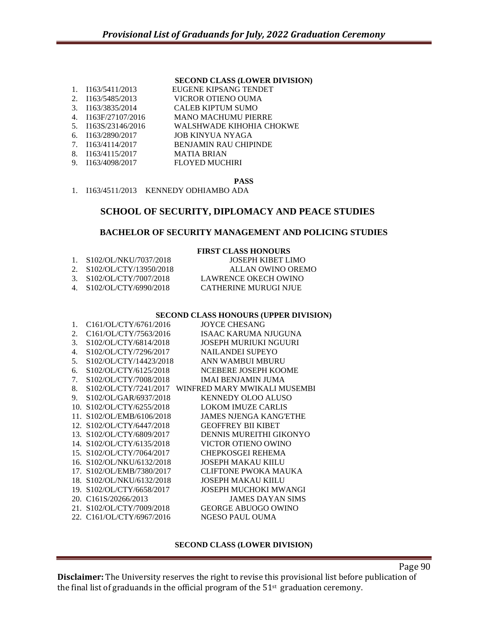|    | 1. I163/5411/2013   | EUGENE KIPSANG TENDET        |
|----|---------------------|------------------------------|
|    | 2. I163/5485/2013   | VICROR OTIENO OUMA           |
|    | 3. I163/3835/2014   | CALEB KIPTUM SUMO            |
|    | 4. I163F/27107/2016 | <b>MANO MACHUMU PIERRE</b>   |
|    | 5. I163S/23146/2016 | WALSHWADE KIHOHIA CHOKWE     |
|    | 6. $I163/2890/2017$ | JOB KINYUA NYAGA             |
|    | 7. I163/4114/2017   | <b>BENJAMIN RAU CHIPINDE</b> |
| 8. | 1163/4115/2017      | <b>MATIA BRIAN</b>           |
|    | 9. I163/4098/2017   | <b>FLOYED MUCHIRI</b>        |
|    |                     |                              |

**PASS**

# 1. I163/4511/2013 KENNEDY ODHIAMBO ADA

# **SCHOOL OF SECURITY, DIPLOMACY AND PEACE STUDIES**

# **BACHELOR OF SECURITY MANAGEMENT AND POLICING STUDIES**

|                             | <b>FIRST CLASS HONOURS</b>   |
|-----------------------------|------------------------------|
| 1. S102/OL/NKU/7037/2018    | JOSEPH KIBET LIMO            |
| 2. $S102/OL/CTY/13950/2018$ | ALLAN OWINO OREMO            |
| $3.$ S102/OL/CTY/7007/2018  | LAWRENCE OKECH OWINO         |
| 4. S102/OL/CTY/6990/2018    | <b>CATHERINE MURUGI NJUE</b> |
|                             |                              |

#### **SECOND CLASS HONOURS (UPPER DIVISION)**

| 1.             | C161/OL/CTY/6761/2016                  | <b>JOYCE CHESANG</b>                               |
|----------------|----------------------------------------|----------------------------------------------------|
| 2.             | C161/OL/CTY/7563/2016                  | ISAAC KARUMA NJUGUNA                               |
| 3.             | S102/OL/CTY/6814/2018                  | JOSEPH MURIUKI NGUURI                              |
| 4.             | S102/OL/CTY/7296/2017                  | <b>NAILANDEI SUPEYO</b>                            |
| 5 <sub>1</sub> | S <sub>102</sub> /OL/CTY/14423/2018    | ANN WAMBUI MBURU                                   |
| 6.             | S102/OL/CTY/6125/2018                  | NCEBERE JOSEPH KOOME                               |
| 7.             | S102/OL/CTY/7008/2018                  | IMAI BENJAMIN JUMA                                 |
| 8.             |                                        | S102/OL/CTY/7241/2017 WINFRED MARY MWIKALI MUSEMBI |
| 9.             | S102/OL/GAR/6937/2018                  | <b>KENNEDY OLOO ALUSO</b>                          |
|                | 10. S102/OL/CTY/6255/2018              | <b>LOKOM IMUZE CARLIS</b>                          |
|                | 11. S102/OL/EMB/6106/2018              | <b>JAMES NJENGA KANG'ETHE</b>                      |
|                | 12. S102/OL/CTY/6447/2018              | <b>GEOFFREY BII KIBET</b>                          |
|                | 13. S102/OL/CTY/6809/2017              | DENNIS MUREITHI GIKONYO                            |
|                | 14. S102/OL/CTY/6135/2018              | VICTOR OTIENO OWINO                                |
|                | 15. S102/OL/CTY/7064/2017              | CHEPKOSGEI REHEMA                                  |
|                | 16. S102/OL/NKU/6132/2018              | <b>JOSEPH MAKAU KIILU</b>                          |
|                | 17. S102/OL/EMB/7380/2017              | <b>CLIFTONE PWOKA MAUKA</b>                        |
|                | 18. S102/OL/NKU/6132/2018              | <b>JOSEPH MAKAU KIILU</b>                          |
|                | 19. S102/OL/CTY/6658/2017              | JOSEPH MUCHOKI MWANGI                              |
|                | 20. C <sub>161</sub> S/20266/2013      | <b>JAMES DAYAN SIMS</b>                            |
|                | 21. S102/OL/CTY/7009/2018              | <b>GEORGE ABUOGO OWINO</b>                         |
|                | 22. C <sub>161</sub> /OL/CTY/6967/2016 | NGESO PAUL OUMA                                    |
|                |                                        |                                                    |

# **SECOND CLASS (LOWER DIVISION)**